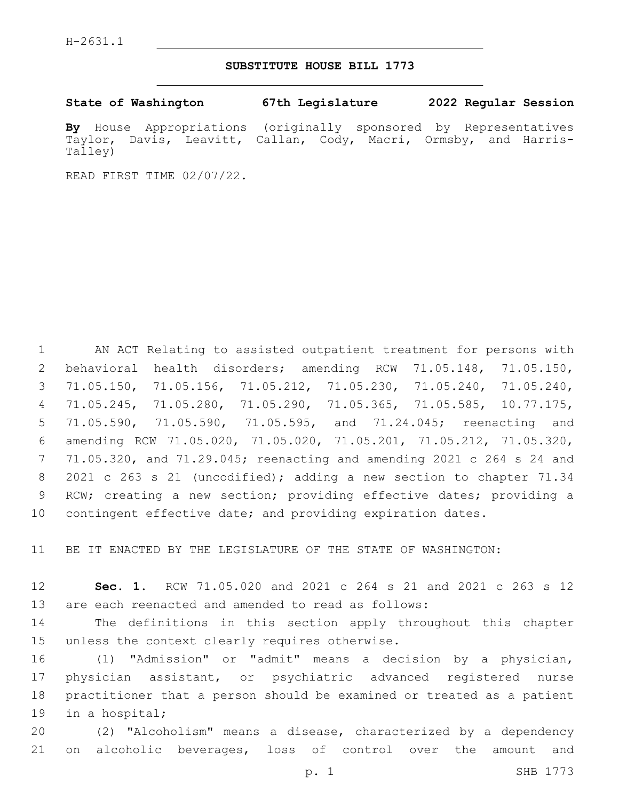## **SUBSTITUTE HOUSE BILL 1773**

**State of Washington 67th Legislature 2022 Regular Session**

**By** House Appropriations (originally sponsored by Representatives Taylor, Davis, Leavitt, Callan, Cody, Macri, Ormsby, and Harris-Talley)

READ FIRST TIME 02/07/22.

 AN ACT Relating to assisted outpatient treatment for persons with behavioral health disorders; amending RCW 71.05.148, 71.05.150, 71.05.150, 71.05.156, 71.05.212, 71.05.230, 71.05.240, 71.05.240, 71.05.245, 71.05.280, 71.05.290, 71.05.365, 71.05.585, 10.77.175, 71.05.590, 71.05.590, 71.05.595, and 71.24.045; reenacting and amending RCW 71.05.020, 71.05.020, 71.05.201, 71.05.212, 71.05.320, 71.05.320, and 71.29.045; reenacting and amending 2021 c 264 s 24 and 8 2021 c 263 s 21 (uncodified); adding a new section to chapter 71.34 RCW; creating a new section; providing effective dates; providing a 10 contingent effective date; and providing expiration dates.

11 BE IT ENACTED BY THE LEGISLATURE OF THE STATE OF WASHINGTON:

12 **Sec. 1.** RCW 71.05.020 and 2021 c 264 s 21 and 2021 c 263 s 12 13 are each reenacted and amended to read as follows:

14 The definitions in this section apply throughout this chapter 15 unless the context clearly requires otherwise.

 (1) "Admission" or "admit" means a decision by a physician, physician assistant, or psychiatric advanced registered nurse practitioner that a person should be examined or treated as a patient 19 in a hospital;

20 (2) "Alcoholism" means a disease, characterized by a dependency 21 on alcoholic beverages, loss of control over the amount and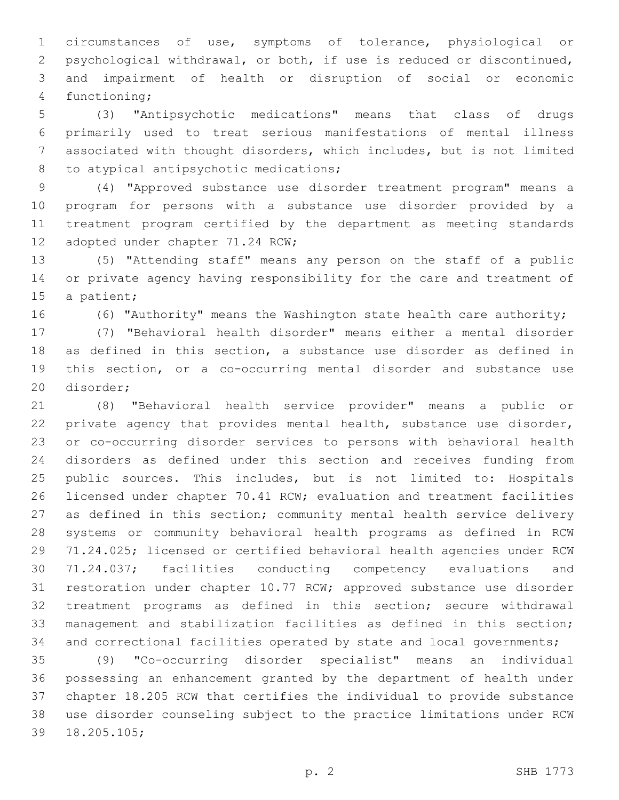circumstances of use, symptoms of tolerance, physiological or psychological withdrawal, or both, if use is reduced or discontinued, and impairment of health or disruption of social or economic 4 functioning;

 (3) "Antipsychotic medications" means that class of drugs primarily used to treat serious manifestations of mental illness associated with thought disorders, which includes, but is not limited 8 to atypical antipsychotic medications;

 (4) "Approved substance use disorder treatment program" means a program for persons with a substance use disorder provided by a treatment program certified by the department as meeting standards 12 adopted under chapter 71.24 RCW;

 (5) "Attending staff" means any person on the staff of a public or private agency having responsibility for the care and treatment of 15 a patient;

(6) "Authority" means the Washington state health care authority;

 (7) "Behavioral health disorder" means either a mental disorder as defined in this section, a substance use disorder as defined in this section, or a co-occurring mental disorder and substance use 20 disorder:

 (8) "Behavioral health service provider" means a public or 22 private agency that provides mental health, substance use disorder, or co-occurring disorder services to persons with behavioral health disorders as defined under this section and receives funding from public sources. This includes, but is not limited to: Hospitals licensed under chapter 70.41 RCW; evaluation and treatment facilities 27 as defined in this section; community mental health service delivery systems or community behavioral health programs as defined in RCW 71.24.025; licensed or certified behavioral health agencies under RCW 71.24.037; facilities conducting competency evaluations and restoration under chapter 10.77 RCW; approved substance use disorder treatment programs as defined in this section; secure withdrawal management and stabilization facilities as defined in this section; 34 and correctional facilities operated by state and local governments;

 (9) "Co-occurring disorder specialist" means an individual possessing an enhancement granted by the department of health under chapter 18.205 RCW that certifies the individual to provide substance use disorder counseling subject to the practice limitations under RCW 39 18.205.105;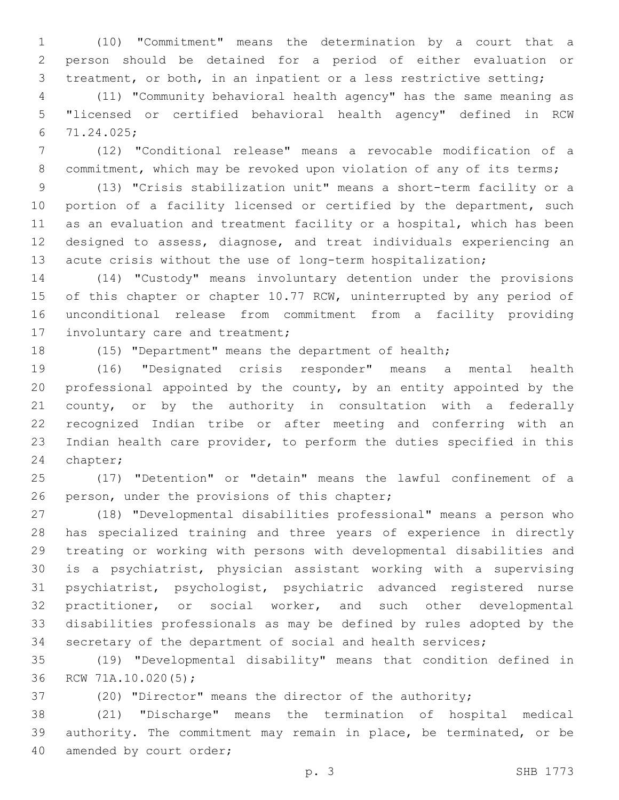(10) "Commitment" means the determination by a court that a person should be detained for a period of either evaluation or treatment, or both, in an inpatient or a less restrictive setting;

 (11) "Community behavioral health agency" has the same meaning as "licensed or certified behavioral health agency" defined in RCW 71.24.025;6

 (12) "Conditional release" means a revocable modification of a 8 commitment, which may be revoked upon violation of any of its terms;

 (13) "Crisis stabilization unit" means a short-term facility or a 10 portion of a facility licensed or certified by the department, such as an evaluation and treatment facility or a hospital, which has been designed to assess, diagnose, and treat individuals experiencing an acute crisis without the use of long-term hospitalization;

 (14) "Custody" means involuntary detention under the provisions 15 of this chapter or chapter 10.77 RCW, uninterrupted by any period of unconditional release from commitment from a facility providing 17 involuntary care and treatment;

(15) "Department" means the department of health;

 (16) "Designated crisis responder" means a mental health professional appointed by the county, by an entity appointed by the county, or by the authority in consultation with a federally recognized Indian tribe or after meeting and conferring with an Indian health care provider, to perform the duties specified in this 24 chapter;

 (17) "Detention" or "detain" means the lawful confinement of a 26 person, under the provisions of this chapter;

 (18) "Developmental disabilities professional" means a person who has specialized training and three years of experience in directly treating or working with persons with developmental disabilities and is a psychiatrist, physician assistant working with a supervising psychiatrist, psychologist, psychiatric advanced registered nurse practitioner, or social worker, and such other developmental disabilities professionals as may be defined by rules adopted by the secretary of the department of social and health services;

 (19) "Developmental disability" means that condition defined in 36 RCW 71A.10.020(5);

(20) "Director" means the director of the authority;

 (21) "Discharge" means the termination of hospital medical authority. The commitment may remain in place, be terminated, or be 40 amended by court order;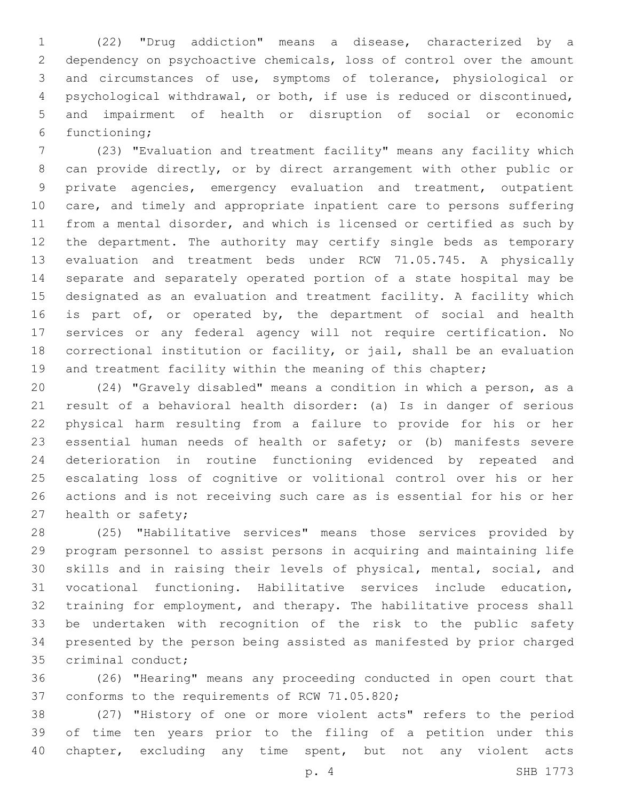(22) "Drug addiction" means a disease, characterized by a dependency on psychoactive chemicals, loss of control over the amount and circumstances of use, symptoms of tolerance, physiological or psychological withdrawal, or both, if use is reduced or discontinued, and impairment of health or disruption of social or economic 6 functioning;

 (23) "Evaluation and treatment facility" means any facility which can provide directly, or by direct arrangement with other public or private agencies, emergency evaluation and treatment, outpatient care, and timely and appropriate inpatient care to persons suffering from a mental disorder, and which is licensed or certified as such by the department. The authority may certify single beds as temporary evaluation and treatment beds under RCW 71.05.745. A physically separate and separately operated portion of a state hospital may be designated as an evaluation and treatment facility. A facility which 16 is part of, or operated by, the department of social and health services or any federal agency will not require certification. No correctional institution or facility, or jail, shall be an evaluation 19 and treatment facility within the meaning of this chapter;

 (24) "Gravely disabled" means a condition in which a person, as a result of a behavioral health disorder: (a) Is in danger of serious physical harm resulting from a failure to provide for his or her essential human needs of health or safety; or (b) manifests severe deterioration in routine functioning evidenced by repeated and escalating loss of cognitive or volitional control over his or her actions and is not receiving such care as is essential for his or her 27 health or safety;

 (25) "Habilitative services" means those services provided by program personnel to assist persons in acquiring and maintaining life skills and in raising their levels of physical, mental, social, and vocational functioning. Habilitative services include education, training for employment, and therapy. The habilitative process shall be undertaken with recognition of the risk to the public safety presented by the person being assisted as manifested by prior charged 35 criminal conduct;

 (26) "Hearing" means any proceeding conducted in open court that 37 conforms to the requirements of RCW 71.05.820;

 (27) "History of one or more violent acts" refers to the period of time ten years prior to the filing of a petition under this 40 chapter, excluding any time spent, but not any violent acts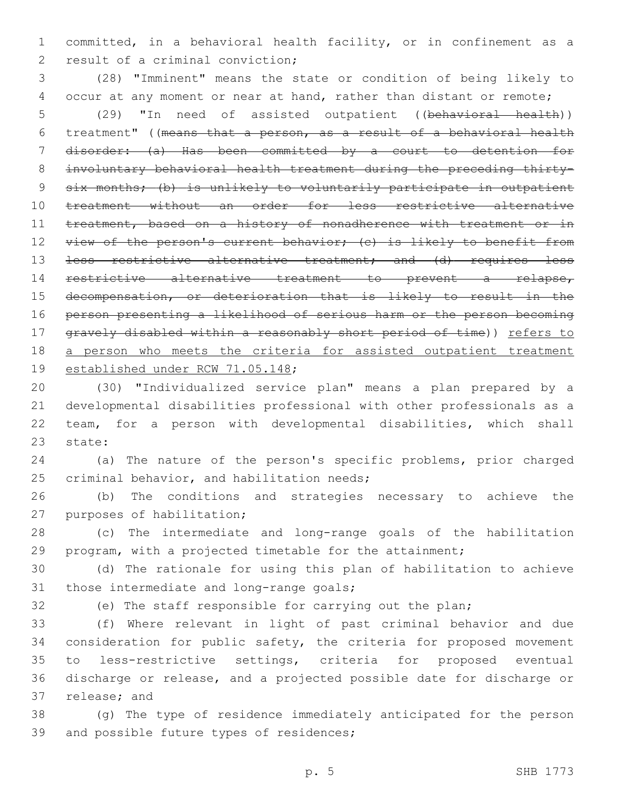committed, in a behavioral health facility, or in confinement as a 2 result of a criminal conviction;

 (28) "Imminent" means the state or condition of being likely to 4 occur at any moment or near at hand, rather than distant or remote; (29) "In need of assisted outpatient ((behavioral health)) treatment" ((means that a person, as a result of a behavioral health disorder: (a) Has been committed by a court to detention for involuntary behavioral health treatment during the preceding thirty- six months; (b) is unlikely to voluntarily participate in outpatient treatment without an order for less restrictive alternative 11 treatment, based on a history of nonadherence with treatment or in 12 view of the person's current behavior; (c) is likely to benefit from 13 <del>less restrictive alternative treatment; and (d) requires less</del> restrictive alternative treatment to prevent a relapse, decompensation, or deterioration that is likely to result in the person presenting a likelihood of serious harm or the person becoming 17 gravely disabled within a reasonably short period of time)) refers to 18 a person who meets the criteria for assisted outpatient treatment 19 established under RCW 71.05.148;

 (30) "Individualized service plan" means a plan prepared by a developmental disabilities professional with other professionals as a team, for a person with developmental disabilities, which shall 23 state:

 (a) The nature of the person's specific problems, prior charged 25 criminal behavior, and habilitation needs;

 (b) The conditions and strategies necessary to achieve the 27 purposes of habilitation;

 (c) The intermediate and long-range goals of the habilitation program, with a projected timetable for the attainment;

 (d) The rationale for using this plan of habilitation to achieve 31 those intermediate and long-range goals;

(e) The staff responsible for carrying out the plan;

 (f) Where relevant in light of past criminal behavior and due consideration for public safety, the criteria for proposed movement to less-restrictive settings, criteria for proposed eventual discharge or release, and a projected possible date for discharge or 37 release; and

 (g) The type of residence immediately anticipated for the person 39 and possible future types of residences;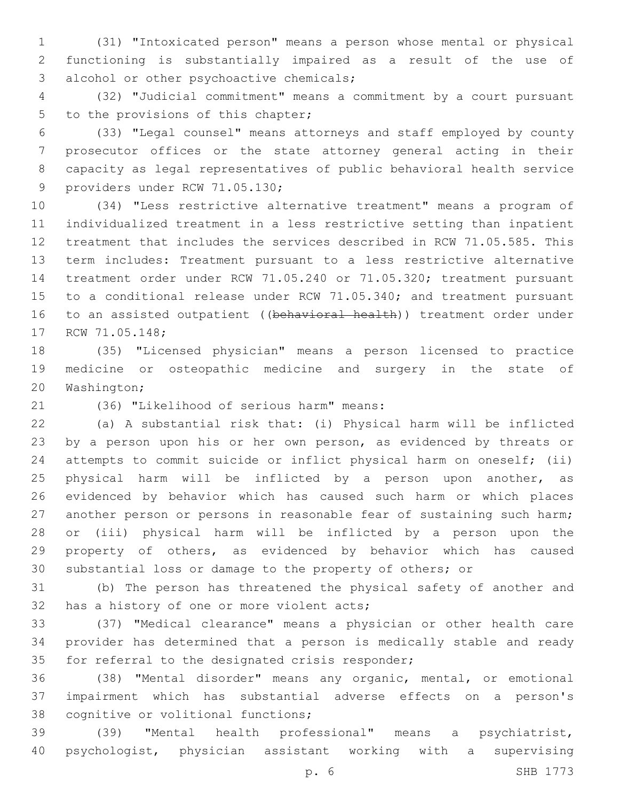(31) "Intoxicated person" means a person whose mental or physical functioning is substantially impaired as a result of the use of 3 alcohol or other psychoactive chemicals;

 (32) "Judicial commitment" means a commitment by a court pursuant 5 to the provisions of this chapter;

 (33) "Legal counsel" means attorneys and staff employed by county prosecutor offices or the state attorney general acting in their capacity as legal representatives of public behavioral health service 9 providers under RCW 71.05.130;

 (34) "Less restrictive alternative treatment" means a program of individualized treatment in a less restrictive setting than inpatient treatment that includes the services described in RCW 71.05.585. This term includes: Treatment pursuant to a less restrictive alternative treatment order under RCW 71.05.240 or 71.05.320; treatment pursuant to a conditional release under RCW 71.05.340; and treatment pursuant 16 to an assisted outpatient ((behavioral health)) treatment order under 17 RCW 71.05.148;

 (35) "Licensed physician" means a person licensed to practice medicine or osteopathic medicine and surgery in the state of 20 Washington;

(36) "Likelihood of serious harm" means:21

 (a) A substantial risk that: (i) Physical harm will be inflicted by a person upon his or her own person, as evidenced by threats or attempts to commit suicide or inflict physical harm on oneself; (ii) physical harm will be inflicted by a person upon another, as evidenced by behavior which has caused such harm or which places another person or persons in reasonable fear of sustaining such harm; or (iii) physical harm will be inflicted by a person upon the property of others, as evidenced by behavior which has caused substantial loss or damage to the property of others; or

 (b) The person has threatened the physical safety of another and 32 has a history of one or more violent acts;

 (37) "Medical clearance" means a physician or other health care provider has determined that a person is medically stable and ready 35 for referral to the designated crisis responder;

 (38) "Mental disorder" means any organic, mental, or emotional impairment which has substantial adverse effects on a person's 38 cognitive or volitional functions;

 (39) "Mental health professional" means a psychiatrist, psychologist, physician assistant working with a supervising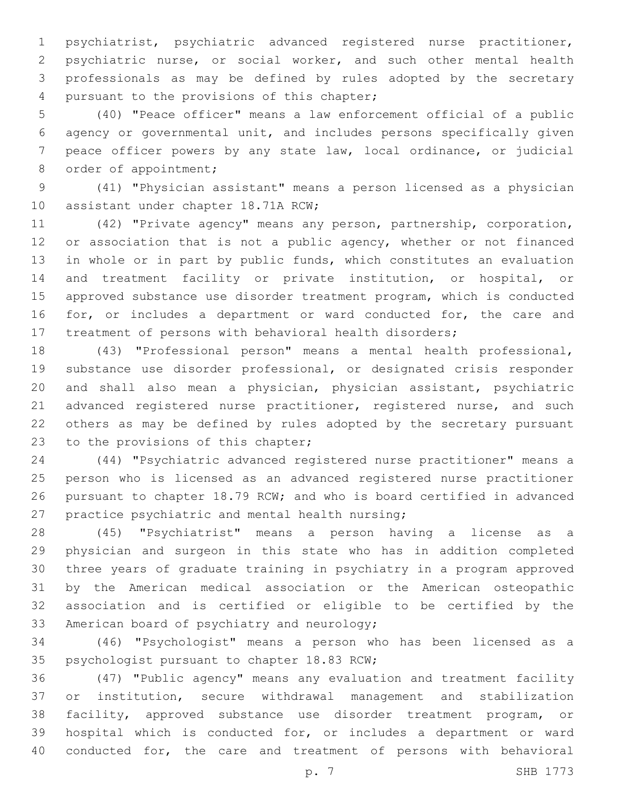psychiatrist, psychiatric advanced registered nurse practitioner, psychiatric nurse, or social worker, and such other mental health professionals as may be defined by rules adopted by the secretary 4 pursuant to the provisions of this chapter;

 (40) "Peace officer" means a law enforcement official of a public agency or governmental unit, and includes persons specifically given peace officer powers by any state law, local ordinance, or judicial 8 order of appointment;

 (41) "Physician assistant" means a person licensed as a physician 10 assistant under chapter 18.71A RCW;

 (42) "Private agency" means any person, partnership, corporation, 12 or association that is not a public agency, whether or not financed in whole or in part by public funds, which constitutes an evaluation and treatment facility or private institution, or hospital, or approved substance use disorder treatment program, which is conducted 16 for, or includes a department or ward conducted for, the care and treatment of persons with behavioral health disorders;

 (43) "Professional person" means a mental health professional, substance use disorder professional, or designated crisis responder and shall also mean a physician, physician assistant, psychiatric 21 advanced registered nurse practitioner, registered nurse, and such others as may be defined by rules adopted by the secretary pursuant 23 to the provisions of this chapter;

 (44) "Psychiatric advanced registered nurse practitioner" means a person who is licensed as an advanced registered nurse practitioner pursuant to chapter 18.79 RCW; and who is board certified in advanced 27 practice psychiatric and mental health nursing;

 (45) "Psychiatrist" means a person having a license as a physician and surgeon in this state who has in addition completed three years of graduate training in psychiatry in a program approved by the American medical association or the American osteopathic association and is certified or eligible to be certified by the 33 American board of psychiatry and neurology;

 (46) "Psychologist" means a person who has been licensed as a 35 psychologist pursuant to chapter 18.83 RCW;

 (47) "Public agency" means any evaluation and treatment facility or institution, secure withdrawal management and stabilization facility, approved substance use disorder treatment program, or hospital which is conducted for, or includes a department or ward conducted for, the care and treatment of persons with behavioral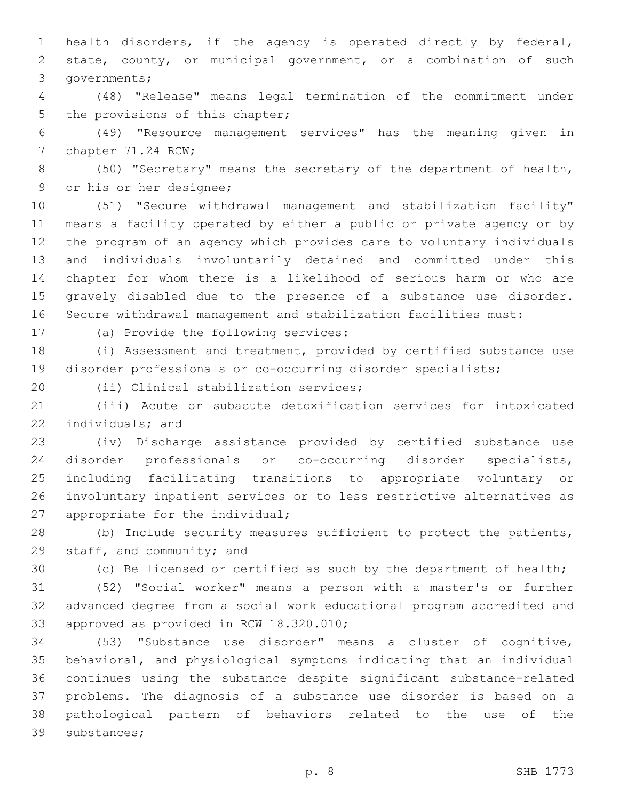health disorders, if the agency is operated directly by federal, state, county, or municipal government, or a combination of such 3 governments;

 (48) "Release" means legal termination of the commitment under 5 the provisions of this chapter;

 (49) "Resource management services" has the meaning given in 7 chapter 71.24 RCW;

 (50) "Secretary" means the secretary of the department of health, 9 or his or her designee;

 (51) "Secure withdrawal management and stabilization facility" means a facility operated by either a public or private agency or by the program of an agency which provides care to voluntary individuals and individuals involuntarily detained and committed under this chapter for whom there is a likelihood of serious harm or who are gravely disabled due to the presence of a substance use disorder. Secure withdrawal management and stabilization facilities must:

17 (a) Provide the following services:

 (i) Assessment and treatment, provided by certified substance use disorder professionals or co-occurring disorder specialists;

20 (ii) Clinical stabilization services;

 (iii) Acute or subacute detoxification services for intoxicated 22 individuals; and

 (iv) Discharge assistance provided by certified substance use disorder professionals or co-occurring disorder specialists, including facilitating transitions to appropriate voluntary or involuntary inpatient services or to less restrictive alternatives as 27 appropriate for the individual;

 (b) Include security measures sufficient to protect the patients, 29 staff, and community; and

(c) Be licensed or certified as such by the department of health;

 (52) "Social worker" means a person with a master's or further advanced degree from a social work educational program accredited and 33 approved as provided in RCW 18.320.010;

 (53) "Substance use disorder" means a cluster of cognitive, behavioral, and physiological symptoms indicating that an individual continues using the substance despite significant substance-related problems. The diagnosis of a substance use disorder is based on a pathological pattern of behaviors related to the use of the 39 substances;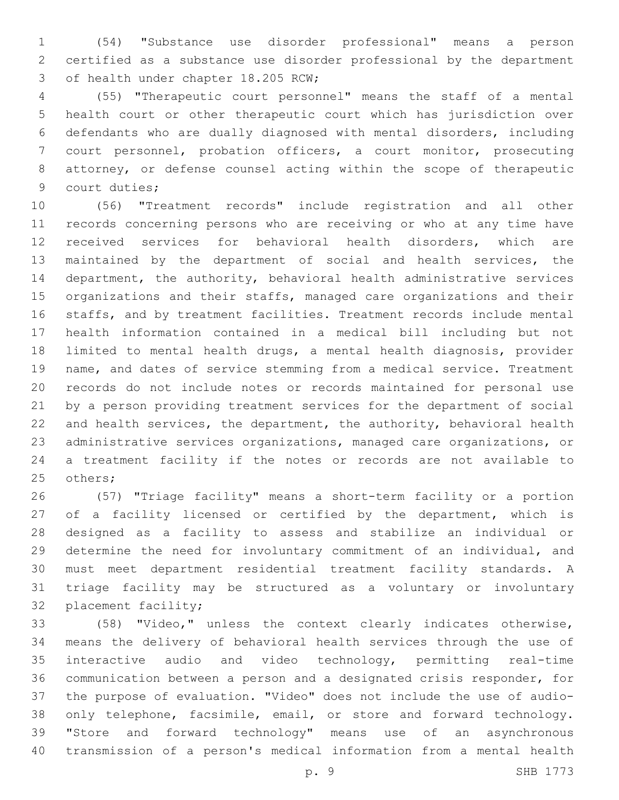(54) "Substance use disorder professional" means a person certified as a substance use disorder professional by the department 3 of health under chapter 18.205 RCW;

 (55) "Therapeutic court personnel" means the staff of a mental health court or other therapeutic court which has jurisdiction over defendants who are dually diagnosed with mental disorders, including court personnel, probation officers, a court monitor, prosecuting attorney, or defense counsel acting within the scope of therapeutic 9 court duties;

 (56) "Treatment records" include registration and all other records concerning persons who are receiving or who at any time have received services for behavioral health disorders, which are maintained by the department of social and health services, the department, the authority, behavioral health administrative services organizations and their staffs, managed care organizations and their staffs, and by treatment facilities. Treatment records include mental health information contained in a medical bill including but not limited to mental health drugs, a mental health diagnosis, provider name, and dates of service stemming from a medical service. Treatment records do not include notes or records maintained for personal use by a person providing treatment services for the department of social and health services, the department, the authority, behavioral health administrative services organizations, managed care organizations, or a treatment facility if the notes or records are not available to 25 others;

 (57) "Triage facility" means a short-term facility or a portion 27 of a facility licensed or certified by the department, which is designed as a facility to assess and stabilize an individual or determine the need for involuntary commitment of an individual, and must meet department residential treatment facility standards. A triage facility may be structured as a voluntary or involuntary 32 placement facility;

 (58) "Video," unless the context clearly indicates otherwise, means the delivery of behavioral health services through the use of interactive audio and video technology, permitting real-time communication between a person and a designated crisis responder, for the purpose of evaluation. "Video" does not include the use of audio- only telephone, facsimile, email, or store and forward technology. "Store and forward technology" means use of an asynchronous transmission of a person's medical information from a mental health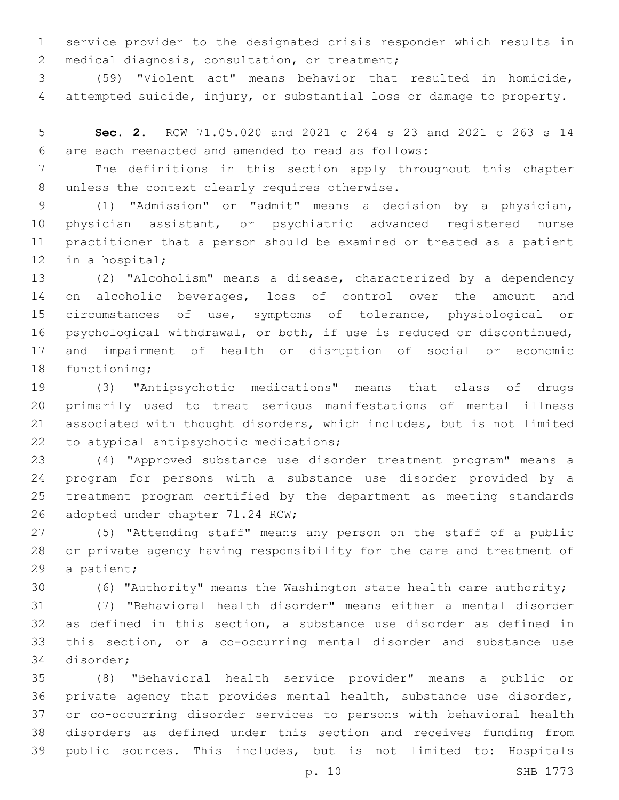service provider to the designated crisis responder which results in 2 medical diagnosis, consultation, or treatment;

 (59) "Violent act" means behavior that resulted in homicide, attempted suicide, injury, or substantial loss or damage to property.

 **Sec. 2.** RCW 71.05.020 and 2021 c 264 s 23 and 2021 c 263 s 14 are each reenacted and amended to read as follows:6

 The definitions in this section apply throughout this chapter 8 unless the context clearly requires otherwise.

 (1) "Admission" or "admit" means a decision by a physician, physician assistant, or psychiatric advanced registered nurse practitioner that a person should be examined or treated as a patient 12 in a hospital;

 (2) "Alcoholism" means a disease, characterized by a dependency 14 on alcoholic beverages, loss of control over the amount and circumstances of use, symptoms of tolerance, physiological or psychological withdrawal, or both, if use is reduced or discontinued, and impairment of health or disruption of social or economic 18 functioning;

 (3) "Antipsychotic medications" means that class of drugs primarily used to treat serious manifestations of mental illness associated with thought disorders, which includes, but is not limited 22 to atypical antipsychotic medications;

 (4) "Approved substance use disorder treatment program" means a program for persons with a substance use disorder provided by a treatment program certified by the department as meeting standards 26 adopted under chapter 71.24 RCW;

 (5) "Attending staff" means any person on the staff of a public or private agency having responsibility for the care and treatment of 29 a patient;

(6) "Authority" means the Washington state health care authority;

 (7) "Behavioral health disorder" means either a mental disorder as defined in this section, a substance use disorder as defined in this section, or a co-occurring mental disorder and substance use 34 disorder;

 (8) "Behavioral health service provider" means a public or private agency that provides mental health, substance use disorder, or co-occurring disorder services to persons with behavioral health disorders as defined under this section and receives funding from public sources. This includes, but is not limited to: Hospitals

p. 10 SHB 1773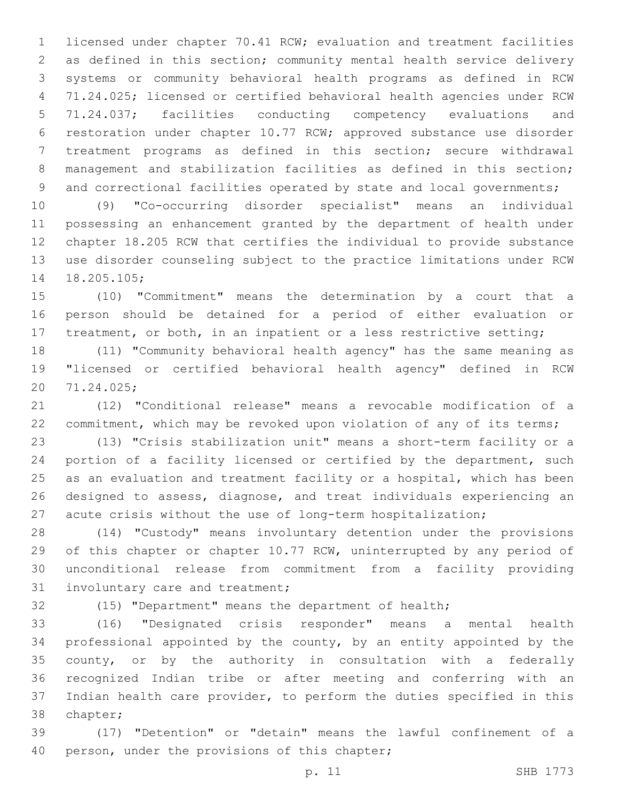licensed under chapter 70.41 RCW; evaluation and treatment facilities as defined in this section; community mental health service delivery systems or community behavioral health programs as defined in RCW 71.24.025; licensed or certified behavioral health agencies under RCW 71.24.037; facilities conducting competency evaluations and restoration under chapter 10.77 RCW; approved substance use disorder treatment programs as defined in this section; secure withdrawal management and stabilization facilities as defined in this section; 9 and correctional facilities operated by state and local governments;

 (9) "Co-occurring disorder specialist" means an individual possessing an enhancement granted by the department of health under chapter 18.205 RCW that certifies the individual to provide substance use disorder counseling subject to the practice limitations under RCW 14 18.205.105;

 (10) "Commitment" means the determination by a court that a person should be detained for a period of either evaluation or 17 treatment, or both, in an inpatient or a less restrictive setting;

 (11) "Community behavioral health agency" has the same meaning as "licensed or certified behavioral health agency" defined in RCW 71.24.025;20

 (12) "Conditional release" means a revocable modification of a 22 commitment, which may be revoked upon violation of any of its terms;

 (13) "Crisis stabilization unit" means a short-term facility or a portion of a facility licensed or certified by the department, such as an evaluation and treatment facility or a hospital, which has been designed to assess, diagnose, and treat individuals experiencing an acute crisis without the use of long-term hospitalization;

 (14) "Custody" means involuntary detention under the provisions of this chapter or chapter 10.77 RCW, uninterrupted by any period of unconditional release from commitment from a facility providing 31 involuntary care and treatment;

(15) "Department" means the department of health;

 (16) "Designated crisis responder" means a mental health professional appointed by the county, by an entity appointed by the county, or by the authority in consultation with a federally recognized Indian tribe or after meeting and conferring with an Indian health care provider, to perform the duties specified in this 38 chapter;

 (17) "Detention" or "detain" means the lawful confinement of a 40 person, under the provisions of this chapter;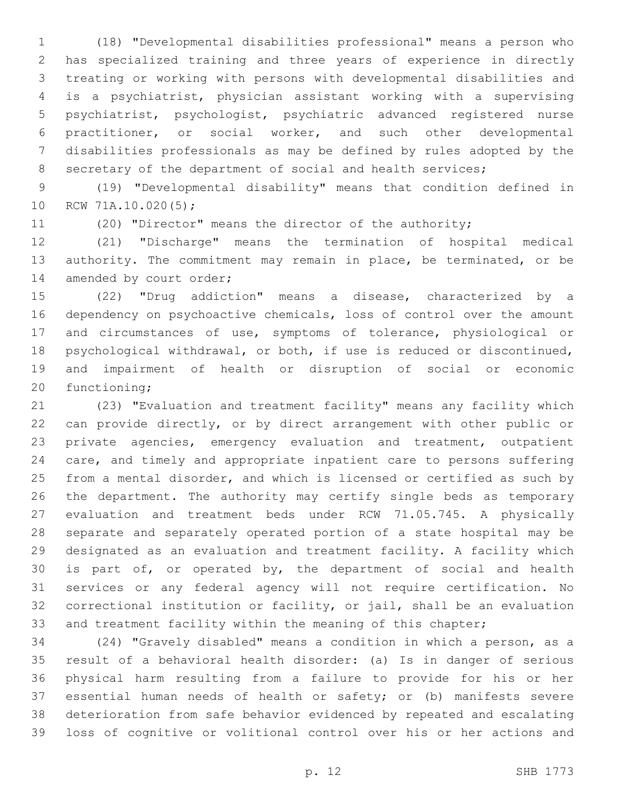(18) "Developmental disabilities professional" means a person who has specialized training and three years of experience in directly treating or working with persons with developmental disabilities and is a psychiatrist, physician assistant working with a supervising psychiatrist, psychologist, psychiatric advanced registered nurse practitioner, or social worker, and such other developmental disabilities professionals as may be defined by rules adopted by the 8 secretary of the department of social and health services;

 (19) "Developmental disability" means that condition defined in 10 RCW 71A.10.020(5);

(20) "Director" means the director of the authority;

 (21) "Discharge" means the termination of hospital medical 13 authority. The commitment may remain in place, be terminated, or be 14 amended by court order;

 (22) "Drug addiction" means a disease, characterized by a dependency on psychoactive chemicals, loss of control over the amount and circumstances of use, symptoms of tolerance, physiological or psychological withdrawal, or both, if use is reduced or discontinued, and impairment of health or disruption of social or economic 20 functioning;

 (23) "Evaluation and treatment facility" means any facility which can provide directly, or by direct arrangement with other public or private agencies, emergency evaluation and treatment, outpatient care, and timely and appropriate inpatient care to persons suffering from a mental disorder, and which is licensed or certified as such by the department. The authority may certify single beds as temporary evaluation and treatment beds under RCW 71.05.745. A physically separate and separately operated portion of a state hospital may be designated as an evaluation and treatment facility. A facility which is part of, or operated by, the department of social and health services or any federal agency will not require certification. No correctional institution or facility, or jail, shall be an evaluation 33 and treatment facility within the meaning of this chapter;

 (24) "Gravely disabled" means a condition in which a person, as a result of a behavioral health disorder: (a) Is in danger of serious physical harm resulting from a failure to provide for his or her essential human needs of health or safety; or (b) manifests severe deterioration from safe behavior evidenced by repeated and escalating loss of cognitive or volitional control over his or her actions and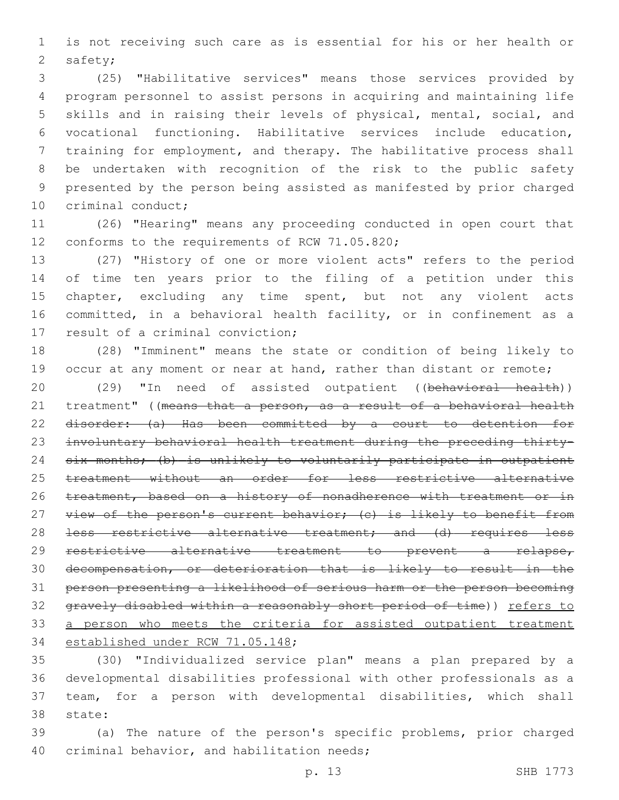is not receiving such care as is essential for his or her health or 2 safety;

 (25) "Habilitative services" means those services provided by program personnel to assist persons in acquiring and maintaining life skills and in raising their levels of physical, mental, social, and vocational functioning. Habilitative services include education, training for employment, and therapy. The habilitative process shall be undertaken with recognition of the risk to the public safety presented by the person being assisted as manifested by prior charged 10 criminal conduct;

 (26) "Hearing" means any proceeding conducted in open court that 12 conforms to the requirements of RCW 71.05.820;

 (27) "History of one or more violent acts" refers to the period of time ten years prior to the filing of a petition under this 15 chapter, excluding any time spent, but not any violent acts committed, in a behavioral health facility, or in confinement as a 17 result of a criminal conviction;

 (28) "Imminent" means the state or condition of being likely to 19 occur at any moment or near at hand, rather than distant or remote;

20 (29) "In need of assisted outpatient ((behavioral health)) 21 treatment" ((means that a person, as a result of a behavioral health disorder: (a) Has been committed by a court to detention for involuntary behavioral health treatment during the preceding thirty- six months; (b) is unlikely to voluntarily participate in outpatient treatment without an order for less restrictive alternative 26 treatment, based on a history of nonadherence with treatment or in 27 view of the person's current behavior; (c) is likely to benefit from 28 <del>less restrictive alternative treatment; and (d) requires less</del> restrictive alternative treatment to prevent a relapse, decompensation, or deterioration that is likely to result in the person presenting a likelihood of serious harm or the person becoming gravely disabled within a reasonably short period of time)) refers to 33 a person who meets the criteria for assisted outpatient treatment 34 established under RCW 71.05.148;

 (30) "Individualized service plan" means a plan prepared by a developmental disabilities professional with other professionals as a team, for a person with developmental disabilities, which shall 38 state:

 (a) The nature of the person's specific problems, prior charged 40 criminal behavior, and habilitation needs;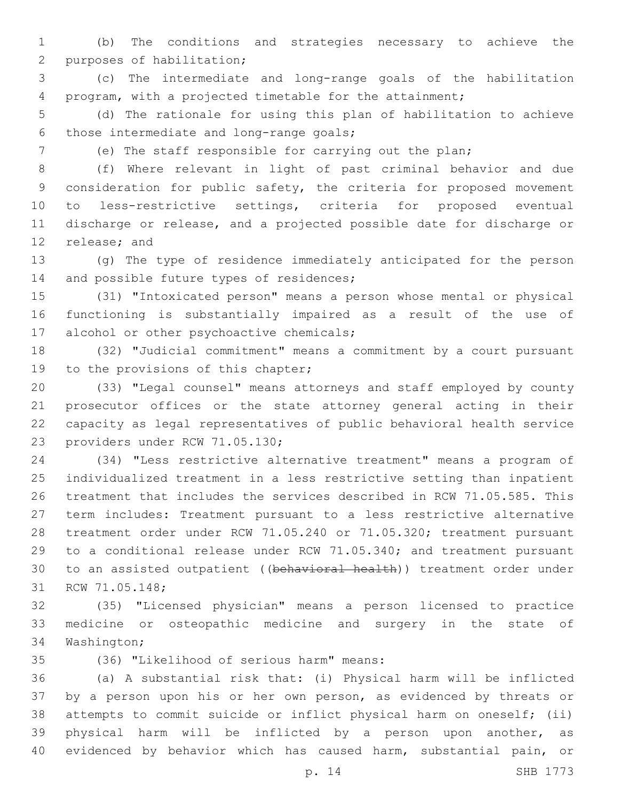(b) The conditions and strategies necessary to achieve the 2 purposes of habilitation;

 (c) The intermediate and long-range goals of the habilitation program, with a projected timetable for the attainment;

 (d) The rationale for using this plan of habilitation to achieve 6 those intermediate and long-range goals;

(e) The staff responsible for carrying out the plan;

 (f) Where relevant in light of past criminal behavior and due consideration for public safety, the criteria for proposed movement to less-restrictive settings, criteria for proposed eventual discharge or release, and a projected possible date for discharge or 12 release; and

 (g) The type of residence immediately anticipated for the person 14 and possible future types of residences;

 (31) "Intoxicated person" means a person whose mental or physical functioning is substantially impaired as a result of the use of 17 alcohol or other psychoactive chemicals;

 (32) "Judicial commitment" means a commitment by a court pursuant 19 to the provisions of this chapter;

 (33) "Legal counsel" means attorneys and staff employed by county prosecutor offices or the state attorney general acting in their capacity as legal representatives of public behavioral health service 23 providers under RCW 71.05.130;

 (34) "Less restrictive alternative treatment" means a program of individualized treatment in a less restrictive setting than inpatient treatment that includes the services described in RCW 71.05.585. This term includes: Treatment pursuant to a less restrictive alternative treatment order under RCW 71.05.240 or 71.05.320; treatment pursuant to a conditional release under RCW 71.05.340; and treatment pursuant to an assisted outpatient ((behavioral health)) treatment order under 31 RCW 71.05.148;

 (35) "Licensed physician" means a person licensed to practice medicine or osteopathic medicine and surgery in the state of 34 Washington;

(36) "Likelihood of serious harm" means:35

 (a) A substantial risk that: (i) Physical harm will be inflicted by a person upon his or her own person, as evidenced by threats or attempts to commit suicide or inflict physical harm on oneself; (ii) physical harm will be inflicted by a person upon another, as evidenced by behavior which has caused harm, substantial pain, or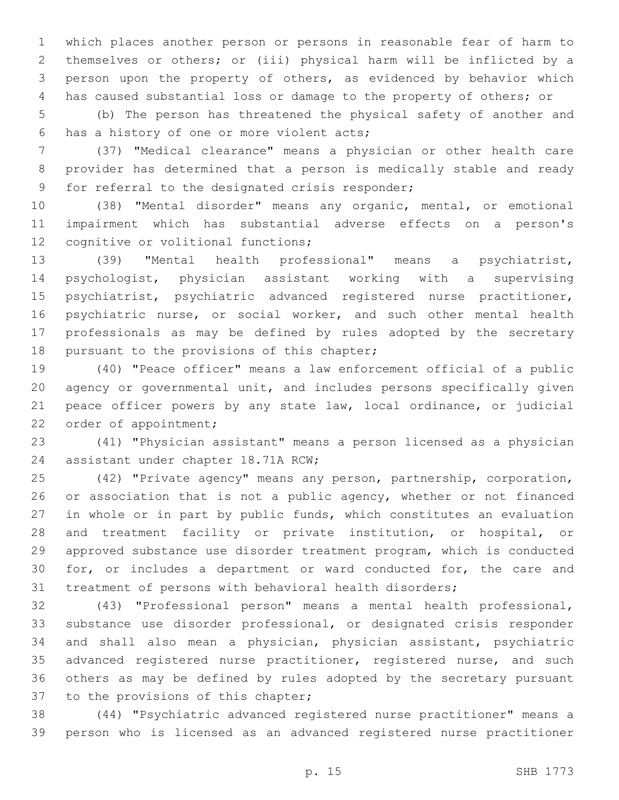which places another person or persons in reasonable fear of harm to themselves or others; or (iii) physical harm will be inflicted by a person upon the property of others, as evidenced by behavior which has caused substantial loss or damage to the property of others; or

 (b) The person has threatened the physical safety of another and 6 has a history of one or more violent acts;

 (37) "Medical clearance" means a physician or other health care provider has determined that a person is medically stable and ready 9 for referral to the designated crisis responder;

 (38) "Mental disorder" means any organic, mental, or emotional impairment which has substantial adverse effects on a person's 12 cognitive or volitional functions;

 (39) "Mental health professional" means a psychiatrist, psychologist, physician assistant working with a supervising psychiatrist, psychiatric advanced registered nurse practitioner, psychiatric nurse, or social worker, and such other mental health professionals as may be defined by rules adopted by the secretary 18 pursuant to the provisions of this chapter;

 (40) "Peace officer" means a law enforcement official of a public agency or governmental unit, and includes persons specifically given peace officer powers by any state law, local ordinance, or judicial 22 order of appointment;

 (41) "Physician assistant" means a person licensed as a physician 24 assistant under chapter 18.71A RCW;

 (42) "Private agency" means any person, partnership, corporation, 26 or association that is not a public agency, whether or not financed in whole or in part by public funds, which constitutes an evaluation and treatment facility or private institution, or hospital, or approved substance use disorder treatment program, which is conducted for, or includes a department or ward conducted for, the care and treatment of persons with behavioral health disorders;

 (43) "Professional person" means a mental health professional, substance use disorder professional, or designated crisis responder and shall also mean a physician, physician assistant, psychiatric 35 advanced registered nurse practitioner, registered nurse, and such others as may be defined by rules adopted by the secretary pursuant 37 to the provisions of this chapter;

 (44) "Psychiatric advanced registered nurse practitioner" means a person who is licensed as an advanced registered nurse practitioner

p. 15 SHB 1773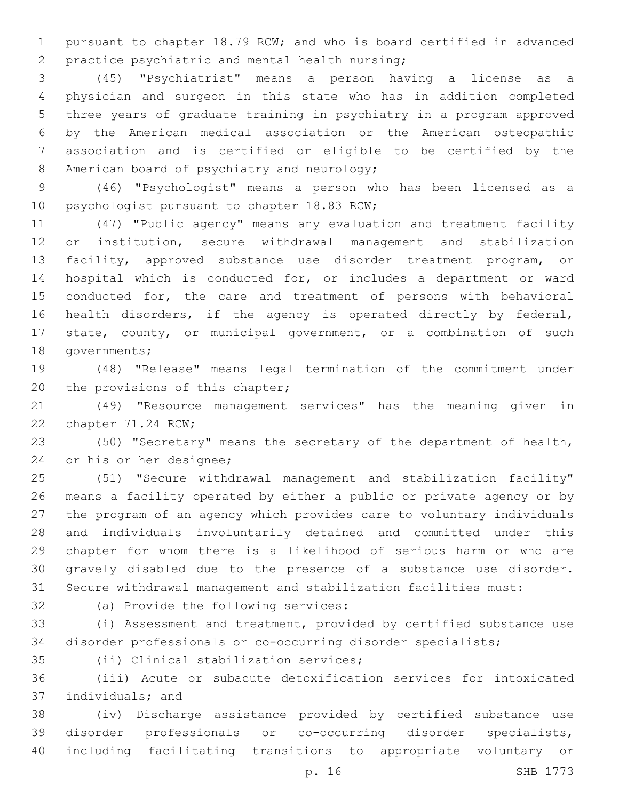pursuant to chapter 18.79 RCW; and who is board certified in advanced 2 practice psychiatric and mental health nursing;

 (45) "Psychiatrist" means a person having a license as a physician and surgeon in this state who has in addition completed three years of graduate training in psychiatry in a program approved by the American medical association or the American osteopathic association and is certified or eligible to be certified by the 8 American board of psychiatry and neurology;

 (46) "Psychologist" means a person who has been licensed as a 10 psychologist pursuant to chapter 18.83 RCW;

 (47) "Public agency" means any evaluation and treatment facility or institution, secure withdrawal management and stabilization facility, approved substance use disorder treatment program, or hospital which is conducted for, or includes a department or ward conducted for, the care and treatment of persons with behavioral health disorders, if the agency is operated directly by federal, state, county, or municipal government, or a combination of such 18 governments;

 (48) "Release" means legal termination of the commitment under 20 the provisions of this chapter;

 (49) "Resource management services" has the meaning given in 22 chapter 71.24 RCW;

 (50) "Secretary" means the secretary of the department of health, 24 or his or her designee;

 (51) "Secure withdrawal management and stabilization facility" means a facility operated by either a public or private agency or by the program of an agency which provides care to voluntary individuals and individuals involuntarily detained and committed under this chapter for whom there is a likelihood of serious harm or who are gravely disabled due to the presence of a substance use disorder. Secure withdrawal management and stabilization facilities must:

32 (a) Provide the following services:

 (i) Assessment and treatment, provided by certified substance use disorder professionals or co-occurring disorder specialists;

35 (ii) Clinical stabilization services;

 (iii) Acute or subacute detoxification services for intoxicated 37 individuals; and

 (iv) Discharge assistance provided by certified substance use disorder professionals or co-occurring disorder specialists, including facilitating transitions to appropriate voluntary or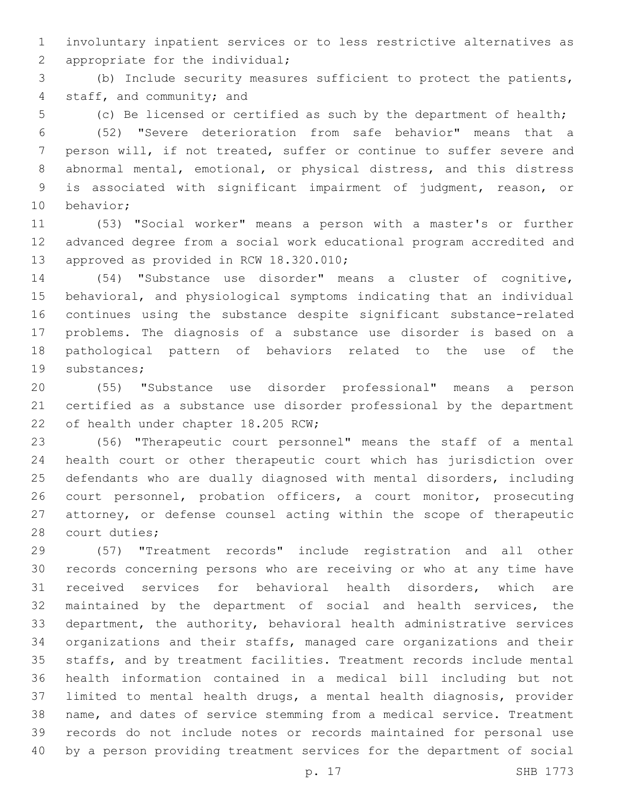involuntary inpatient services or to less restrictive alternatives as 2 appropriate for the individual;

 (b) Include security measures sufficient to protect the patients, 4 staff, and community; and

(c) Be licensed or certified as such by the department of health;

 (52) "Severe deterioration from safe behavior" means that a person will, if not treated, suffer or continue to suffer severe and abnormal mental, emotional, or physical distress, and this distress is associated with significant impairment of judgment, reason, or 10 behavior;

 (53) "Social worker" means a person with a master's or further advanced degree from a social work educational program accredited and 13 approved as provided in RCW 18.320.010;

 (54) "Substance use disorder" means a cluster of cognitive, behavioral, and physiological symptoms indicating that an individual continues using the substance despite significant substance-related problems. The diagnosis of a substance use disorder is based on a pathological pattern of behaviors related to the use of the 19 substances;

 (55) "Substance use disorder professional" means a person certified as a substance use disorder professional by the department 22 of health under chapter 18.205 RCW;

 (56) "Therapeutic court personnel" means the staff of a mental health court or other therapeutic court which has jurisdiction over defendants who are dually diagnosed with mental disorders, including court personnel, probation officers, a court monitor, prosecuting attorney, or defense counsel acting within the scope of therapeutic 28 court duties;

 (57) "Treatment records" include registration and all other records concerning persons who are receiving or who at any time have received services for behavioral health disorders, which are maintained by the department of social and health services, the department, the authority, behavioral health administrative services organizations and their staffs, managed care organizations and their staffs, and by treatment facilities. Treatment records include mental health information contained in a medical bill including but not limited to mental health drugs, a mental health diagnosis, provider name, and dates of service stemming from a medical service. Treatment records do not include notes or records maintained for personal use by a person providing treatment services for the department of social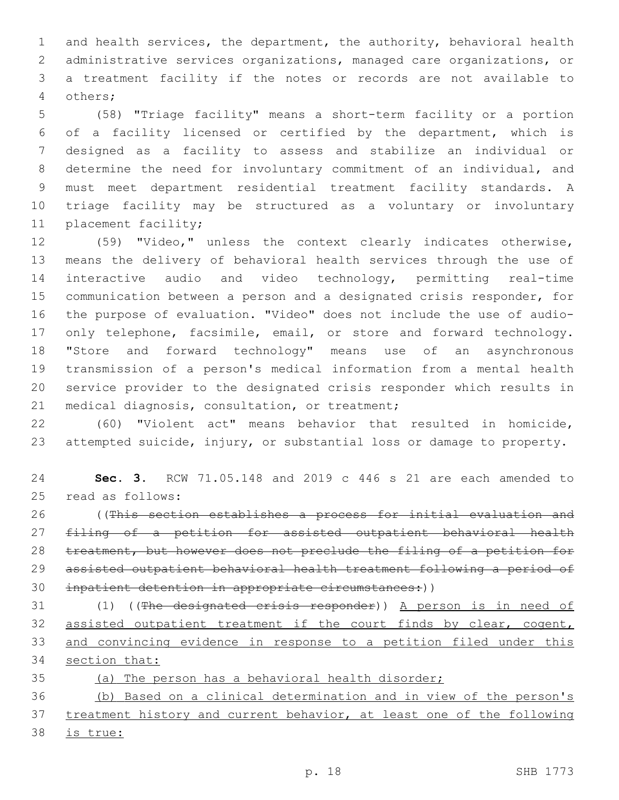and health services, the department, the authority, behavioral health administrative services organizations, managed care organizations, or a treatment facility if the notes or records are not available to others;4

 (58) "Triage facility" means a short-term facility or a portion of a facility licensed or certified by the department, which is designed as a facility to assess and stabilize an individual or determine the need for involuntary commitment of an individual, and must meet department residential treatment facility standards. A triage facility may be structured as a voluntary or involuntary 11 placement facility;

 (59) "Video," unless the context clearly indicates otherwise, means the delivery of behavioral health services through the use of interactive audio and video technology, permitting real-time communication between a person and a designated crisis responder, for the purpose of evaluation. "Video" does not include the use of audio-17 only telephone, facsimile, email, or store and forward technology. "Store and forward technology" means use of an asynchronous transmission of a person's medical information from a mental health service provider to the designated crisis responder which results in 21 medical diagnosis, consultation, or treatment;

 (60) "Violent act" means behavior that resulted in homicide, attempted suicide, injury, or substantial loss or damage to property.

 **Sec. 3.** RCW 71.05.148 and 2019 c 446 s 21 are each amended to 25 read as follows:

 ((This section establishes a process for initial evaluation and filing of a petition for assisted outpatient behavioral health 28 treatment, but however does not preclude the filing of a petition for assisted outpatient behavioral health treatment following a period of 30 inpatient detention in appropriate circumstances:))

 (1) ((The designated crisis responder)) A person is in need of assisted outpatient treatment if the court finds by clear, cogent, and convincing evidence in response to a petition filed under this 34 section that:

(a) The person has a behavioral health disorder;

 (b) Based on a clinical determination and in view of the person's 37 treatment history and current behavior, at least one of the following is true: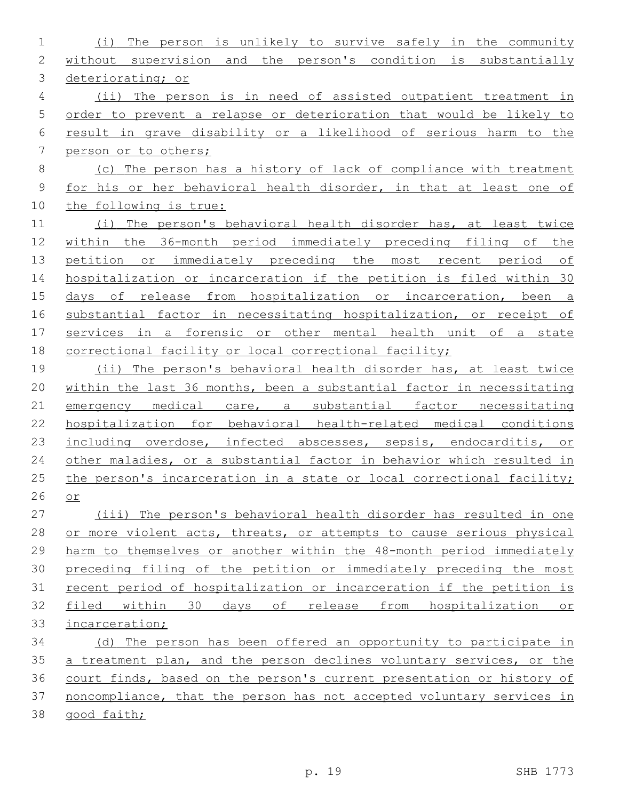| 1              | The person is unlikely to survive safely in the community<br>(i)      |
|----------------|-----------------------------------------------------------------------|
| 2              | without supervision and the person's condition is substantially       |
| 3              | deteriorating; or                                                     |
| $\overline{4}$ | (ii) The person is in need of assisted outpatient treatment in        |
| 5              | order to prevent a relapse or deterioration that would be likely to   |
| 6              | result in grave disability or a likelihood of serious harm to the     |
| 7              | person or to others;                                                  |
| $\,8\,$        | (c) The person has a history of lack of compliance with treatment     |
| $\mathsf 9$    | for his or her behavioral health disorder, in that at least one of    |
| 10             | the following is true:                                                |
| 11             | (i) The person's behavioral health disorder has, at least twice       |
| 12             | within the 36-month period immediately preceding filing of the        |
| 13             | petition or immediately preceding the most recent period of           |
| 14             | hospitalization or incarceration if the petition is filed within 30   |
| 15             | days of release from hospitalization or incarceration, been a         |
| 16             | substantial factor in necessitating hospitalization, or receipt of    |
| 17             | services in a forensic or other mental health unit of a state         |
| 18             | correctional facility or local correctional facility;                 |
| 19             | (ii) The person's behavioral health disorder has, at least twice      |
| 20             | within the last 36 months, been a substantial factor in necessitating |
| 21             | emergency medical care, a substantial factor necessitating            |
| 22             | hospitalization for behavioral health-related medical conditions      |
| 23             | including overdose, infected abscesses, sepsis, endocarditis, or      |
| 24             | other maladies, or a substantial factor in behavior which resulted in |
| 25             | the person's incarceration in a state or local correctional facility; |
| 26             | $or$                                                                  |
| 27             | (iii) The person's behavioral health disorder has resulted in one     |
| 28             | or more violent acts, threats, or attempts to cause serious physical  |
| 29             | harm to themselves or another within the 48-month period immediately  |
| 30             | preceding filing of the petition or immediately preceding the most    |
| 31             | recent period of hospitalization or incarceration if the petition is  |
| 32             | filed within<br>30 days of release from hospitalization or            |
| 33             | incarceration;                                                        |
| 34             | (d) The person has been offered an opportunity to participate in      |
| 35             | a treatment plan, and the person declines voluntary services, or the  |
| 36             | court finds, based on the person's current presentation or history of |
| 37             | noncompliance, that the person has not accepted voluntary services in |
| 38             | good faith;                                                           |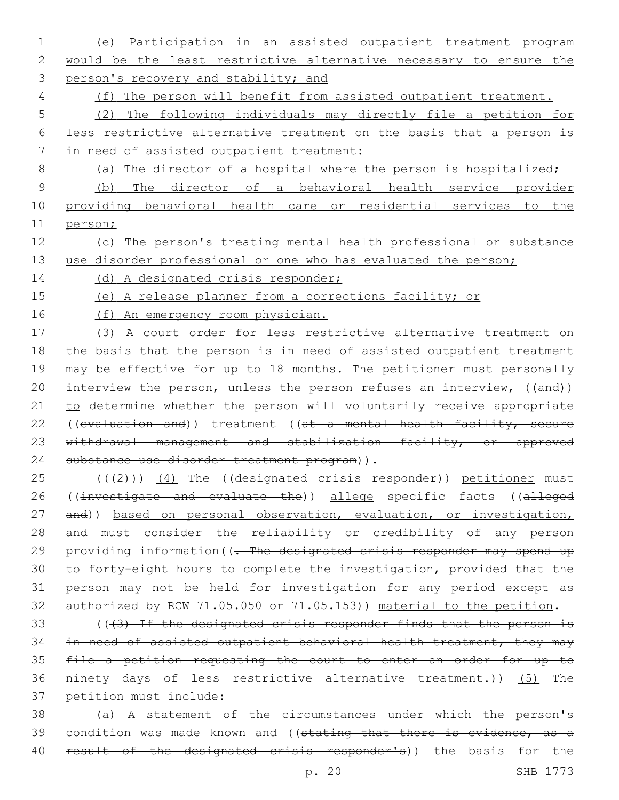- 1 (e) Participation in an assisted outpatient treatment program 2 would be the least restrictive alternative necessary to ensure the 3 person's recovery and stability; and 4 (f) The person will benefit from assisted outpatient treatment. 5 (2) The following individuals may directly file a petition for 6 less restrictive alternative treatment on the basis that a person is 7 in need of assisted outpatient treatment: 8 (a) The director of a hospital where the person is hospitalized; 9 (b) The director of a behavioral health service provider 10 providing behavioral health care or residential services to the 11 person; 12 (c) The person's treating mental health professional or substance 13 use disorder professional or one who has evaluated the person; 14 (d) A designated crisis responder; 15 (e) A release planner from a corrections facility; or 16 (f) An emergency room physician. 17 (3) A court order for less restrictive alternative treatment on 18 the basis that the person is in need of assisted outpatient treatment 19 may be effective for up to 18 months. The petitioner must personally 20 interview the person, unless the person refuses an interview, ((and)) 21 to determine whether the person will voluntarily receive appropriate 22 ((evaluation and)) treatment ((at a mental health facility, secure 23 withdrawal management and stabilization facility, or approved 24 substance use disorder treatment program)). 25 (((2)) (4) The ((designated crisis responder)) petitioner must 26 ((investigate and evaluate the)) allege specific facts ((alleged 27 and)) based on personal observation, evaluation, or investigation, 28 and must consider the reliability or credibility of any person 29 providing information((- The designated crisis responder may spend up 30 to forty-eight hours to complete the investigation, provided that the 31 person may not be held for investigation for any period except as 32 authorized by RCW 71.05.050 or 71.05.153)) material to the petition. 33 (((3) If the designated crisis responder finds that the person is 34 in need of assisted outpatient behavioral health treatment, they may 35 file a petition requesting the court to enter an order for up to 36 ninety days of less restrictive alternative treatment.)) (5) The 37 petition must include: 38 (a) A statement of the circumstances under which the person's 39 condition was made known and ((stating that there is evidence, as a 40 result of the designated crisis responder's)) the basis for the
	-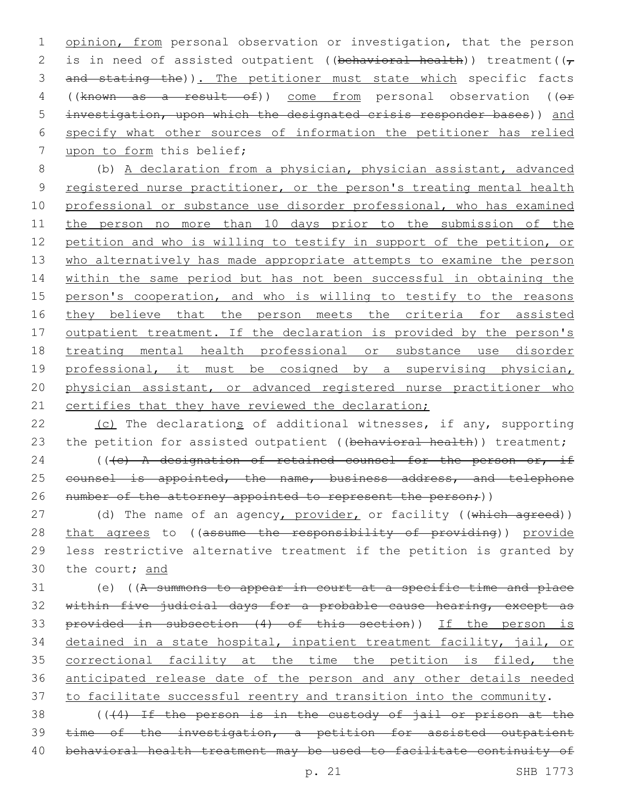1 opinion, from personal observation or investigation, that the person 2 is in need of assisted outpatient ((behavioral health)) treatment( $(\tau$ 3 and stating the)). The petitioner must state which specific facts 4 ((known as a result of)) come from personal observation ((or 5 investigation, upon which the designated crisis responder bases)) and 6 specify what other sources of information the petitioner has relied 7 upon to form this belief;

8 (b) A declaration from a physician, physician assistant, advanced 9 registered nurse practitioner, or the person's treating mental health 10 professional or substance use disorder professional, who has examined 11 the person no more than 10 days prior to the submission of the 12 petition and who is willing to testify in support of the petition, or 13 who alternatively has made appropriate attempts to examine the person 14 within the same period but has not been successful in obtaining the 15 person's cooperation, and who is willing to testify to the reasons 16 they believe that the person meets the criteria for assisted 17 outpatient treatment. If the declaration is provided by the person's 18 treating mental health professional or substance use disorder 19 professional, it must be cosigned by a supervising physician, 20 physician assistant, or advanced registered nurse practitioner who 21 certifies that they have reviewed the declaration;

22 (c) The declarations of additional witnesses, if any, supporting 23 the petition for assisted outpatient ((behavioral health)) treatment;

24 (( $\left( +e \right)$  A designation of retained counsel for the person or, if 25 counsel is appointed, the name, business address, and telephone 26 number of the attorney appointed to represent the person;))

27 (d) The name of an agency, provider, or facility ((which agreed)) 28 that agrees to ((assume the responsibility of providing)) provide 29 less restrictive alternative treatment if the petition is granted by 30 the court; and

31 (e) ((A summons to appear in court at a specific time and place 32 within five judicial days for a probable cause hearing, except as 33 provided in subsection (4) of this section)) If the person is 34 detained in a state hospital, inpatient treatment facility, jail, or 35 correctional facility at the time the petition is filed, the 36 anticipated release date of the person and any other details needed 37 to facilitate successful reentry and transition into the community.

38 (((4) If the person is in the custody of jail or prison at the 39 time of the investigation, a petition for assisted outpatient 40 behavioral health treatment may be used to facilitate continuity of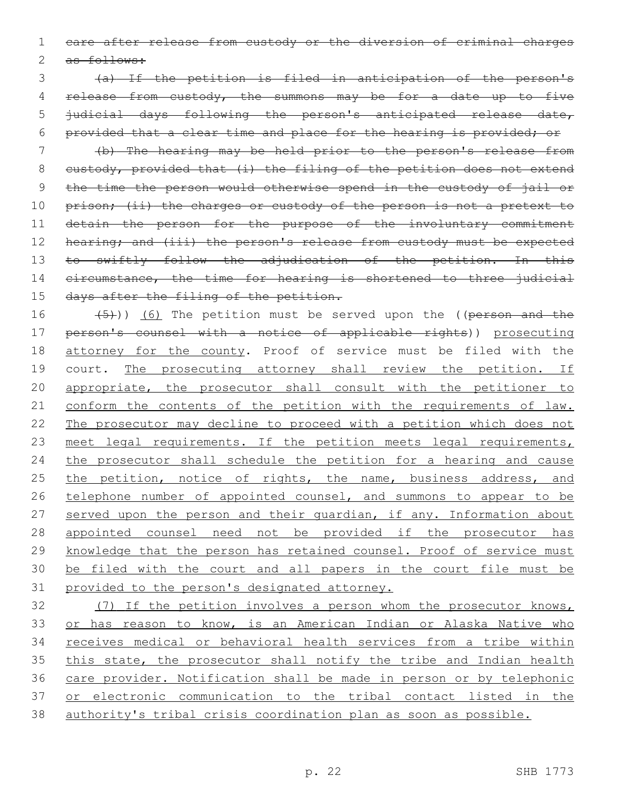1 care after release from custody or the diversion of criminal charges

2 as follows:

 (a) If the petition is filed in anticipation of the person's 4 release from custody, the summons may be for a date up to five judicial days following the person's anticipated release date, provided that a clear time and place for the hearing is provided; or

7 (b) The hearing may be held prior to the person's release from 8 custody, provided that  $(i)$  the filing of the petition does not extend 9 the time the person would otherwise spend in the custody of jail or 10 prison; (ii) the charges or custody of the person is not a pretext to 11 detain the person for the purpose of the involuntary commitment 12 hearing; and (iii) the person's release from custody must be expected 13 to swiftly follow the adjudication of the petition. In this 14 eircumstance, the time for hearing is shortened to three judicial 15 days after the filing of the petition.

16  $(5)$ )) (6) The petition must be served upon the ((person and the 17 person's counsel with a notice of applicable rights)) prosecuting 18 attorney for the county. Proof of service must be filed with the 19 court. The prosecuting attorney shall review the petition. If 20 appropriate, the prosecutor shall consult with the petitioner to 21 conform the contents of the petition with the requirements of law. 22 The prosecutor may decline to proceed with a petition which does not 23 meet legal requirements. If the petition meets legal requirements, 24 the prosecutor shall schedule the petition for a hearing and cause 25 the petition, notice of rights, the name, business address, and 26 telephone number of appointed counsel, and summons to appear to be 27 served upon the person and their quardian, if any. Information about 28 appointed counsel need not be provided if the prosecutor has 29 knowledge that the person has retained counsel. Proof of service must 30 be filed with the court and all papers in the court file must be 31 provided to the person's designated attorney.

 (7) If the petition involves a person whom the prosecutor knows, 33 or has reason to know, is an American Indian or Alaska Native who receives medical or behavioral health services from a tribe within 35 this state, the prosecutor shall notify the tribe and Indian health care provider. Notification shall be made in person or by telephonic or electronic communication to the tribal contact listed in the authority's tribal crisis coordination plan as soon as possible.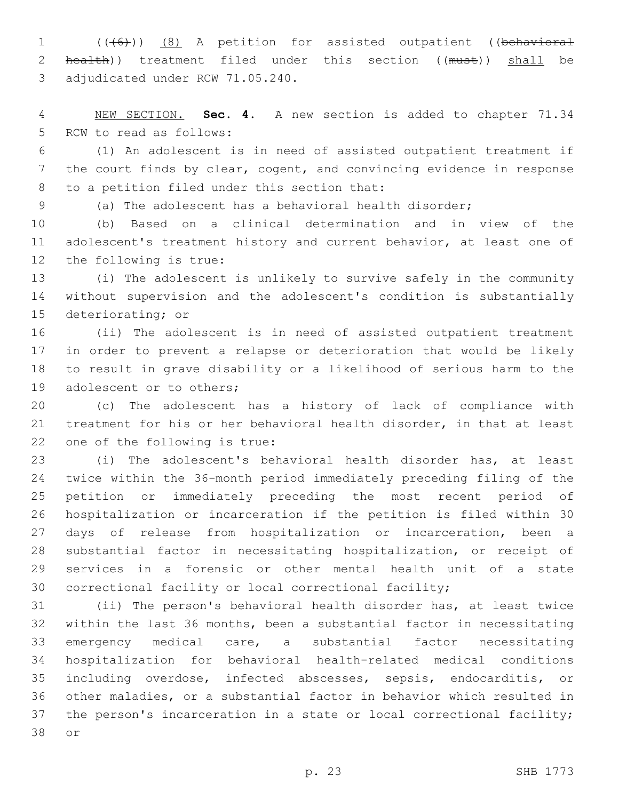1 (((6)) (8) A petition for assisted outpatient ((behavioral 2 health)) treatment filed under this section ((must)) shall be 3 adjudicated under RCW 71.05.240.

 NEW SECTION. **Sec. 4.** A new section is added to chapter 71.34 5 RCW to read as follows:

 (1) An adolescent is in need of assisted outpatient treatment if the court finds by clear, cogent, and convincing evidence in response 8 to a petition filed under this section that:

(a) The adolescent has a behavioral health disorder;

 (b) Based on a clinical determination and in view of the adolescent's treatment history and current behavior, at least one of 12 the following is true:

 (i) The adolescent is unlikely to survive safely in the community without supervision and the adolescent's condition is substantially 15 deteriorating; or

 (ii) The adolescent is in need of assisted outpatient treatment in order to prevent a relapse or deterioration that would be likely to result in grave disability or a likelihood of serious harm to the 19 adolescent or to others;

 (c) The adolescent has a history of lack of compliance with treatment for his or her behavioral health disorder, in that at least 22 one of the following is true:

 (i) The adolescent's behavioral health disorder has, at least twice within the 36-month period immediately preceding filing of the petition or immediately preceding the most recent period of hospitalization or incarceration if the petition is filed within 30 days of release from hospitalization or incarceration, been a substantial factor in necessitating hospitalization, or receipt of services in a forensic or other mental health unit of a state correctional facility or local correctional facility;

 (ii) The person's behavioral health disorder has, at least twice within the last 36 months, been a substantial factor in necessitating emergency medical care, a substantial factor necessitating hospitalization for behavioral health-related medical conditions including overdose, infected abscesses, sepsis, endocarditis, or other maladies, or a substantial factor in behavior which resulted in the person's incarceration in a state or local correctional facility; 38 or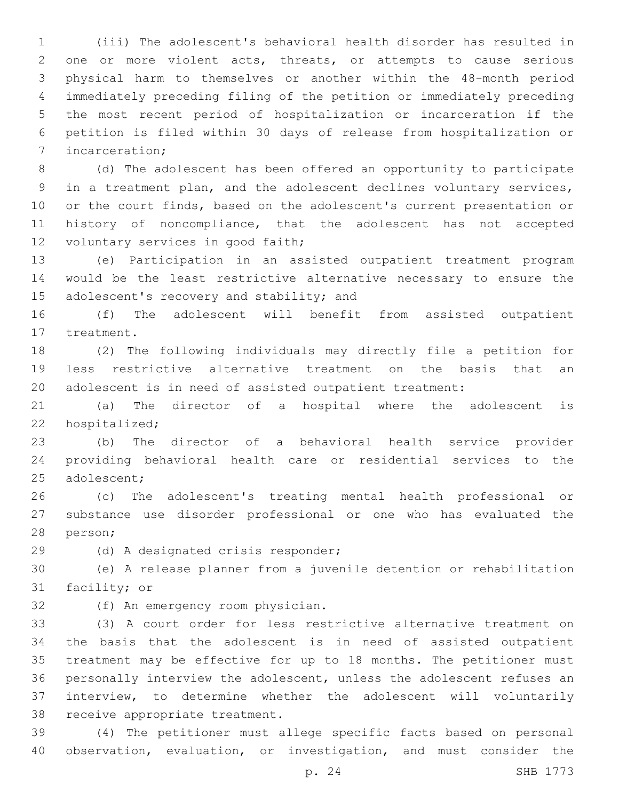(iii) The adolescent's behavioral health disorder has resulted in one or more violent acts, threats, or attempts to cause serious physical harm to themselves or another within the 48-month period immediately preceding filing of the petition or immediately preceding the most recent period of hospitalization or incarceration if the petition is filed within 30 days of release from hospitalization or 7 incarceration;

 (d) The adolescent has been offered an opportunity to participate in a treatment plan, and the adolescent declines voluntary services, or the court finds, based on the adolescent's current presentation or history of noncompliance, that the adolescent has not accepted 12 voluntary services in good faith;

 (e) Participation in an assisted outpatient treatment program would be the least restrictive alternative necessary to ensure the 15 adolescent's recovery and stability; and

 (f) The adolescent will benefit from assisted outpatient 17 treatment.

 (2) The following individuals may directly file a petition for less restrictive alternative treatment on the basis that an adolescent is in need of assisted outpatient treatment:

 (a) The director of a hospital where the adolescent is 22 hospitalized;

 (b) The director of a behavioral health service provider providing behavioral health care or residential services to the 25 adolescent;

 (c) The adolescent's treating mental health professional or substance use disorder professional or one who has evaluated the 28 person;

29 (d) A designated crisis responder;

 (e) A release planner from a juvenile detention or rehabilitation 31 facility; or

32 (f) An emergency room physician.

 (3) A court order for less restrictive alternative treatment on the basis that the adolescent is in need of assisted outpatient treatment may be effective for up to 18 months. The petitioner must personally interview the adolescent, unless the adolescent refuses an interview, to determine whether the adolescent will voluntarily 38 receive appropriate treatment.

 (4) The petitioner must allege specific facts based on personal observation, evaluation, or investigation, and must consider the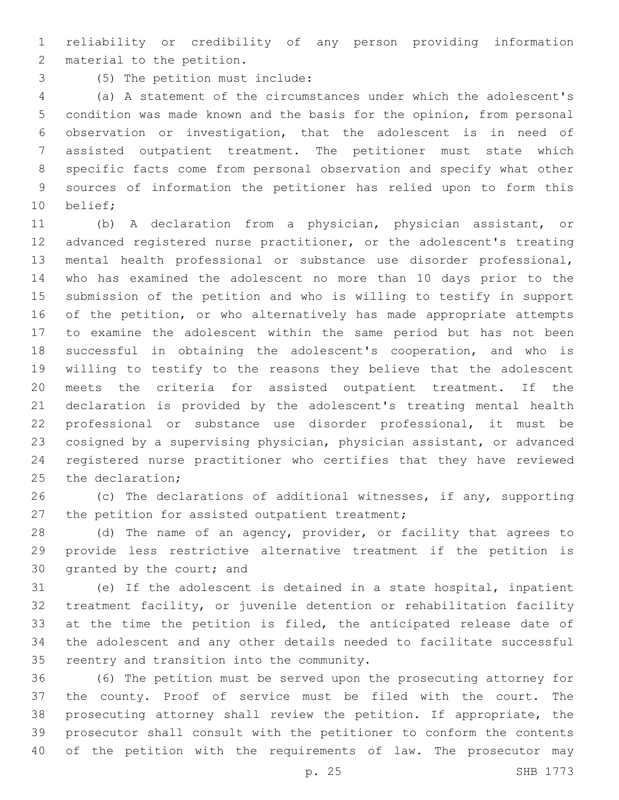reliability or credibility of any person providing information 2 material to the petition.

(5) The petition must include:3

 (a) A statement of the circumstances under which the adolescent's condition was made known and the basis for the opinion, from personal observation or investigation, that the adolescent is in need of assisted outpatient treatment. The petitioner must state which specific facts come from personal observation and specify what other sources of information the petitioner has relied upon to form this 10 belief;

 (b) A declaration from a physician, physician assistant, or advanced registered nurse practitioner, or the adolescent's treating mental health professional or substance use disorder professional, who has examined the adolescent no more than 10 days prior to the submission of the petition and who is willing to testify in support 16 of the petition, or who alternatively has made appropriate attempts to examine the adolescent within the same period but has not been successful in obtaining the adolescent's cooperation, and who is willing to testify to the reasons they believe that the adolescent meets the criteria for assisted outpatient treatment. If the declaration is provided by the adolescent's treating mental health professional or substance use disorder professional, it must be cosigned by a supervising physician, physician assistant, or advanced registered nurse practitioner who certifies that they have reviewed 25 the declaration;

 (c) The declarations of additional witnesses, if any, supporting 27 the petition for assisted outpatient treatment;

 (d) The name of an agency, provider, or facility that agrees to provide less restrictive alternative treatment if the petition is 30 granted by the court; and

 (e) If the adolescent is detained in a state hospital, inpatient treatment facility, or juvenile detention or rehabilitation facility 33 at the time the petition is filed, the anticipated release date of the adolescent and any other details needed to facilitate successful 35 reentry and transition into the community.

 (6) The petition must be served upon the prosecuting attorney for the county. Proof of service must be filed with the court. The prosecuting attorney shall review the petition. If appropriate, the prosecutor shall consult with the petitioner to conform the contents 40 of the petition with the requirements of law. The prosecutor may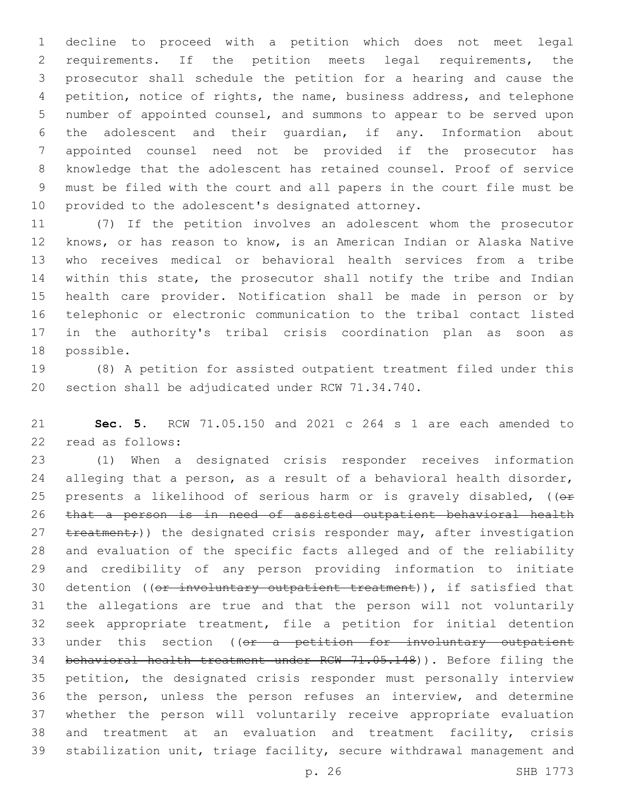decline to proceed with a petition which does not meet legal requirements. If the petition meets legal requirements, the prosecutor shall schedule the petition for a hearing and cause the petition, notice of rights, the name, business address, and telephone number of appointed counsel, and summons to appear to be served upon the adolescent and their guardian, if any. Information about appointed counsel need not be provided if the prosecutor has knowledge that the adolescent has retained counsel. Proof of service must be filed with the court and all papers in the court file must be 10 provided to the adolescent's designated attorney.

 (7) If the petition involves an adolescent whom the prosecutor knows, or has reason to know, is an American Indian or Alaska Native who receives medical or behavioral health services from a tribe within this state, the prosecutor shall notify the tribe and Indian health care provider. Notification shall be made in person or by telephonic or electronic communication to the tribal contact listed in the authority's tribal crisis coordination plan as soon as 18 possible.

 (8) A petition for assisted outpatient treatment filed under this 20 section shall be adjudicated under RCW 71.34.740.

 **Sec. 5.** RCW 71.05.150 and 2021 c 264 s 1 are each amended to 22 read as follows:

 (1) When a designated crisis responder receives information alleging that a person, as a result of a behavioral health disorder, 25 presents a likelihood of serious harm or is gravely disabled,  $(0 +$  that a person is in need of assisted outpatient behavioral health 27 treatment;)) the designated crisis responder may, after investigation and evaluation of the specific facts alleged and of the reliability and credibility of any person providing information to initiate 30 detention ((or involuntary outpatient treatment)), if satisfied that the allegations are true and that the person will not voluntarily seek appropriate treatment, file a petition for initial detention 33 under this section ((or a petition for involuntary outpatient behavioral health treatment under RCW 71.05.148)). Before filing the petition, the designated crisis responder must personally interview the person, unless the person refuses an interview, and determine whether the person will voluntarily receive appropriate evaluation and treatment at an evaluation and treatment facility, crisis stabilization unit, triage facility, secure withdrawal management and

p. 26 SHB 1773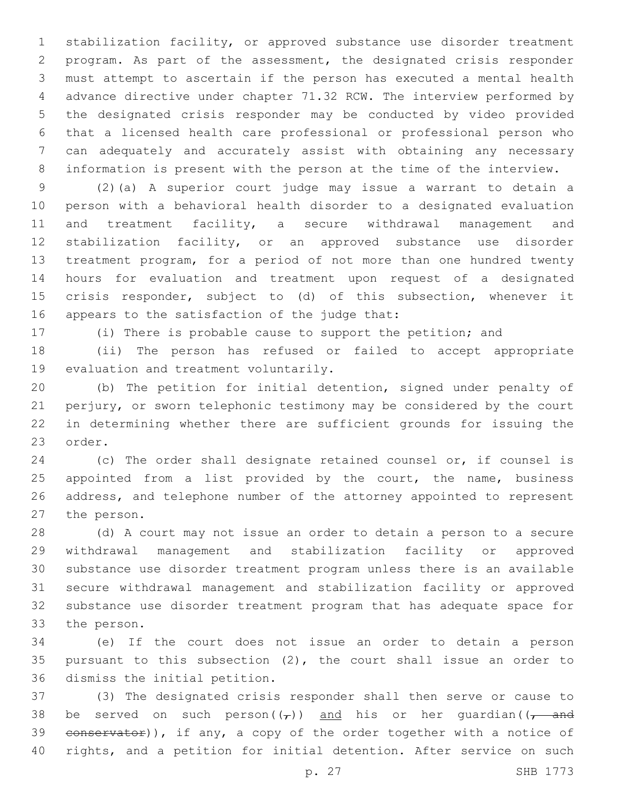stabilization facility, or approved substance use disorder treatment program. As part of the assessment, the designated crisis responder must attempt to ascertain if the person has executed a mental health advance directive under chapter 71.32 RCW. The interview performed by the designated crisis responder may be conducted by video provided that a licensed health care professional or professional person who can adequately and accurately assist with obtaining any necessary information is present with the person at the time of the interview.

 (2)(a) A superior court judge may issue a warrant to detain a person with a behavioral health disorder to a designated evaluation and treatment facility, a secure withdrawal management and stabilization facility, or an approved substance use disorder treatment program, for a period of not more than one hundred twenty hours for evaluation and treatment upon request of a designated crisis responder, subject to (d) of this subsection, whenever it appears to the satisfaction of the judge that:

(i) There is probable cause to support the petition; and

 (ii) The person has refused or failed to accept appropriate 19 evaluation and treatment voluntarily.

 (b) The petition for initial detention, signed under penalty of perjury, or sworn telephonic testimony may be considered by the court in determining whether there are sufficient grounds for issuing the 23 order.

 (c) The order shall designate retained counsel or, if counsel is 25 appointed from a list provided by the court, the name, business address, and telephone number of the attorney appointed to represent 27 the person.

 (d) A court may not issue an order to detain a person to a secure withdrawal management and stabilization facility or approved substance use disorder treatment program unless there is an available secure withdrawal management and stabilization facility or approved substance use disorder treatment program that has adequate space for 33 the person.

 (e) If the court does not issue an order to detain a person pursuant to this subsection (2), the court shall issue an order to 36 dismiss the initial petition.

 (3) The designated crisis responder shall then serve or cause to 38 be served on such person( $(\tau)$ ) and his or her guardian( $(\tau$  and 39 conservator)), if any, a copy of the order together with a notice of rights, and a petition for initial detention. After service on such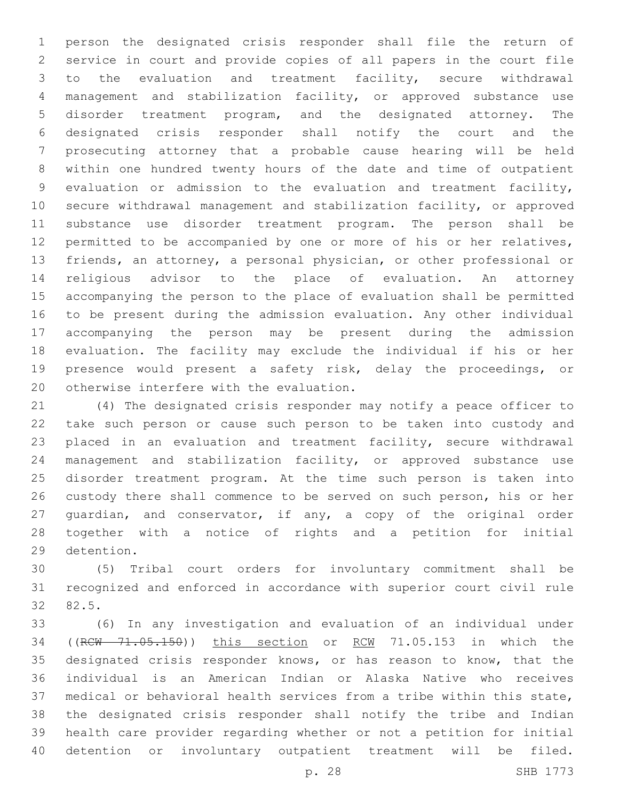person the designated crisis responder shall file the return of service in court and provide copies of all papers in the court file to the evaluation and treatment facility, secure withdrawal management and stabilization facility, or approved substance use disorder treatment program, and the designated attorney. The designated crisis responder shall notify the court and the prosecuting attorney that a probable cause hearing will be held within one hundred twenty hours of the date and time of outpatient evaluation or admission to the evaluation and treatment facility, secure withdrawal management and stabilization facility, or approved substance use disorder treatment program. The person shall be permitted to be accompanied by one or more of his or her relatives, friends, an attorney, a personal physician, or other professional or religious advisor to the place of evaluation. An attorney accompanying the person to the place of evaluation shall be permitted to be present during the admission evaluation. Any other individual accompanying the person may be present during the admission evaluation. The facility may exclude the individual if his or her presence would present a safety risk, delay the proceedings, or 20 otherwise interfere with the evaluation.

 (4) The designated crisis responder may notify a peace officer to take such person or cause such person to be taken into custody and placed in an evaluation and treatment facility, secure withdrawal management and stabilization facility, or approved substance use disorder treatment program. At the time such person is taken into custody there shall commence to be served on such person, his or her guardian, and conservator, if any, a copy of the original order together with a notice of rights and a petition for initial 29 detention.

 (5) Tribal court orders for involuntary commitment shall be recognized and enforced in accordance with superior court civil rule 32 82.5.

 (6) In any investigation and evaluation of an individual under ((RCW 71.05.150)) this section or RCW 71.05.153 in which the designated crisis responder knows, or has reason to know, that the individual is an American Indian or Alaska Native who receives medical or behavioral health services from a tribe within this state, the designated crisis responder shall notify the tribe and Indian health care provider regarding whether or not a petition for initial detention or involuntary outpatient treatment will be filed.

p. 28 SHB 1773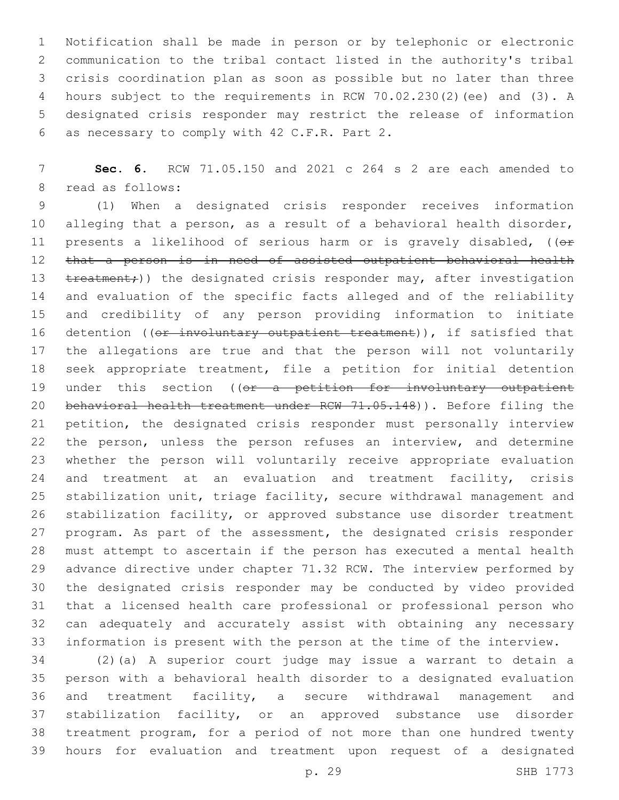Notification shall be made in person or by telephonic or electronic communication to the tribal contact listed in the authority's tribal crisis coordination plan as soon as possible but no later than three hours subject to the requirements in RCW 70.02.230(2)(ee) and (3). A designated crisis responder may restrict the release of information as necessary to comply with 42 C.F.R. Part 2.6

 **Sec. 6.** RCW 71.05.150 and 2021 c 264 s 2 are each amended to 8 read as follows:

 (1) When a designated crisis responder receives information alleging that a person, as a result of a behavioral health disorder, 11 presents a likelihood of serious harm or is gravely disabled, ((or that a person is in need of assisted outpatient behavioral health 13 treatment;)) the designated crisis responder may, after investigation and evaluation of the specific facts alleged and of the reliability and credibility of any person providing information to initiate 16 detention ((or involuntary outpatient treatment)), if satisfied that the allegations are true and that the person will not voluntarily seek appropriate treatment, file a petition for initial detention 19 under this section ((or a petition for involuntary outpatient 20 behavioral health treatment under RCW 71.05.148)). Before filing the petition, the designated crisis responder must personally interview 22 the person, unless the person refuses an interview, and determine whether the person will voluntarily receive appropriate evaluation 24 and treatment at an evaluation and treatment facility, crisis stabilization unit, triage facility, secure withdrawal management and stabilization facility, or approved substance use disorder treatment 27 program. As part of the assessment, the designated crisis responder must attempt to ascertain if the person has executed a mental health advance directive under chapter 71.32 RCW. The interview performed by the designated crisis responder may be conducted by video provided that a licensed health care professional or professional person who can adequately and accurately assist with obtaining any necessary information is present with the person at the time of the interview.

 (2)(a) A superior court judge may issue a warrant to detain a person with a behavioral health disorder to a designated evaluation and treatment facility, a secure withdrawal management and stabilization facility, or an approved substance use disorder treatment program, for a period of not more than one hundred twenty hours for evaluation and treatment upon request of a designated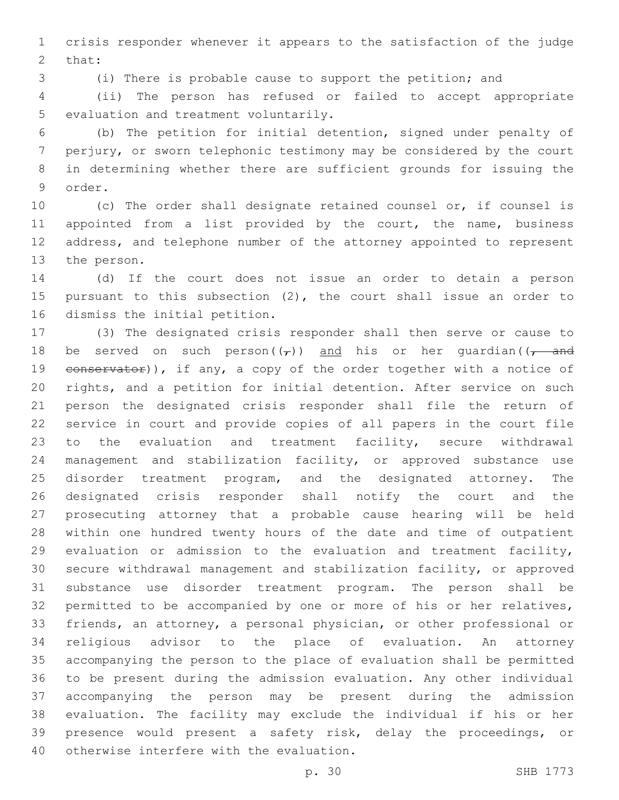crisis responder whenever it appears to the satisfaction of the judge 2 that:

(i) There is probable cause to support the petition; and

 (ii) The person has refused or failed to accept appropriate 5 evaluation and treatment voluntarily.

 (b) The petition for initial detention, signed under penalty of perjury, or sworn telephonic testimony may be considered by the court in determining whether there are sufficient grounds for issuing the 9 order.

 (c) The order shall designate retained counsel or, if counsel is 11 appointed from a list provided by the court, the name, business address, and telephone number of the attorney appointed to represent 13 the person.

 (d) If the court does not issue an order to detain a person pursuant to this subsection (2), the court shall issue an order to 16 dismiss the initial petition.

 (3) The designated crisis responder shall then serve or cause to 18 be served on such person( $(\tau)$ ) and his or her quardian( $(\tau$  and 19 eonservator)), if any, a copy of the order together with a notice of rights, and a petition for initial detention. After service on such person the designated crisis responder shall file the return of service in court and provide copies of all papers in the court file to the evaluation and treatment facility, secure withdrawal management and stabilization facility, or approved substance use disorder treatment program, and the designated attorney. The designated crisis responder shall notify the court and the prosecuting attorney that a probable cause hearing will be held within one hundred twenty hours of the date and time of outpatient evaluation or admission to the evaluation and treatment facility, secure withdrawal management and stabilization facility, or approved substance use disorder treatment program. The person shall be permitted to be accompanied by one or more of his or her relatives, friends, an attorney, a personal physician, or other professional or religious advisor to the place of evaluation. An attorney accompanying the person to the place of evaluation shall be permitted to be present during the admission evaluation. Any other individual accompanying the person may be present during the admission evaluation. The facility may exclude the individual if his or her presence would present a safety risk, delay the proceedings, or 40 otherwise interfere with the evaluation.

p. 30 SHB 1773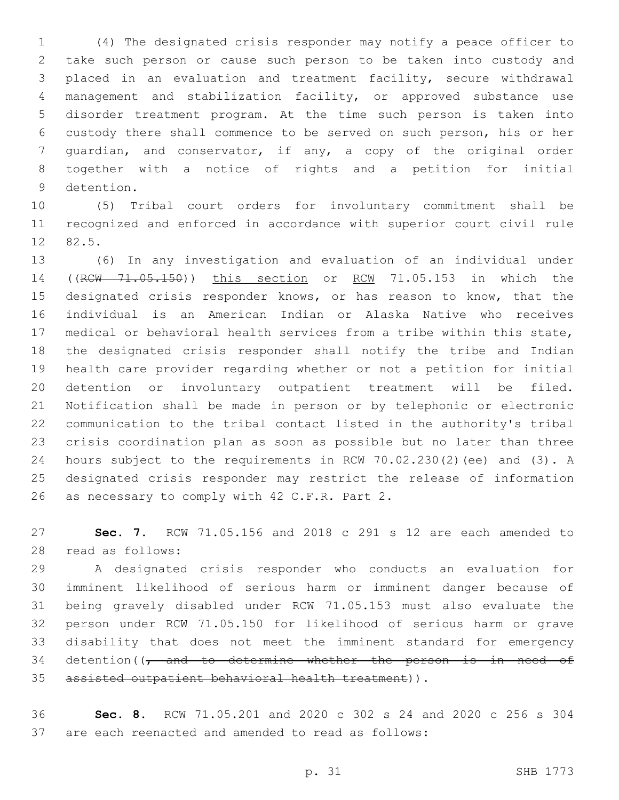(4) The designated crisis responder may notify a peace officer to take such person or cause such person to be taken into custody and placed in an evaluation and treatment facility, secure withdrawal management and stabilization facility, or approved substance use disorder treatment program. At the time such person is taken into custody there shall commence to be served on such person, his or her guardian, and conservator, if any, a copy of the original order together with a notice of rights and a petition for initial 9 detention.

 (5) Tribal court orders for involuntary commitment shall be recognized and enforced in accordance with superior court civil rule 12 82.5.

 (6) In any investigation and evaluation of an individual under ((RCW 71.05.150)) this section or RCW 71.05.153 in which the designated crisis responder knows, or has reason to know, that the individual is an American Indian or Alaska Native who receives medical or behavioral health services from a tribe within this state, the designated crisis responder shall notify the tribe and Indian health care provider regarding whether or not a petition for initial detention or involuntary outpatient treatment will be filed. Notification shall be made in person or by telephonic or electronic communication to the tribal contact listed in the authority's tribal crisis coordination plan as soon as possible but no later than three hours subject to the requirements in RCW 70.02.230(2)(ee) and (3). A designated crisis responder may restrict the release of information 26 as necessary to comply with 42 C.F.R. Part 2.

 **Sec. 7.** RCW 71.05.156 and 2018 c 291 s 12 are each amended to read as follows:28

 A designated crisis responder who conducts an evaluation for imminent likelihood of serious harm or imminent danger because of being gravely disabled under RCW 71.05.153 must also evaluate the person under RCW 71.05.150 for likelihood of serious harm or grave disability that does not meet the imminent standard for emergency 34 detention( $\sqrt{7}$  and to determine whether the person is in need of assisted outpatient behavioral health treatment)).

 **Sec. 8.** RCW 71.05.201 and 2020 c 302 s 24 and 2020 c 256 s 304 are each reenacted and amended to read as follows: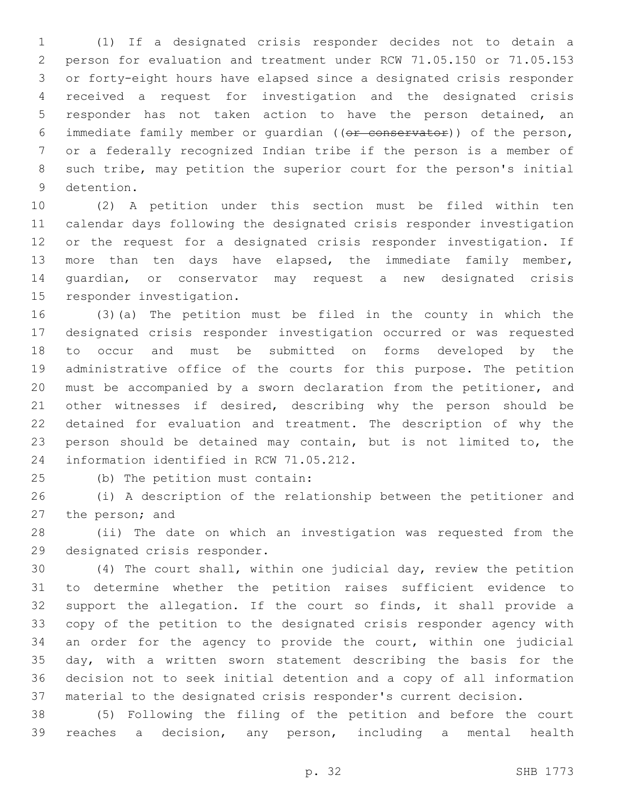(1) If a designated crisis responder decides not to detain a person for evaluation and treatment under RCW 71.05.150 or 71.05.153 or forty-eight hours have elapsed since a designated crisis responder received a request for investigation and the designated crisis responder has not taken action to have the person detained, an immediate family member or guardian ((or conservator)) of the person, or a federally recognized Indian tribe if the person is a member of such tribe, may petition the superior court for the person's initial 9 detention.

 (2) A petition under this section must be filed within ten calendar days following the designated crisis responder investigation or the request for a designated crisis responder investigation. If more than ten days have elapsed, the immediate family member, guardian, or conservator may request a new designated crisis 15 responder investigation.

 (3)(a) The petition must be filed in the county in which the designated crisis responder investigation occurred or was requested to occur and must be submitted on forms developed by the administrative office of the courts for this purpose. The petition must be accompanied by a sworn declaration from the petitioner, and other witnesses if desired, describing why the person should be detained for evaluation and treatment. The description of why the person should be detained may contain, but is not limited to, the 24 information identified in RCW 71.05.212.

25 (b) The petition must contain:

 (i) A description of the relationship between the petitioner and 27 the person; and

 (ii) The date on which an investigation was requested from the 29 designated crisis responder.

 (4) The court shall, within one judicial day, review the petition to determine whether the petition raises sufficient evidence to support the allegation. If the court so finds, it shall provide a copy of the petition to the designated crisis responder agency with an order for the agency to provide the court, within one judicial day, with a written sworn statement describing the basis for the decision not to seek initial detention and a copy of all information material to the designated crisis responder's current decision.

 (5) Following the filing of the petition and before the court reaches a decision, any person, including a mental health

p. 32 SHB 1773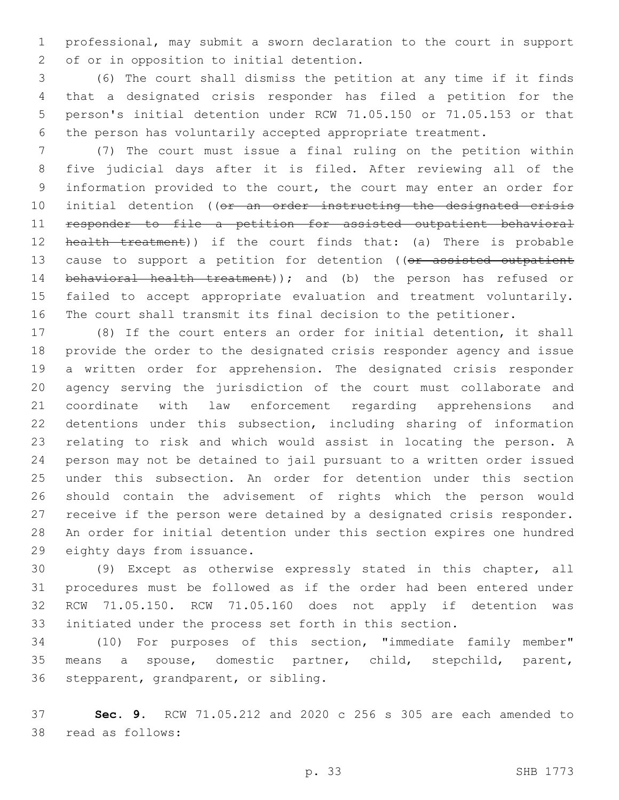professional, may submit a sworn declaration to the court in support 2 of or in opposition to initial detention.

 (6) The court shall dismiss the petition at any time if it finds that a designated crisis responder has filed a petition for the person's initial detention under RCW 71.05.150 or 71.05.153 or that the person has voluntarily accepted appropriate treatment.

 (7) The court must issue a final ruling on the petition within five judicial days after it is filed. After reviewing all of the information provided to the court, the court may enter an order for 10 initial detention ((or an order instructing the designated crisis responder to file a petition for assisted outpatient behavioral 12 health treatment)) if the court finds that: (a) There is probable 13 cause to support a petition for detention ((or assisted outpatient 14 behavioral health treatment)); and (b) the person has refused or failed to accept appropriate evaluation and treatment voluntarily. The court shall transmit its final decision to the petitioner.

 (8) If the court enters an order for initial detention, it shall provide the order to the designated crisis responder agency and issue a written order for apprehension. The designated crisis responder agency serving the jurisdiction of the court must collaborate and coordinate with law enforcement regarding apprehensions and detentions under this subsection, including sharing of information relating to risk and which would assist in locating the person. A person may not be detained to jail pursuant to a written order issued under this subsection. An order for detention under this section should contain the advisement of rights which the person would receive if the person were detained by a designated crisis responder. An order for initial detention under this section expires one hundred 29 eighty days from issuance.

 (9) Except as otherwise expressly stated in this chapter, all procedures must be followed as if the order had been entered under RCW 71.05.150. RCW 71.05.160 does not apply if detention was initiated under the process set forth in this section.

 (10) For purposes of this section, "immediate family member" means a spouse, domestic partner, child, stepchild, parent, 36 stepparent, grandparent, or sibling.

 **Sec. 9.** RCW 71.05.212 and 2020 c 256 s 305 are each amended to 38 read as follows: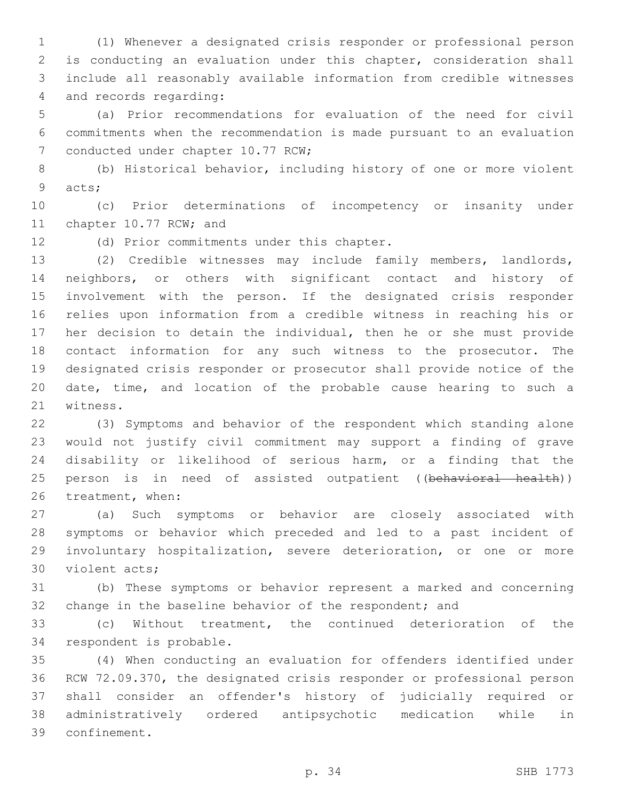(1) Whenever a designated crisis responder or professional person is conducting an evaluation under this chapter, consideration shall include all reasonably available information from credible witnesses 4 and records regarding:

 (a) Prior recommendations for evaluation of the need for civil commitments when the recommendation is made pursuant to an evaluation 7 conducted under chapter 10.77 RCW;

 (b) Historical behavior, including history of one or more violent 9 acts;

 (c) Prior determinations of incompetency or insanity under 11 chapter 10.77 RCW; and

12 (d) Prior commitments under this chapter.

 (2) Credible witnesses may include family members, landlords, neighbors, or others with significant contact and history of involvement with the person. If the designated crisis responder relies upon information from a credible witness in reaching his or her decision to detain the individual, then he or she must provide contact information for any such witness to the prosecutor. The designated crisis responder or prosecutor shall provide notice of the date, time, and location of the probable cause hearing to such a 21 witness.

 (3) Symptoms and behavior of the respondent which standing alone would not justify civil commitment may support a finding of grave disability or likelihood of serious harm, or a finding that the 25 person is in need of assisted outpatient ((behavioral health)) 26 treatment, when:

 (a) Such symptoms or behavior are closely associated with symptoms or behavior which preceded and led to a past incident of involuntary hospitalization, severe deterioration, or one or more 30 violent acts:

 (b) These symptoms or behavior represent a marked and concerning 32 change in the baseline behavior of the respondent; and

 (c) Without treatment, the continued deterioration of the 34 respondent is probable.

 (4) When conducting an evaluation for offenders identified under RCW 72.09.370, the designated crisis responder or professional person shall consider an offender's history of judicially required or administratively ordered antipsychotic medication while in confinement.39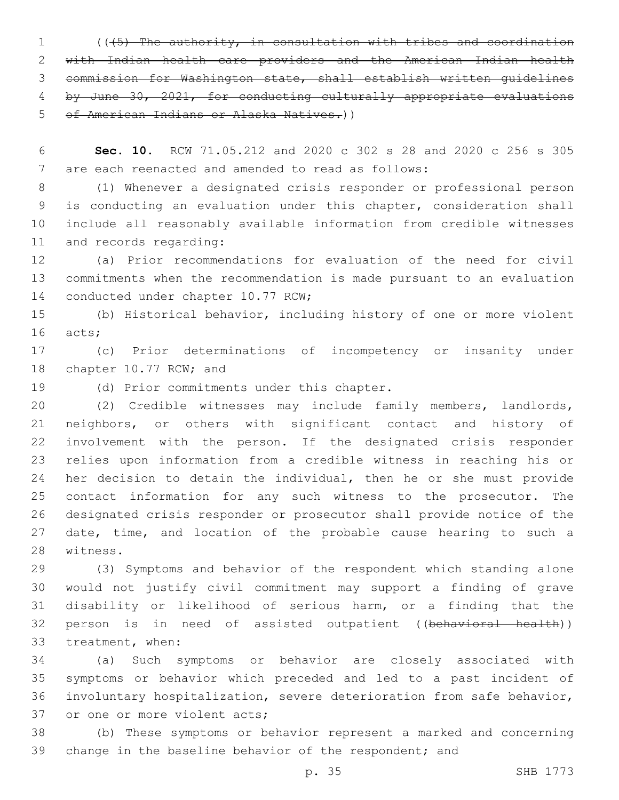(((5) The authority, in consultation with tribes and coordination with Indian health care providers and the American Indian health commission for Washington state, shall establish written guidelines by June 30, 2021, for conducting culturally appropriate evaluations of American Indians or Alaska Natives.))

 **Sec. 10.** RCW 71.05.212 and 2020 c 302 s 28 and 2020 c 256 s 305 7 are each reenacted and amended to read as follows:

 (1) Whenever a designated crisis responder or professional person is conducting an evaluation under this chapter, consideration shall include all reasonably available information from credible witnesses 11 and records regarding:

 (a) Prior recommendations for evaluation of the need for civil commitments when the recommendation is made pursuant to an evaluation 14 conducted under chapter 10.77 RCW;

 (b) Historical behavior, including history of one or more violent 16 acts;

 (c) Prior determinations of incompetency or insanity under 18 chapter 10.77 RCW; and

19 (d) Prior commitments under this chapter.

 (2) Credible witnesses may include family members, landlords, neighbors, or others with significant contact and history of involvement with the person. If the designated crisis responder relies upon information from a credible witness in reaching his or her decision to detain the individual, then he or she must provide contact information for any such witness to the prosecutor. The designated crisis responder or prosecutor shall provide notice of the 27 date, time, and location of the probable cause hearing to such a 28 witness.

 (3) Symptoms and behavior of the respondent which standing alone would not justify civil commitment may support a finding of grave disability or likelihood of serious harm, or a finding that the 32 person is in need of assisted outpatient ((behavioral health)) 33 treatment, when:

 (a) Such symptoms or behavior are closely associated with symptoms or behavior which preceded and led to a past incident of involuntary hospitalization, severe deterioration from safe behavior, 37 or one or more violent acts;

 (b) These symptoms or behavior represent a marked and concerning 39 change in the baseline behavior of the respondent; and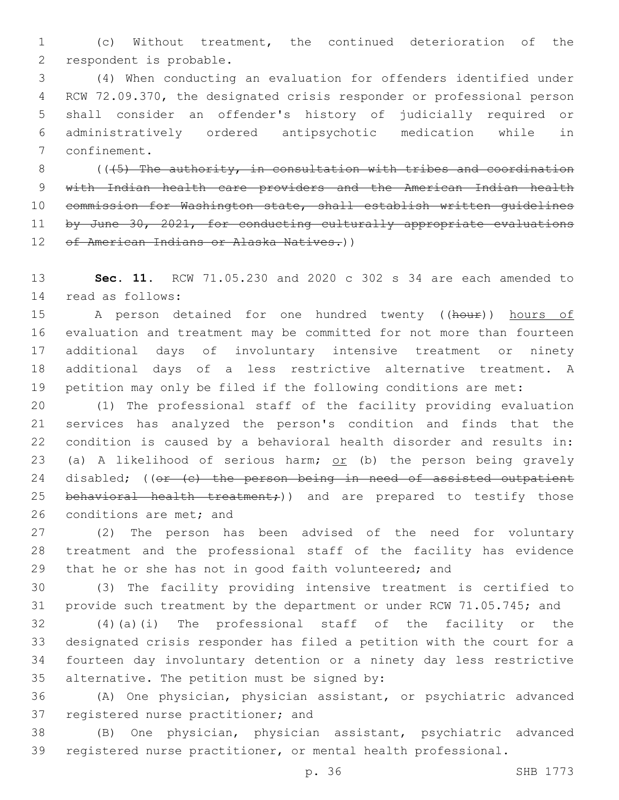(c) Without treatment, the continued deterioration of the 2 respondent is probable.

 (4) When conducting an evaluation for offenders identified under RCW 72.09.370, the designated crisis responder or professional person shall consider an offender's history of judicially required or administratively ordered antipsychotic medication while in 7 confinement.

8  $($  ( $($   $\{5\}$  The authority, in consultation with tribes and coordination with Indian health care providers and the American Indian health commission for Washington state, shall establish written guidelines 11 by June 30, 2021, for conducting culturally appropriate evaluations 12 of American Indians or Alaska Natives.))

 **Sec. 11.** RCW 71.05.230 and 2020 c 302 s 34 are each amended to 14 read as follows:

15 A person detained for one hundred twenty ((hour)) hours of evaluation and treatment may be committed for not more than fourteen additional days of involuntary intensive treatment or ninety additional days of a less restrictive alternative treatment. A petition may only be filed if the following conditions are met:

 (1) The professional staff of the facility providing evaluation services has analyzed the person's condition and finds that the condition is caused by a behavioral health disorder and results in: 23 (a) A likelihood of serious harm; or (b) the person being gravely 24 disabled; ((or (c) the person being in need of assisted outpatient 25 behavioral health treatment;)) and are prepared to testify those 26 conditions are met; and

 (2) The person has been advised of the need for voluntary treatment and the professional staff of the facility has evidence 29 that he or she has not in good faith volunteered; and

 (3) The facility providing intensive treatment is certified to provide such treatment by the department or under RCW 71.05.745; and

 (4)(a)(i) The professional staff of the facility or the designated crisis responder has filed a petition with the court for a fourteen day involuntary detention or a ninety day less restrictive 35 alternative. The petition must be signed by:

 (A) One physician, physician assistant, or psychiatric advanced 37 registered nurse practitioner; and

 (B) One physician, physician assistant, psychiatric advanced registered nurse practitioner, or mental health professional.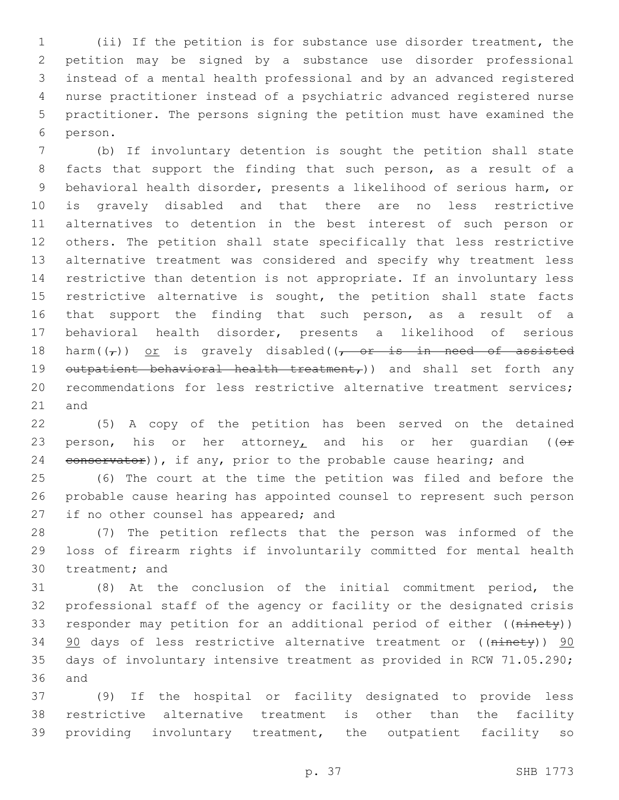(ii) If the petition is for substance use disorder treatment, the petition may be signed by a substance use disorder professional instead of a mental health professional and by an advanced registered nurse practitioner instead of a psychiatric advanced registered nurse practitioner. The persons signing the petition must have examined the 6 person.

 (b) If involuntary detention is sought the petition shall state facts that support the finding that such person, as a result of a behavioral health disorder, presents a likelihood of serious harm, or is gravely disabled and that there are no less restrictive alternatives to detention in the best interest of such person or others. The petition shall state specifically that less restrictive alternative treatment was considered and specify why treatment less restrictive than detention is not appropriate. If an involuntary less 15 restrictive alternative is sought, the petition shall state facts 16 that support the finding that such person, as a result of a behavioral health disorder, presents a likelihood of serious 18 harm( $(\tau)$ ) or is gravely disabled( $\tau$  or is in need of assisted 19 outpatient behavioral health treatment,)) and shall set forth any recommendations for less restrictive alternative treatment services; and

 (5) A copy of the petition has been served on the detained 23 person, his or her attorney, and his or her quardian ( $(e^x)$ 24 conservator)), if any, prior to the probable cause hearing; and

 (6) The court at the time the petition was filed and before the probable cause hearing has appointed counsel to represent such person 27 if no other counsel has appeared; and

 (7) The petition reflects that the person was informed of the loss of firearm rights if involuntarily committed for mental health 30 treatment; and

 (8) At the conclusion of the initial commitment period, the professional staff of the agency or facility or the designated crisis 33 responder may petition for an additional period of either ((ninety)) 34 90 days of less restrictive alternative treatment or ((ninety)) 90 days of involuntary intensive treatment as provided in RCW 71.05.290; and

 (9) If the hospital or facility designated to provide less restrictive alternative treatment is other than the facility providing involuntary treatment, the outpatient facility so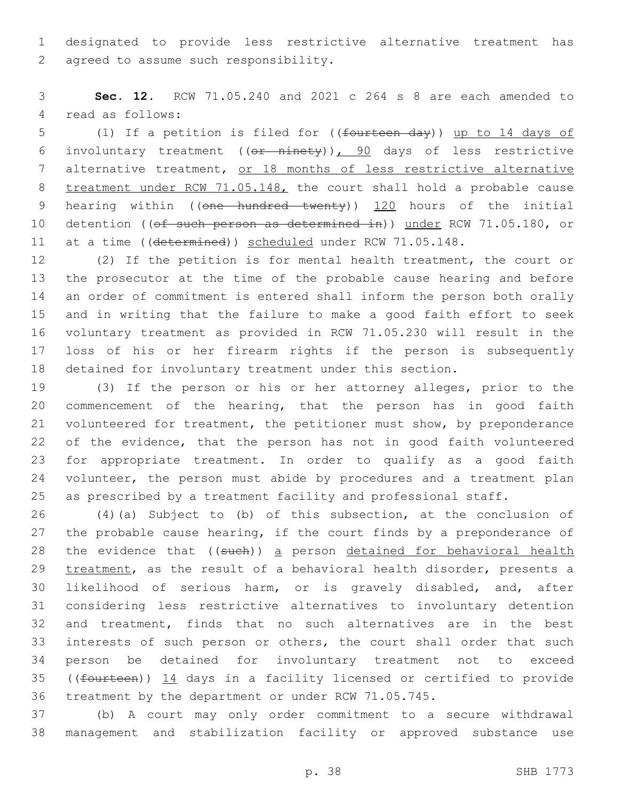designated to provide less restrictive alternative treatment has 2 agreed to assume such responsibility.

 **Sec. 12.** RCW 71.05.240 and 2021 c 264 s 8 are each amended to 4 read as follows:

 (1) If a petition is filed for ((fourteen day)) up to 14 days of involuntary treatment ((or ninety)), 90 days of less restrictive 7 alternative treatment, or 18 months of less restrictive alternative 8 treatment under RCW 71.05.148, the court shall hold a probable cause 9 hearing within ((one hundred twenty)) 120 hours of the initial 10 detention ((of such person as determined in)) under RCW 71.05.180, or 11 at a time ((determined)) scheduled under RCW 71.05.148.

 (2) If the petition is for mental health treatment, the court or the prosecutor at the time of the probable cause hearing and before an order of commitment is entered shall inform the person both orally and in writing that the failure to make a good faith effort to seek voluntary treatment as provided in RCW 71.05.230 will result in the loss of his or her firearm rights if the person is subsequently detained for involuntary treatment under this section.

 (3) If the person or his or her attorney alleges, prior to the commencement of the hearing, that the person has in good faith volunteered for treatment, the petitioner must show, by preponderance of the evidence, that the person has not in good faith volunteered for appropriate treatment. In order to qualify as a good faith 24 volunteer, the person must abide by procedures and a treatment plan as prescribed by a treatment facility and professional staff.

 (4)(a) Subject to (b) of this subsection, at the conclusion of 27 the probable cause hearing, if the court finds by a preponderance of 28 the evidence that ((such)) a person detained for behavioral health 29 treatment, as the result of a behavioral health disorder, presents a likelihood of serious harm, or is gravely disabled, and, after considering less restrictive alternatives to involuntary detention and treatment, finds that no such alternatives are in the best interests of such person or others, the court shall order that such person be detained for involuntary treatment not to exceed ((fourteen)) 14 days in a facility licensed or certified to provide treatment by the department or under RCW 71.05.745.

 (b) A court may only order commitment to a secure withdrawal management and stabilization facility or approved substance use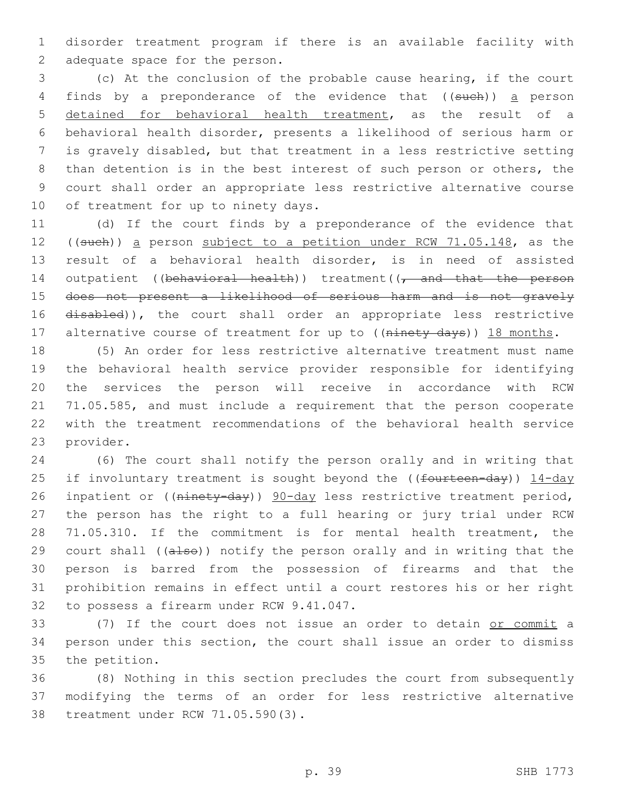disorder treatment program if there is an available facility with 2 adequate space for the person.

 (c) At the conclusion of the probable cause hearing, if the court 4 finds by a preponderance of the evidence that ((such)) a person detained for behavioral health treatment, as the result of a behavioral health disorder, presents a likelihood of serious harm or is gravely disabled, but that treatment in a less restrictive setting than detention is in the best interest of such person or others, the court shall order an appropriate less restrictive alternative course 10 of treatment for up to ninety days.

 (d) If the court finds by a preponderance of the evidence that 12 ((such)) a person subject to a petition under RCW 71.05.148, as the result of a behavioral health disorder, is in need of assisted 14 outpatient ((behavioral health)) treatment( $\sqrt{\tau}$  and that the person does not present a likelihood of serious harm and is not gravely 16 disabled)), the court shall order an appropriate less restrictive 17 alternative course of treatment for up to ((ninety days)) 18 months.

 (5) An order for less restrictive alternative treatment must name the behavioral health service provider responsible for identifying the services the person will receive in accordance with RCW 71.05.585, and must include a requirement that the person cooperate with the treatment recommendations of the behavioral health service 23 provider.

 (6) The court shall notify the person orally and in writing that 25 if involuntary treatment is sought beyond the ((fourteen-day)) 14-day 26 inpatient or ((ninety-day)) 90-day less restrictive treatment period, the person has the right to a full hearing or jury trial under RCW 71.05.310. If the commitment is for mental health treatment, the 29 court shall ((also)) notify the person orally and in writing that the person is barred from the possession of firearms and that the prohibition remains in effect until a court restores his or her right 32 to possess a firearm under RCW 9.41.047.

 (7) If the court does not issue an order to detain or commit a person under this section, the court shall issue an order to dismiss 35 the petition.

 (8) Nothing in this section precludes the court from subsequently modifying the terms of an order for less restrictive alternative 38 treatment under RCW 71.05.590(3).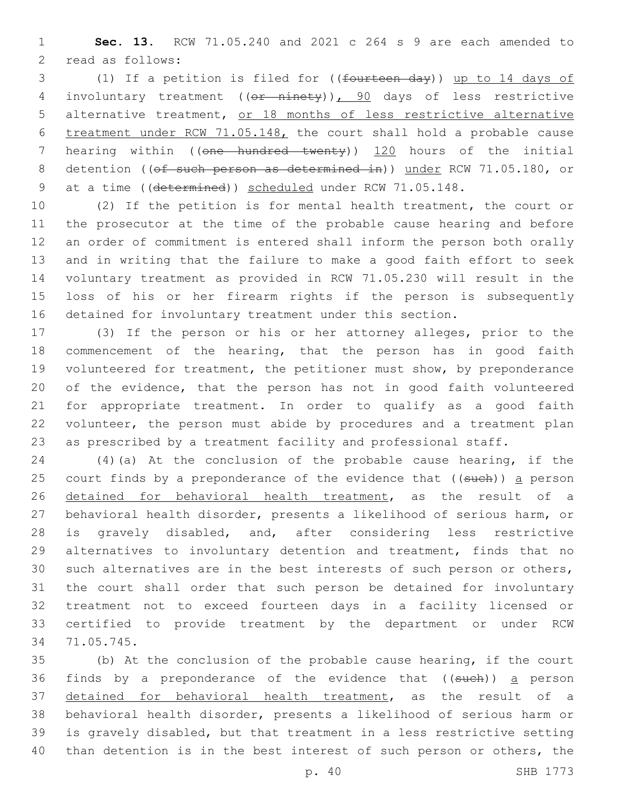**Sec. 13.** RCW 71.05.240 and 2021 c 264 s 9 are each amended to 2 read as follows:

 (1) If a petition is filed for ((fourteen day)) up to 14 days of involuntary treatment ((or ninety)), 90 days of less restrictive alternative treatment, or 18 months of less restrictive alternative treatment under RCW 71.05.148, the court shall hold a probable cause hearing within ((one hundred twenty)) 120 hours of the initial 8 detention ((of such person as determined in)) under RCW 71.05.180, or 9 at a time ((determined)) scheduled under RCW 71.05.148.

 (2) If the petition is for mental health treatment, the court or the prosecutor at the time of the probable cause hearing and before an order of commitment is entered shall inform the person both orally and in writing that the failure to make a good faith effort to seek voluntary treatment as provided in RCW 71.05.230 will result in the loss of his or her firearm rights if the person is subsequently detained for involuntary treatment under this section.

 (3) If the person or his or her attorney alleges, prior to the commencement of the hearing, that the person has in good faith volunteered for treatment, the petitioner must show, by preponderance of the evidence, that the person has not in good faith volunteered for appropriate treatment. In order to qualify as a good faith volunteer, the person must abide by procedures and a treatment plan as prescribed by a treatment facility and professional staff.

 (4)(a) At the conclusion of the probable cause hearing, if the 25 court finds by a preponderance of the evidence that ((such)) a person detained for behavioral health treatment, as the result of a behavioral health disorder, presents a likelihood of serious harm, or is gravely disabled, and, after considering less restrictive alternatives to involuntary detention and treatment, finds that no such alternatives are in the best interests of such person or others, the court shall order that such person be detained for involuntary treatment not to exceed fourteen days in a facility licensed or certified to provide treatment by the department or under RCW 71.05.745.34

 (b) At the conclusion of the probable cause hearing, if the court 36 finds by a preponderance of the evidence that ((such)) a person detained for behavioral health treatment, as the result of a behavioral health disorder, presents a likelihood of serious harm or is gravely disabled, but that treatment in a less restrictive setting than detention is in the best interest of such person or others, the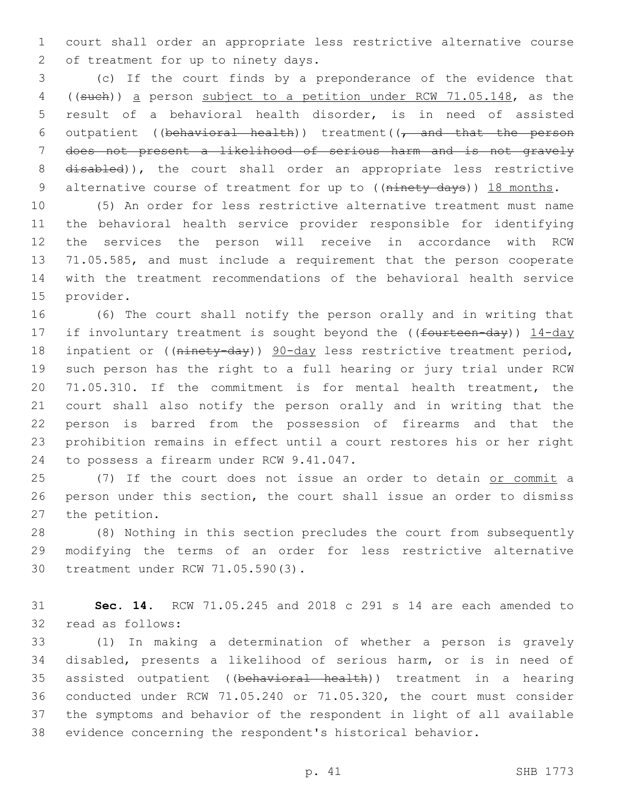court shall order an appropriate less restrictive alternative course 2 of treatment for up to ninety days.

 (c) If the court finds by a preponderance of the evidence that ((such)) a person subject to a petition under RCW 71.05.148, as the result of a behavioral health disorder, is in need of assisted 6 outpatient ((behavioral health)) treatment( $(-$  and that the person does not present a likelihood of serious harm and is not gravely 8 disabled)), the court shall order an appropriate less restrictive 9 alternative course of treatment for up to ((ninety days)) 18 months.

 (5) An order for less restrictive alternative treatment must name the behavioral health service provider responsible for identifying the services the person will receive in accordance with RCW 71.05.585, and must include a requirement that the person cooperate with the treatment recommendations of the behavioral health service 15 provider.

 (6) The court shall notify the person orally and in writing that 17 if involuntary treatment is sought beyond the ((fourteen-day)) 14-day 18 inpatient or ((ninety-day)) 90-day less restrictive treatment period, such person has the right to a full hearing or jury trial under RCW 71.05.310. If the commitment is for mental health treatment, the court shall also notify the person orally and in writing that the person is barred from the possession of firearms and that the prohibition remains in effect until a court restores his or her right 24 to possess a firearm under RCW 9.41.047.

 (7) If the court does not issue an order to detain or commit a person under this section, the court shall issue an order to dismiss 27 the petition.

 (8) Nothing in this section precludes the court from subsequently modifying the terms of an order for less restrictive alternative 30 treatment under RCW 71.05.590(3).

 **Sec. 14.** RCW 71.05.245 and 2018 c 291 s 14 are each amended to 32 read as follows:

 (1) In making a determination of whether a person is gravely disabled, presents a likelihood of serious harm, or is in need of 35 assisted outpatient ((behavioral health)) treatment in a hearing conducted under RCW 71.05.240 or 71.05.320, the court must consider the symptoms and behavior of the respondent in light of all available evidence concerning the respondent's historical behavior.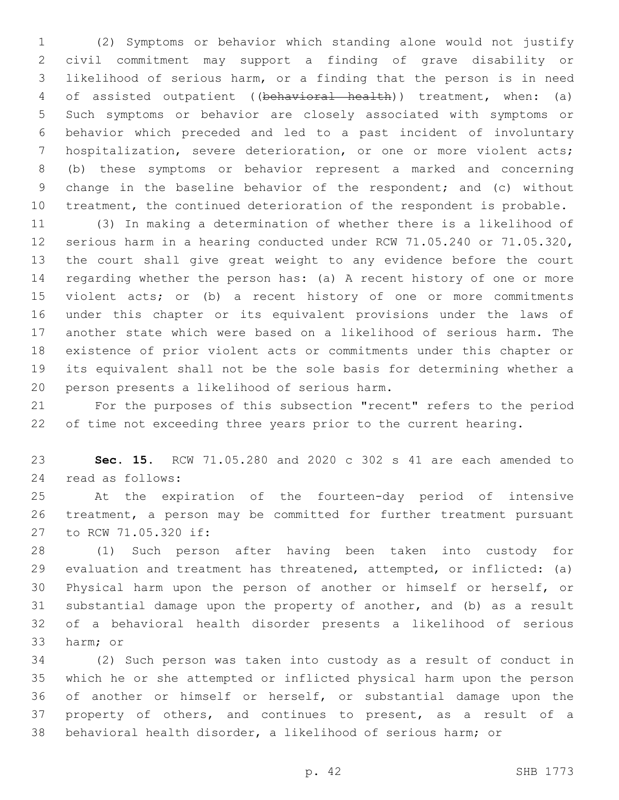(2) Symptoms or behavior which standing alone would not justify civil commitment may support a finding of grave disability or likelihood of serious harm, or a finding that the person is in need of assisted outpatient ((behavioral health)) treatment, when: (a) Such symptoms or behavior are closely associated with symptoms or behavior which preceded and led to a past incident of involuntary hospitalization, severe deterioration, or one or more violent acts; (b) these symptoms or behavior represent a marked and concerning change in the baseline behavior of the respondent; and (c) without treatment, the continued deterioration of the respondent is probable.

 (3) In making a determination of whether there is a likelihood of serious harm in a hearing conducted under RCW 71.05.240 or 71.05.320, the court shall give great weight to any evidence before the court regarding whether the person has: (a) A recent history of one or more violent acts; or (b) a recent history of one or more commitments under this chapter or its equivalent provisions under the laws of another state which were based on a likelihood of serious harm. The existence of prior violent acts or commitments under this chapter or its equivalent shall not be the sole basis for determining whether a 20 person presents a likelihood of serious harm.

 For the purposes of this subsection "recent" refers to the period of time not exceeding three years prior to the current hearing.

 **Sec. 15.** RCW 71.05.280 and 2020 c 302 s 41 are each amended to 24 read as follows:

 At the expiration of the fourteen-day period of intensive treatment, a person may be committed for further treatment pursuant 27 to RCW 71.05.320 if:

 (1) Such person after having been taken into custody for evaluation and treatment has threatened, attempted, or inflicted: (a) Physical harm upon the person of another or himself or herself, or substantial damage upon the property of another, and (b) as a result of a behavioral health disorder presents a likelihood of serious 33 harm; or

 (2) Such person was taken into custody as a result of conduct in which he or she attempted or inflicted physical harm upon the person of another or himself or herself, or substantial damage upon the property of others, and continues to present, as a result of a behavioral health disorder, a likelihood of serious harm; or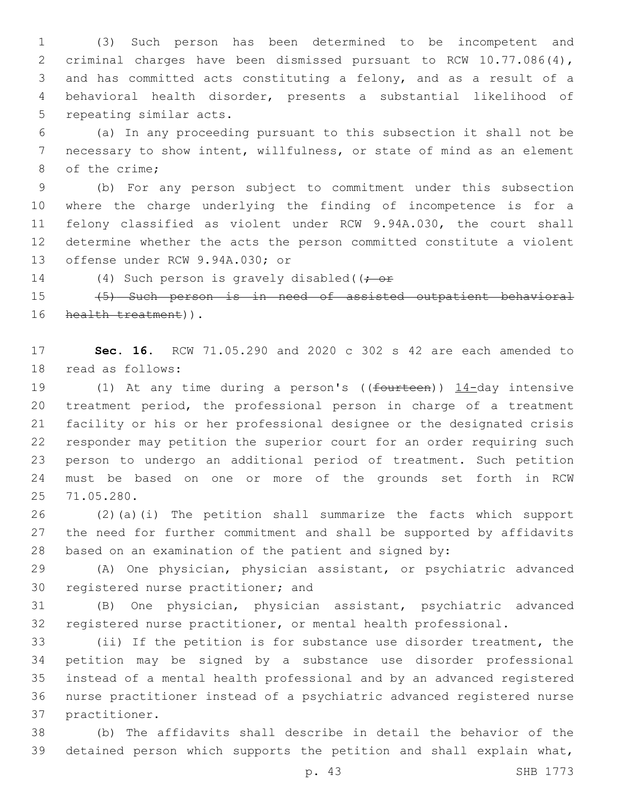(3) Such person has been determined to be incompetent and criminal charges have been dismissed pursuant to RCW 10.77.086(4), and has committed acts constituting a felony, and as a result of a behavioral health disorder, presents a substantial likelihood of 5 repeating similar acts.

 (a) In any proceeding pursuant to this subsection it shall not be necessary to show intent, willfulness, or state of mind as an element 8 of the crime;

 (b) For any person subject to commitment under this subsection where the charge underlying the finding of incompetence is for a felony classified as violent under RCW 9.94A.030, the court shall determine whether the acts the person committed constitute a violent 13 offense under RCW 9.94A.030; or

14 (4) Such person is gravely disabled((; or

 (5) Such person is in need of assisted outpatient behavioral 16 health treatment)).

 **Sec. 16.** RCW 71.05.290 and 2020 c 302 s 42 are each amended to 18 read as follows:

19 (1) At any time during a person's ((fourteen)) 14-day intensive treatment period, the professional person in charge of a treatment facility or his or her professional designee or the designated crisis responder may petition the superior court for an order requiring such person to undergo an additional period of treatment. Such petition must be based on one or more of the grounds set forth in RCW 25 71.05.280.

 (2)(a)(i) The petition shall summarize the facts which support the need for further commitment and shall be supported by affidavits based on an examination of the patient and signed by:

 (A) One physician, physician assistant, or psychiatric advanced 30 registered nurse practitioner; and

 (B) One physician, physician assistant, psychiatric advanced registered nurse practitioner, or mental health professional.

 (ii) If the petition is for substance use disorder treatment, the petition may be signed by a substance use disorder professional instead of a mental health professional and by an advanced registered nurse practitioner instead of a psychiatric advanced registered nurse 37 practitioner.

 (b) The affidavits shall describe in detail the behavior of the detained person which supports the petition and shall explain what,

p. 43 SHB 1773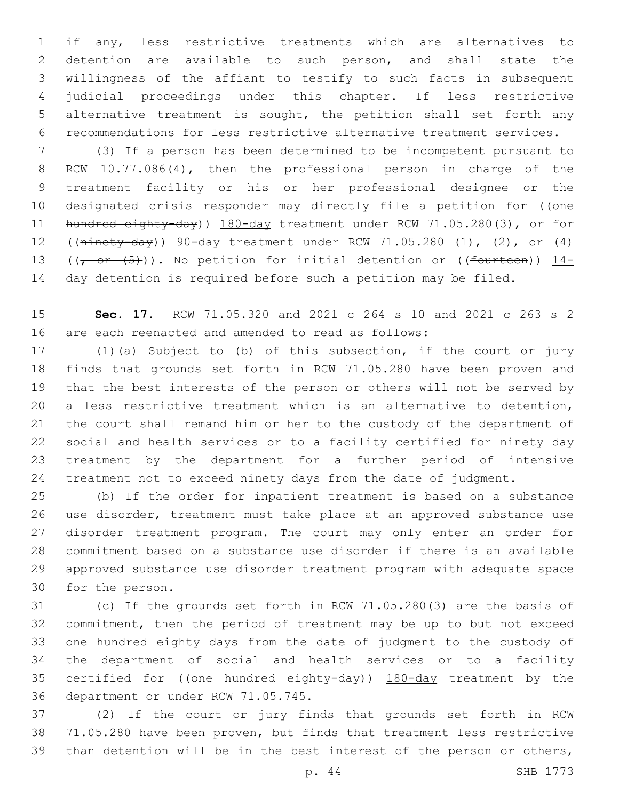if any, less restrictive treatments which are alternatives to detention are available to such person, and shall state the willingness of the affiant to testify to such facts in subsequent judicial proceedings under this chapter. If less restrictive alternative treatment is sought, the petition shall set forth any recommendations for less restrictive alternative treatment services.

 (3) If a person has been determined to be incompetent pursuant to RCW 10.77.086(4), then the professional person in charge of the treatment facility or his or her professional designee or the 10 designated crisis responder may directly file a petition for ((one 11 hundred eighty-day)) 180-day treatment under RCW 71.05.280(3), or for ((ninety-day)) 90-day treatment under RCW 71.05.280 (1), (2), or (4) 13 ( $(-$  or  $(5)$ )). No petition for initial detention or ((fourteen)) 14-day detention is required before such a petition may be filed.

 **Sec. 17.** RCW 71.05.320 and 2021 c 264 s 10 and 2021 c 263 s 2 are each reenacted and amended to read as follows:

 (1)(a) Subject to (b) of this subsection, if the court or jury finds that grounds set forth in RCW 71.05.280 have been proven and that the best interests of the person or others will not be served by a less restrictive treatment which is an alternative to detention, the court shall remand him or her to the custody of the department of social and health services or to a facility certified for ninety day treatment by the department for a further period of intensive treatment not to exceed ninety days from the date of judgment.

 (b) If the order for inpatient treatment is based on a substance use disorder, treatment must take place at an approved substance use disorder treatment program. The court may only enter an order for commitment based on a substance use disorder if there is an available approved substance use disorder treatment program with adequate space 30 for the person.

 (c) If the grounds set forth in RCW 71.05.280(3) are the basis of commitment, then the period of treatment may be up to but not exceed one hundred eighty days from the date of judgment to the custody of the department of social and health services or to a facility 35 certified for ((one hundred eighty-day)) 180-day treatment by the 36 department or under RCW 71.05.745.

 (2) If the court or jury finds that grounds set forth in RCW 71.05.280 have been proven, but finds that treatment less restrictive than detention will be in the best interest of the person or others,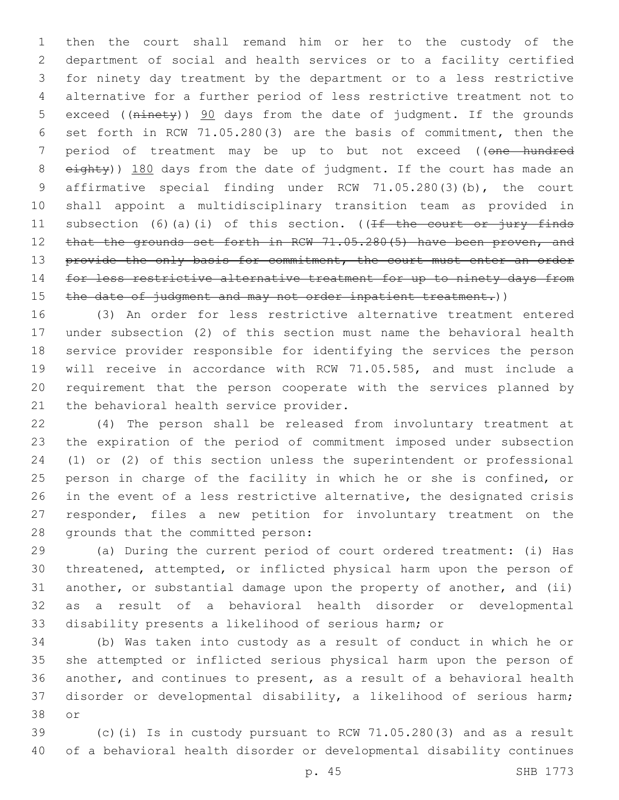then the court shall remand him or her to the custody of the department of social and health services or to a facility certified for ninety day treatment by the department or to a less restrictive alternative for a further period of less restrictive treatment not to 5 exceed ((ninety)) 90 days from the date of judgment. If the grounds set forth in RCW 71.05.280(3) are the basis of commitment, then the 7 period of treatment may be up to but not exceed ((one hundred 8 eighty)) 180 days from the date of judgment. If the court has made an affirmative special finding under RCW 71.05.280(3)(b), the court shall appoint a multidisciplinary transition team as provided in 11 subsection (6)(a)(i) of this section. ((If the court or jury finds 12 that the grounds set forth in RCW 71.05.280(5) have been proven, and 13 provide the only basis for commitment, the court must enter an order 14 for less restrictive alternative treatment for up to ninety days from 15 the date of judgment and may not order inpatient treatment.))

 (3) An order for less restrictive alternative treatment entered under subsection (2) of this section must name the behavioral health service provider responsible for identifying the services the person will receive in accordance with RCW 71.05.585, and must include a requirement that the person cooperate with the services planned by 21 the behavioral health service provider.

 (4) The person shall be released from involuntary treatment at the expiration of the period of commitment imposed under subsection (1) or (2) of this section unless the superintendent or professional person in charge of the facility in which he or she is confined, or in the event of a less restrictive alternative, the designated crisis responder, files a new petition for involuntary treatment on the 28 grounds that the committed person:

 (a) During the current period of court ordered treatment: (i) Has threatened, attempted, or inflicted physical harm upon the person of another, or substantial damage upon the property of another, and (ii) as a result of a behavioral health disorder or developmental disability presents a likelihood of serious harm; or

 (b) Was taken into custody as a result of conduct in which he or she attempted or inflicted serious physical harm upon the person of another, and continues to present, as a result of a behavioral health disorder or developmental disability, a likelihood of serious harm; 38 or

 (c)(i) Is in custody pursuant to RCW 71.05.280(3) and as a result of a behavioral health disorder or developmental disability continues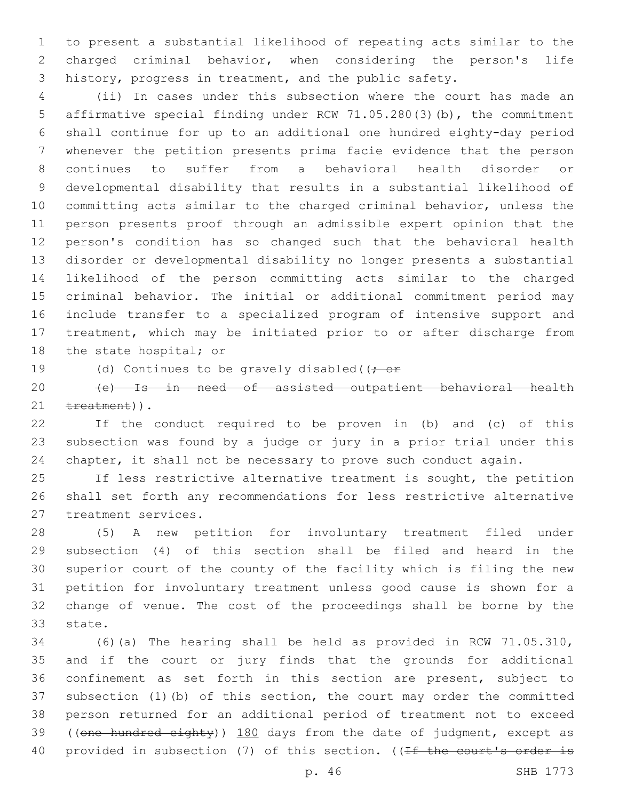to present a substantial likelihood of repeating acts similar to the charged criminal behavior, when considering the person's life history, progress in treatment, and the public safety.

 (ii) In cases under this subsection where the court has made an affirmative special finding under RCW 71.05.280(3)(b), the commitment shall continue for up to an additional one hundred eighty-day period whenever the petition presents prima facie evidence that the person continues to suffer from a behavioral health disorder or developmental disability that results in a substantial likelihood of committing acts similar to the charged criminal behavior, unless the person presents proof through an admissible expert opinion that the person's condition has so changed such that the behavioral health disorder or developmental disability no longer presents a substantial likelihood of the person committing acts similar to the charged criminal behavior. The initial or additional commitment period may include transfer to a specialized program of intensive support and treatment, which may be initiated prior to or after discharge from 18 the state hospital; or

19 (d) Continues to be gravely disabled( $(-e^+e^-)$ 

 (e) Is in need of assisted outpatient behavioral health 21 treatment)).

 If the conduct required to be proven in (b) and (c) of this subsection was found by a judge or jury in a prior trial under this chapter, it shall not be necessary to prove such conduct again.

 If less restrictive alternative treatment is sought, the petition shall set forth any recommendations for less restrictive alternative 27 treatment services.

 (5) A new petition for involuntary treatment filed under subsection (4) of this section shall be filed and heard in the superior court of the county of the facility which is filing the new petition for involuntary treatment unless good cause is shown for a change of venue. The cost of the proceedings shall be borne by the 33 state.

 (6)(a) The hearing shall be held as provided in RCW 71.05.310, and if the court or jury finds that the grounds for additional confinement as set forth in this section are present, subject to subsection (1)(b) of this section, the court may order the committed person returned for an additional period of treatment not to exceed 39 ((one hundred eighty)) 180 days from the date of judgment, except as 40 provided in subsection (7) of this section. ((If the court's order is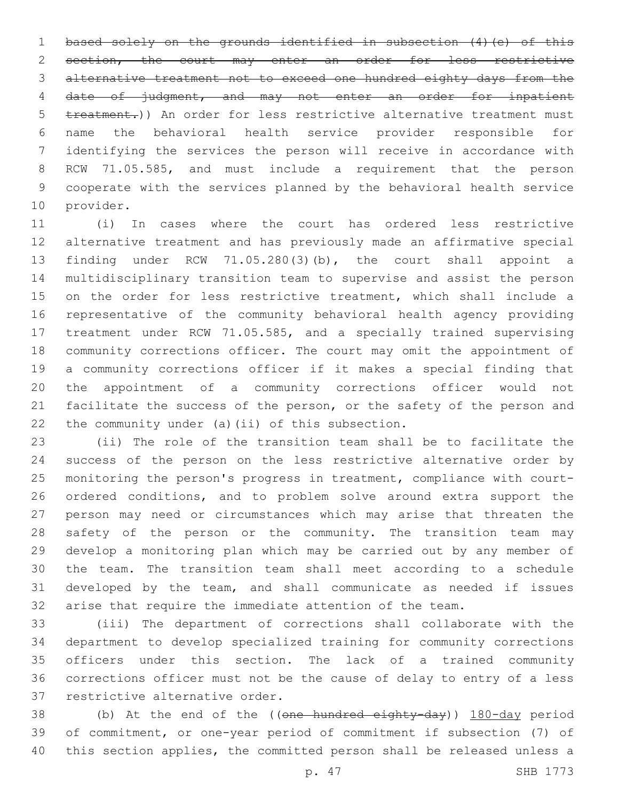1 based solely on the grounds identified in subsection (4) (e) of this 2 section, the court may enter an order for less restrictive alternative treatment not to exceed one hundred eighty days from the date of judgment, and may not enter an order for inpatient treatment.)) An order for less restrictive alternative treatment must name the behavioral health service provider responsible for identifying the services the person will receive in accordance with RCW 71.05.585, and must include a requirement that the person cooperate with the services planned by the behavioral health service 10 provider.

 (i) In cases where the court has ordered less restrictive alternative treatment and has previously made an affirmative special finding under RCW 71.05.280(3)(b), the court shall appoint a multidisciplinary transition team to supervise and assist the person on the order for less restrictive treatment, which shall include a representative of the community behavioral health agency providing treatment under RCW 71.05.585, and a specially trained supervising community corrections officer. The court may omit the appointment of a community corrections officer if it makes a special finding that the appointment of a community corrections officer would not facilitate the success of the person, or the safety of the person and 22 the community under (a)(ii) of this subsection.

 (ii) The role of the transition team shall be to facilitate the success of the person on the less restrictive alternative order by monitoring the person's progress in treatment, compliance with court- ordered conditions, and to problem solve around extra support the person may need or circumstances which may arise that threaten the 28 safety of the person or the community. The transition team may develop a monitoring plan which may be carried out by any member of the team. The transition team shall meet according to a schedule developed by the team, and shall communicate as needed if issues arise that require the immediate attention of the team.

 (iii) The department of corrections shall collaborate with the department to develop specialized training for community corrections officers under this section. The lack of a trained community corrections officer must not be the cause of delay to entry of a less 37 restrictive alternative order.

38 (b) At the end of the ((one hundred eighty-day)) 180-day period of commitment, or one-year period of commitment if subsection (7) of this section applies, the committed person shall be released unless a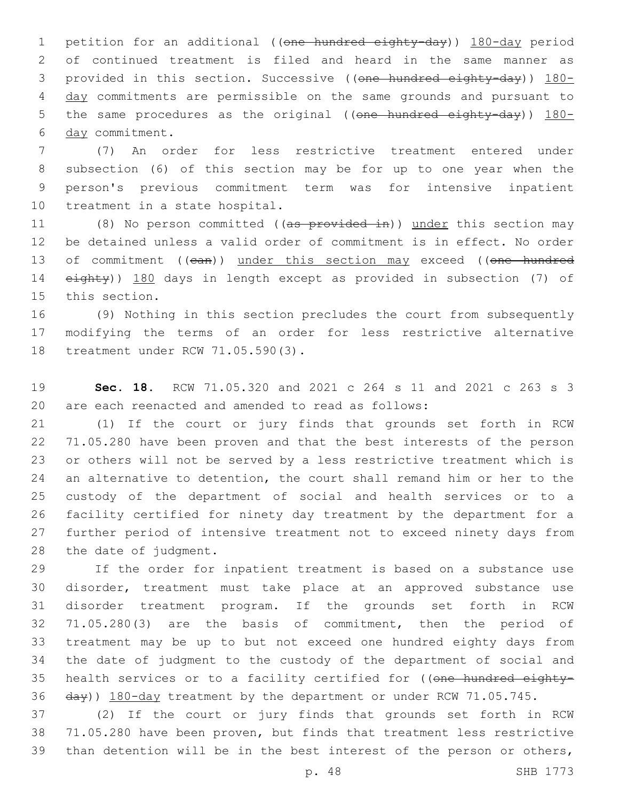1 petition for an additional ((one hundred eighty-day)) 180-day period of continued treatment is filed and heard in the same manner as 3 provided in this section. Successive ((one hundred eighty-day)) 180-4 day commitments are permissible on the same grounds and pursuant to 5 the same procedures as the original ((one hundred eighty-day)) 180-6 day commitment.

 (7) An order for less restrictive treatment entered under subsection (6) of this section may be for up to one year when the person's previous commitment term was for intensive inpatient 10 treatment in a state hospital.

11 (8) No person committed ((as provided in)) under this section may be detained unless a valid order of commitment is in effect. No order 13 of commitment ((ean)) under this section may exceed ((one hundred eighty)) 180 days in length except as provided in subsection (7) of 15 this section.

 (9) Nothing in this section precludes the court from subsequently modifying the terms of an order for less restrictive alternative 18 treatment under RCW 71.05.590(3).

 **Sec. 18.** RCW 71.05.320 and 2021 c 264 s 11 and 2021 c 263 s 3 are each reenacted and amended to read as follows:

 (1) If the court or jury finds that grounds set forth in RCW 71.05.280 have been proven and that the best interests of the person or others will not be served by a less restrictive treatment which is an alternative to detention, the court shall remand him or her to the custody of the department of social and health services or to a facility certified for ninety day treatment by the department for a further period of intensive treatment not to exceed ninety days from 28 the date of judgment.

 If the order for inpatient treatment is based on a substance use disorder, treatment must take place at an approved substance use disorder treatment program. If the grounds set forth in RCW 71.05.280(3) are the basis of commitment, then the period of treatment may be up to but not exceed one hundred eighty days from the date of judgment to the custody of the department of social and 35 health services or to a facility certified for ((one hundred eighty-36 day)) 180-day treatment by the department or under RCW 71.05.745.

 (2) If the court or jury finds that grounds set forth in RCW 71.05.280 have been proven, but finds that treatment less restrictive than detention will be in the best interest of the person or others,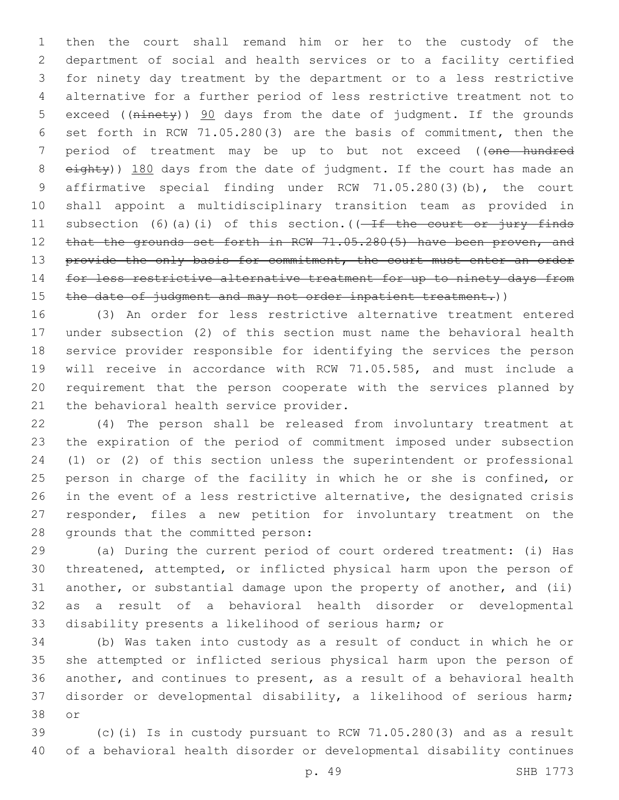then the court shall remand him or her to the custody of the department of social and health services or to a facility certified for ninety day treatment by the department or to a less restrictive alternative for a further period of less restrictive treatment not to 5 exceed ((ninety)) 90 days from the date of judgment. If the grounds set forth in RCW 71.05.280(3) are the basis of commitment, then the 7 period of treatment may be up to but not exceed ((one hundred 8 eighty)) 180 days from the date of judgment. If the court has made an affirmative special finding under RCW 71.05.280(3)(b), the court shall appoint a multidisciplinary transition team as provided in 11 subsection (6)(a)(i) of this section.( $(-If$  the court or jury finds 12 that the grounds set forth in RCW 71.05.280(5) have been proven, and 13 provide the only basis for commitment, the court must enter an order 14 for less restrictive alternative treatment for up to ninety days from 15 the date of judgment and may not order inpatient treatment.))

 (3) An order for less restrictive alternative treatment entered under subsection (2) of this section must name the behavioral health service provider responsible for identifying the services the person will receive in accordance with RCW 71.05.585, and must include a requirement that the person cooperate with the services planned by 21 the behavioral health service provider.

 (4) The person shall be released from involuntary treatment at the expiration of the period of commitment imposed under subsection (1) or (2) of this section unless the superintendent or professional person in charge of the facility in which he or she is confined, or in the event of a less restrictive alternative, the designated crisis responder, files a new petition for involuntary treatment on the 28 grounds that the committed person:

 (a) During the current period of court ordered treatment: (i) Has threatened, attempted, or inflicted physical harm upon the person of another, or substantial damage upon the property of another, and (ii) as a result of a behavioral health disorder or developmental disability presents a likelihood of serious harm; or

 (b) Was taken into custody as a result of conduct in which he or she attempted or inflicted serious physical harm upon the person of another, and continues to present, as a result of a behavioral health disorder or developmental disability, a likelihood of serious harm; 38 or

 (c)(i) Is in custody pursuant to RCW 71.05.280(3) and as a result of a behavioral health disorder or developmental disability continues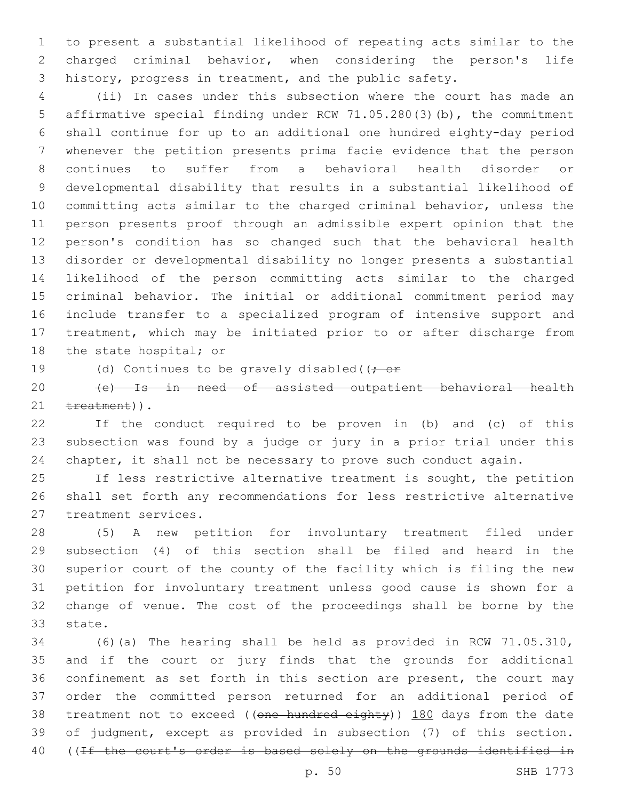to present a substantial likelihood of repeating acts similar to the charged criminal behavior, when considering the person's life history, progress in treatment, and the public safety.

 (ii) In cases under this subsection where the court has made an affirmative special finding under RCW 71.05.280(3)(b), the commitment shall continue for up to an additional one hundred eighty-day period whenever the petition presents prima facie evidence that the person continues to suffer from a behavioral health disorder or developmental disability that results in a substantial likelihood of committing acts similar to the charged criminal behavior, unless the person presents proof through an admissible expert opinion that the person's condition has so changed such that the behavioral health disorder or developmental disability no longer presents a substantial likelihood of the person committing acts similar to the charged criminal behavior. The initial or additional commitment period may include transfer to a specialized program of intensive support and treatment, which may be initiated prior to or after discharge from 18 the state hospital; or

19 (d) Continues to be gravely disabled( $(-e^+e^-)$ 

 (e) Is in need of assisted outpatient behavioral health 21 treatment)).

 If the conduct required to be proven in (b) and (c) of this subsection was found by a judge or jury in a prior trial under this chapter, it shall not be necessary to prove such conduct again.

 If less restrictive alternative treatment is sought, the petition shall set forth any recommendations for less restrictive alternative 27 treatment services.

 (5) A new petition for involuntary treatment filed under subsection (4) of this section shall be filed and heard in the superior court of the county of the facility which is filing the new petition for involuntary treatment unless good cause is shown for a change of venue. The cost of the proceedings shall be borne by the 33 state.

 (6)(a) The hearing shall be held as provided in RCW 71.05.310, and if the court or jury finds that the grounds for additional confinement as set forth in this section are present, the court may order the committed person returned for an additional period of 38 treatment not to exceed ((one hundred eighty)) 180 days from the date of judgment, except as provided in subsection (7) of this section. ((If the court's order is based solely on the grounds identified in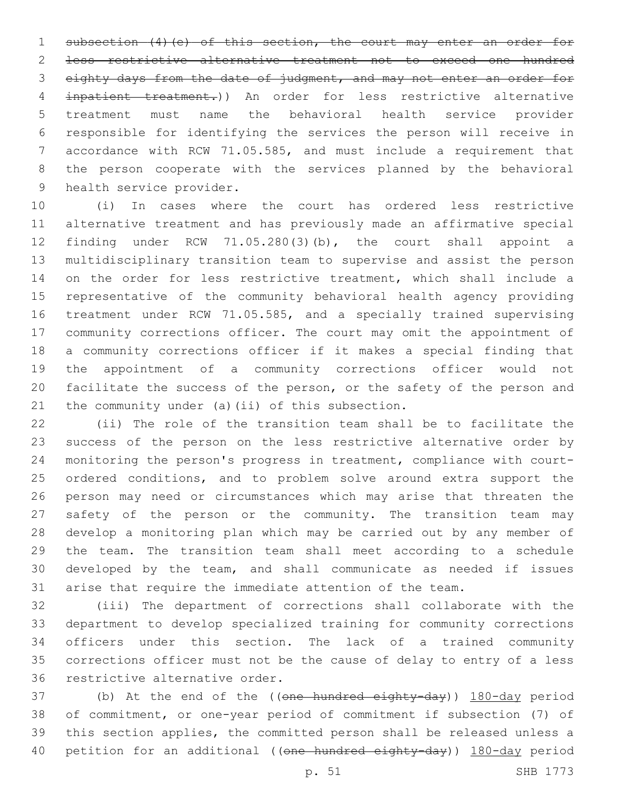1 subsection (4) (e) of this section, the court may enter an order for less restrictive alternative treatment not to exceed one hundred 3 eighty days from the date of judgment, and may not enter an order for inpatient treatment.)) An order for less restrictive alternative treatment must name the behavioral health service provider responsible for identifying the services the person will receive in accordance with RCW 71.05.585, and must include a requirement that the person cooperate with the services planned by the behavioral 9 health service provider.

 (i) In cases where the court has ordered less restrictive alternative treatment and has previously made an affirmative special finding under RCW 71.05.280(3)(b), the court shall appoint a multidisciplinary transition team to supervise and assist the person 14 on the order for less restrictive treatment, which shall include a representative of the community behavioral health agency providing treatment under RCW 71.05.585, and a specially trained supervising community corrections officer. The court may omit the appointment of a community corrections officer if it makes a special finding that the appointment of a community corrections officer would not facilitate the success of the person, or the safety of the person and 21 the community under (a)(ii) of this subsection.

 (ii) The role of the transition team shall be to facilitate the success of the person on the less restrictive alternative order by monitoring the person's progress in treatment, compliance with court- ordered conditions, and to problem solve around extra support the person may need or circumstances which may arise that threaten the safety of the person or the community. The transition team may develop a monitoring plan which may be carried out by any member of the team. The transition team shall meet according to a schedule developed by the team, and shall communicate as needed if issues arise that require the immediate attention of the team.

 (iii) The department of corrections shall collaborate with the department to develop specialized training for community corrections officers under this section. The lack of a trained community corrections officer must not be the cause of delay to entry of a less 36 restrictive alternative order.

37 (b) At the end of the ((one hundred eighty-day)) 180-day period of commitment, or one-year period of commitment if subsection (7) of this section applies, the committed person shall be released unless a 40 petition for an additional ((one hundred eighty-day)) 180-day period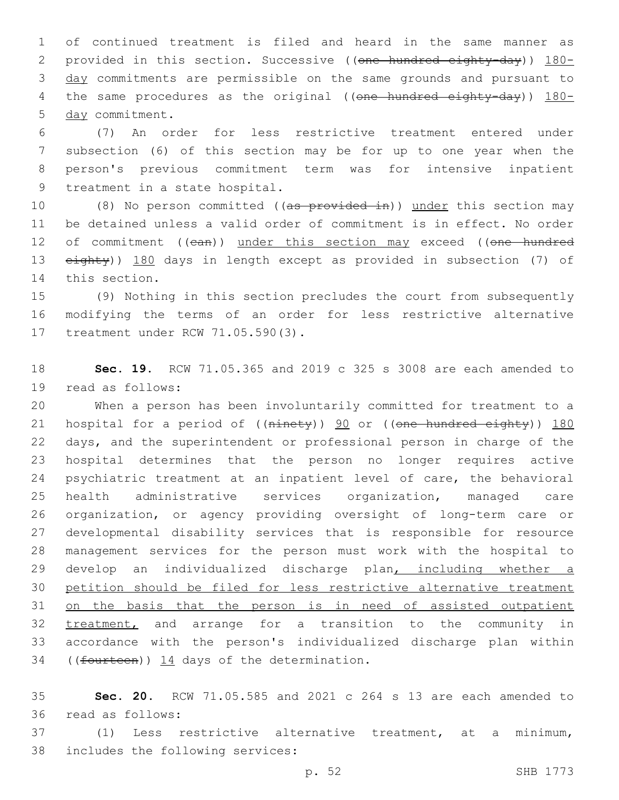1 of continued treatment is filed and heard in the same manner as 2 provided in this section. Successive ((one hundred eighty-day)) 180-3 day commitments are permissible on the same grounds and pursuant to 4 the same procedures as the original ((one hundred eighty-day)) 180-5 day commitment.

 (7) An order for less restrictive treatment entered under subsection (6) of this section may be for up to one year when the person's previous commitment term was for intensive inpatient 9 treatment in a state hospital.

10 (8) No person committed ((as provided in)) under this section may 11 be detained unless a valid order of commitment is in effect. No order 12 of commitment ((ean)) under this section may exceed ((one hundred 13 eighty)) 180 days in length except as provided in subsection (7) of 14 this section.

15 (9) Nothing in this section precludes the court from subsequently 16 modifying the terms of an order for less restrictive alternative 17 treatment under RCW 71.05.590(3).

18 **Sec. 19.** RCW 71.05.365 and 2019 c 325 s 3008 are each amended to 19 read as follows:

 When a person has been involuntarily committed for treatment to a 21 hospital for a period of ((ninety)) 90 or ((one hundred eighty)) 180 days, and the superintendent or professional person in charge of the hospital determines that the person no longer requires active psychiatric treatment at an inpatient level of care, the behavioral health administrative services organization, managed care organization, or agency providing oversight of long-term care or developmental disability services that is responsible for resource management services for the person must work with the hospital to develop an individualized discharge plan, including whether a petition should be filed for less restrictive alternative treatment on the basis that the person is in need of assisted outpatient 32 treatment, and arrange for a transition to the community in accordance with the person's individualized discharge plan within 34 ((fourteen)) 14 days of the determination.

35 **Sec. 20.** RCW 71.05.585 and 2021 c 264 s 13 are each amended to 36 read as follows:

37 (1) Less restrictive alternative treatment, at a minimum, 38 includes the following services: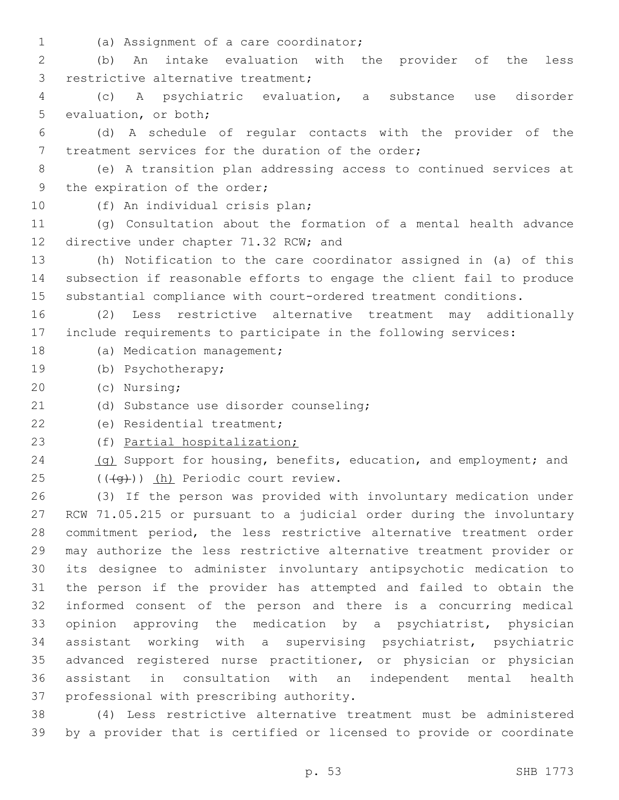(a) Assignment of a care coordinator;1

2 (b) An intake evaluation with the provider of the less 3 restrictive alternative treatment;

4 (c) A psychiatric evaluation, a substance use disorder 5 evaluation, or both;

6 (d) A schedule of regular contacts with the provider of the 7 treatment services for the duration of the order;

8 (e) A transition plan addressing access to continued services at 9 the expiration of the order;

10 (f) An individual crisis plan;

11 (g) Consultation about the formation of a mental health advance 12 directive under chapter 71.32 RCW; and

13 (h) Notification to the care coordinator assigned in (a) of this 14 subsection if reasonable efforts to engage the client fail to produce 15 substantial compliance with court-ordered treatment conditions.

16 (2) Less restrictive alternative treatment may additionally 17 include requirements to participate in the following services:

18 (a) Medication management;

19 (b) Psychotherapy;

(c) Nursing;20

(d) Substance use disorder counseling;21

22 (e) Residential treatment;

23 (f) Partial hospitalization;

24 (g) Support for housing, benefits, education, and employment; and  $(4\theta)$ ) (h) Periodic court review.

 (3) If the person was provided with involuntary medication under RCW 71.05.215 or pursuant to a judicial order during the involuntary commitment period, the less restrictive alternative treatment order may authorize the less restrictive alternative treatment provider or its designee to administer involuntary antipsychotic medication to the person if the provider has attempted and failed to obtain the informed consent of the person and there is a concurring medical opinion approving the medication by a psychiatrist, physician assistant working with a supervising psychiatrist, psychiatric advanced registered nurse practitioner, or physician or physician assistant in consultation with an independent mental health 37 professional with prescribing authority.

38 (4) Less restrictive alternative treatment must be administered 39 by a provider that is certified or licensed to provide or coordinate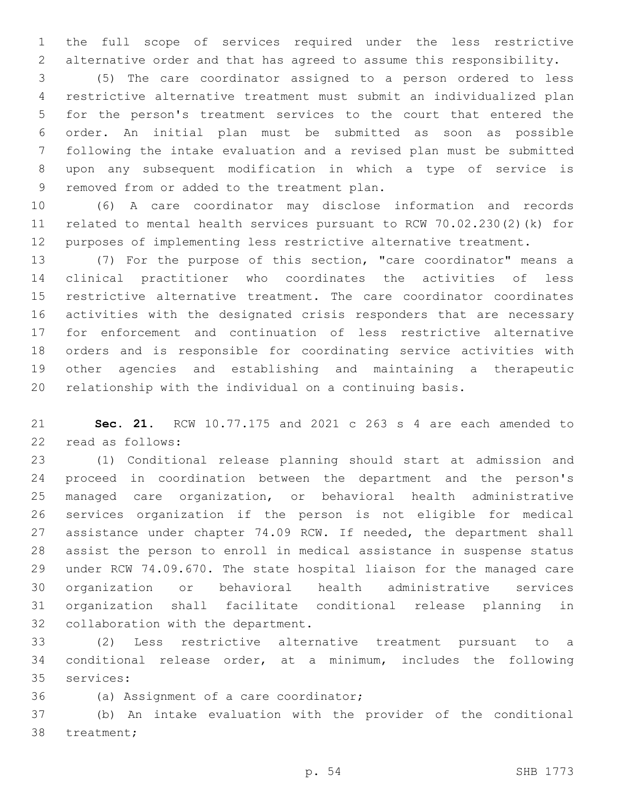the full scope of services required under the less restrictive alternative order and that has agreed to assume this responsibility.

 (5) The care coordinator assigned to a person ordered to less restrictive alternative treatment must submit an individualized plan for the person's treatment services to the court that entered the order. An initial plan must be submitted as soon as possible following the intake evaluation and a revised plan must be submitted upon any subsequent modification in which a type of service is 9 removed from or added to the treatment plan.

 (6) A care coordinator may disclose information and records related to mental health services pursuant to RCW 70.02.230(2)(k) for purposes of implementing less restrictive alternative treatment.

 (7) For the purpose of this section, "care coordinator" means a clinical practitioner who coordinates the activities of less restrictive alternative treatment. The care coordinator coordinates activities with the designated crisis responders that are necessary for enforcement and continuation of less restrictive alternative orders and is responsible for coordinating service activities with other agencies and establishing and maintaining a therapeutic relationship with the individual on a continuing basis.

 **Sec. 21.** RCW 10.77.175 and 2021 c 263 s 4 are each amended to 22 read as follows:

 (1) Conditional release planning should start at admission and proceed in coordination between the department and the person's managed care organization, or behavioral health administrative services organization if the person is not eligible for medical 27 assistance under chapter 74.09 RCW. If needed, the department shall assist the person to enroll in medical assistance in suspense status under RCW 74.09.670. The state hospital liaison for the managed care organization or behavioral health administrative services organization shall facilitate conditional release planning in 32 collaboration with the department.

 (2) Less restrictive alternative treatment pursuant to a conditional release order, at a minimum, includes the following 35 services:

36 (a) Assignment of a care coordinator;

 (b) An intake evaluation with the provider of the conditional 38 treatment;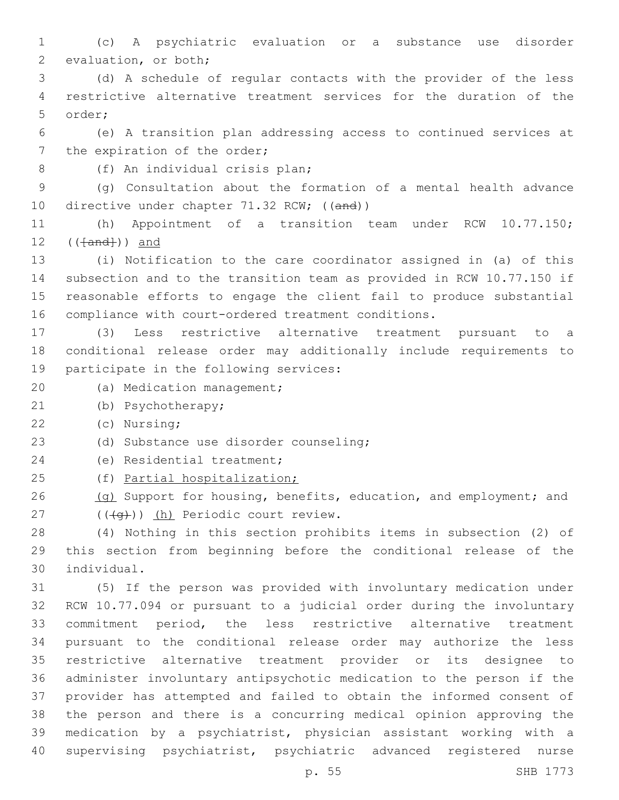(c) A psychiatric evaluation or a substance use disorder 2 evaluation, or both; (d) A schedule of regular contacts with the provider of the less restrictive alternative treatment services for the duration of the 5 order; (e) A transition plan addressing access to continued services at 7 the expiration of the order; (f) An individual crisis plan;8 (g) Consultation about the formation of a mental health advance 10 directive under chapter 71.32 RCW; ((and)) (h) Appointment of a transition team under RCW 10.77.150;  $((\text{+and+})^2)$  and (i) Notification to the care coordinator assigned in (a) of this subsection and to the transition team as provided in RCW 10.77.150 if reasonable efforts to engage the client fail to produce substantial compliance with court-ordered treatment conditions. (3) Less restrictive alternative treatment pursuant to a conditional release order may additionally include requirements to 19 participate in the following services: 20 (a) Medication management; (b) Psychotherapy;21 (c) Nursing;22 (d) Substance use disorder counseling;23 24 (e) Residential treatment; (f) Partial hospitalization; 26 (g) Support for housing, benefits, education, and employment; and 27 ((((g))) (h) Periodic court review. (4) Nothing in this section prohibits items in subsection (2) of this section from beginning before the conditional release of the individual.30 (5) If the person was provided with involuntary medication under RCW 10.77.094 or pursuant to a judicial order during the involuntary commitment period, the less restrictive alternative treatment pursuant to the conditional release order may authorize the less restrictive alternative treatment provider or its designee to administer involuntary antipsychotic medication to the person if the provider has attempted and failed to obtain the informed consent of the person and there is a concurring medical opinion approving the medication by a psychiatrist, physician assistant working with a

supervising psychiatrist, psychiatric advanced registered nurse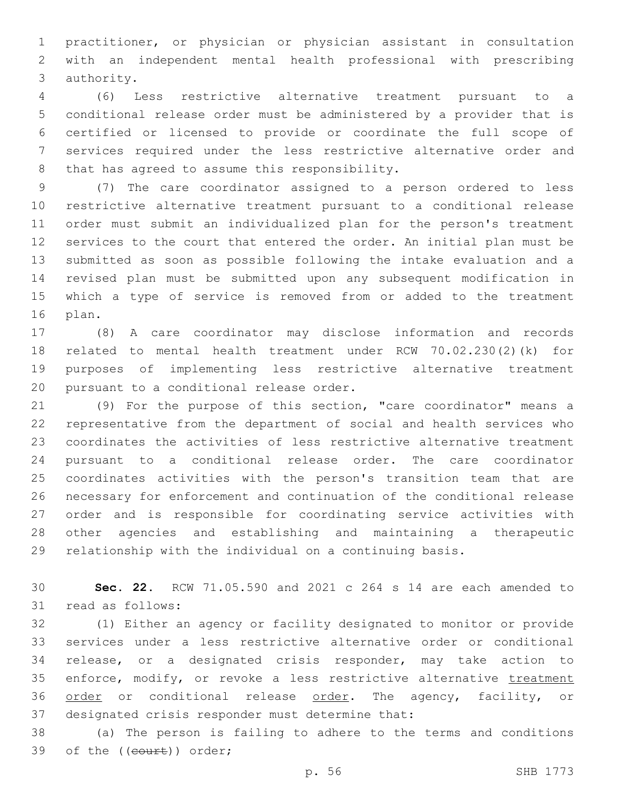practitioner, or physician or physician assistant in consultation with an independent mental health professional with prescribing 3 authority.

 (6) Less restrictive alternative treatment pursuant to a conditional release order must be administered by a provider that is certified or licensed to provide or coordinate the full scope of services required under the less restrictive alternative order and 8 that has agreed to assume this responsibility.

 (7) The care coordinator assigned to a person ordered to less restrictive alternative treatment pursuant to a conditional release order must submit an individualized plan for the person's treatment services to the court that entered the order. An initial plan must be submitted as soon as possible following the intake evaluation and a revised plan must be submitted upon any subsequent modification in which a type of service is removed from or added to the treatment 16 plan.

 (8) A care coordinator may disclose information and records related to mental health treatment under RCW 70.02.230(2)(k) for purposes of implementing less restrictive alternative treatment 20 pursuant to a conditional release order.

 (9) For the purpose of this section, "care coordinator" means a representative from the department of social and health services who coordinates the activities of less restrictive alternative treatment pursuant to a conditional release order. The care coordinator coordinates activities with the person's transition team that are necessary for enforcement and continuation of the conditional release order and is responsible for coordinating service activities with other agencies and establishing and maintaining a therapeutic relationship with the individual on a continuing basis.

 **Sec. 22.** RCW 71.05.590 and 2021 c 264 s 14 are each amended to 31 read as follows:

 (1) Either an agency or facility designated to monitor or provide services under a less restrictive alternative order or conditional release, or a designated crisis responder, may take action to 35 enforce, modify, or revoke a less restrictive alternative treatment 36 order or conditional release order. The agency, facility, or 37 designated crisis responder must determine that:

 (a) The person is failing to adhere to the terms and conditions 39 of the ((court)) order;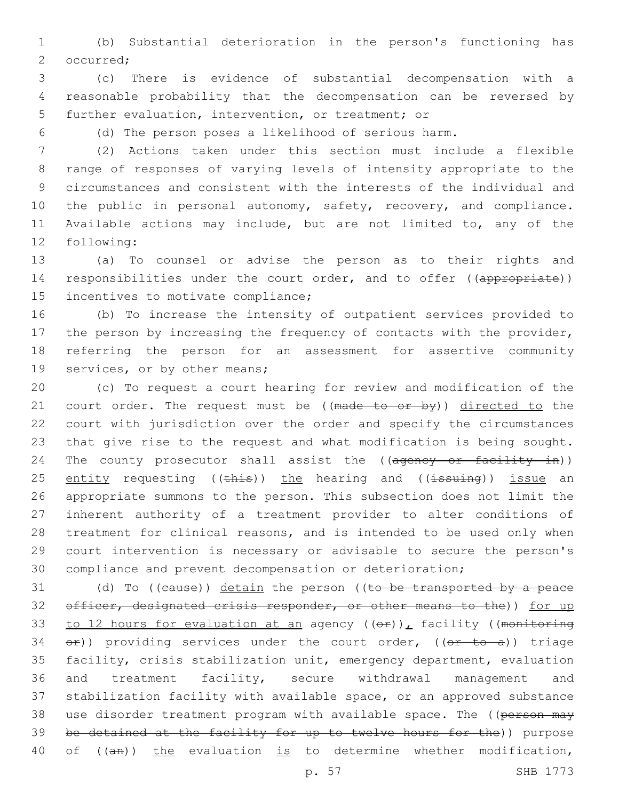1 (b) Substantial deterioration in the person's functioning has 2 occurred;

3 (c) There is evidence of substantial decompensation with a 4 reasonable probability that the decompensation can be reversed by 5 further evaluation, intervention, or treatment; or

6 (d) The person poses a likelihood of serious harm.

 (2) Actions taken under this section must include a flexible range of responses of varying levels of intensity appropriate to the circumstances and consistent with the interests of the individual and 10 the public in personal autonomy, safety, recovery, and compliance. Available actions may include, but are not limited to, any of the 12 following:

13 (a) To counsel or advise the person as to their rights and 14 responsibilities under the court order, and to offer ((appropriate)) 15 incentives to motivate compliance;

16 (b) To increase the intensity of outpatient services provided to 17 the person by increasing the frequency of contacts with the provider, 18 referring the person for an assessment for assertive community 19 services, or by other means;

 (c) To request a court hearing for review and modification of the 21 court order. The request must be ((made to or by)) directed to the court with jurisdiction over the order and specify the circumstances that give rise to the request and what modification is being sought. 24 The county prosecutor shall assist the ((agency or facility in)) 25 entity requesting ((this)) the hearing and ((issuing)) issue an appropriate summons to the person. This subsection does not limit the inherent authority of a treatment provider to alter conditions of treatment for clinical reasons, and is intended to be used only when court intervention is necessary or advisable to secure the person's compliance and prevent decompensation or deterioration;

31 (d) To ((cause)) detain the person ((to be transported by a peace 32 officer, designated crisis responder, or other means to the)) for up 33 to 12 hours for evaluation at an agency  $((e f))^r$  facility ((monitoring 34  $er)$ ) providing services under the court order, (( $er - to - a$ )) triage 35 facility, crisis stabilization unit, emergency department, evaluation 36 and treatment facility, secure withdrawal management and 37 stabilization facility with available space, or an approved substance 38 use disorder treatment program with available space. The ((person may 39 be detained at the facility for up to twelve hours for the)) purpose 40 of ((an)) the evaluation is to determine whether modification,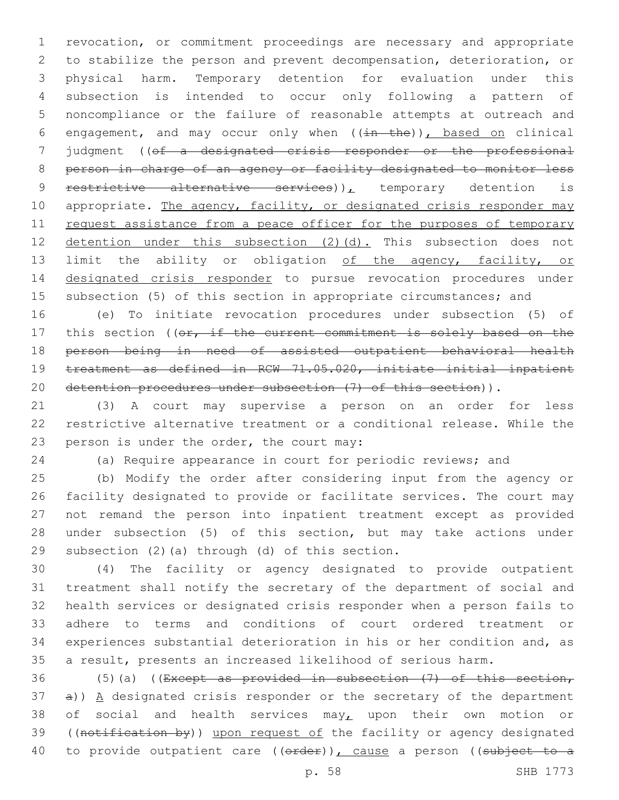revocation, or commitment proceedings are necessary and appropriate to stabilize the person and prevent decompensation, deterioration, or physical harm. Temporary detention for evaluation under this subsection is intended to occur only following a pattern of noncompliance or the failure of reasonable attempts at outreach and 6 engagement, and may occur only when  $((\pm n - \pm h e))$ , based on clinical judgment ((of a designated crisis responder or the professional person in charge of an agency or facility designated to monitor less 9 restrictive alternative services)), temporary detention is 10 appropriate. The agency, facility, or designated crisis responder may 11 request assistance from a peace officer for the purposes of temporary 12 detention under this subsection (2)(d). This subsection does not 13 limit the ability or obligation of the agency, facility, or 14 designated crisis responder to pursue revocation procedures under subsection (5) of this section in appropriate circumstances; and

 (e) To initiate revocation procedures under subsection (5) of 17 this section ((or, if the current commitment is solely based on the person being in need of assisted outpatient behavioral health treatment as defined in RCW 71.05.020, initiate initial inpatient 20 detention procedures under subsection (7) of this section)).

 (3) A court may supervise a person on an order for less restrictive alternative treatment or a conditional release. While the 23 person is under the order, the court may:

(a) Require appearance in court for periodic reviews; and

 (b) Modify the order after considering input from the agency or facility designated to provide or facilitate services. The court may not remand the person into inpatient treatment except as provided under subsection (5) of this section, but may take actions under 29 subsection  $(2)$  (a) through  $(d)$  of this section.

 (4) The facility or agency designated to provide outpatient treatment shall notify the secretary of the department of social and health services or designated crisis responder when a person fails to adhere to terms and conditions of court ordered treatment or experiences substantial deterioration in his or her condition and, as a result, presents an increased likelihood of serious harm.

36 (5)(a) ((Except as provided in subsection  $(7)$  of this section, a)) A designated crisis responder or the secretary of the department 38 of social and health services may<sub> *upon their own motion or</sub>* 39 ((notification by)) upon request of the facility or agency designated 40 to provide outpatient care ((order)), cause a person ((subject to a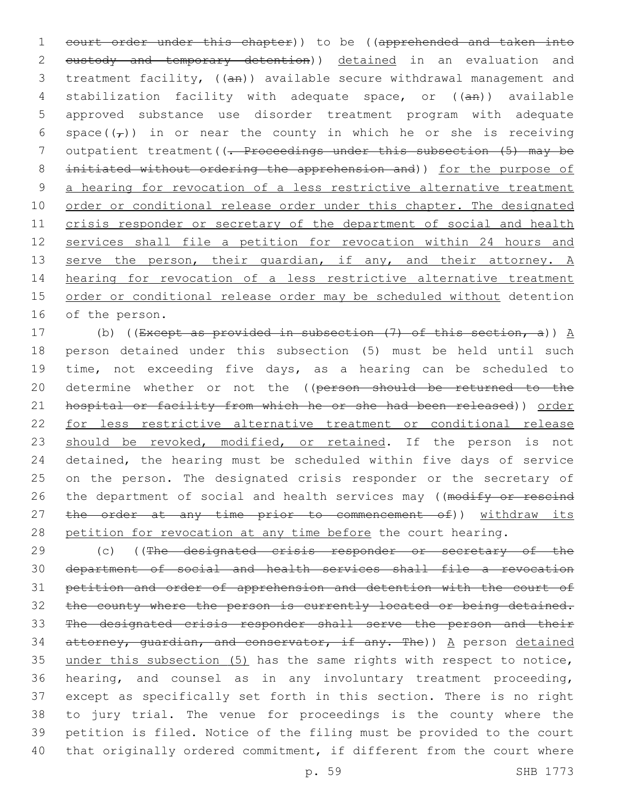1 court order under this chapter)) to be ((apprehended and taken into 2 custody and temporary detention)) detained in an evaluation and 3 treatment facility, ((an)) available secure withdrawal management and 4 stabilization facility with adequate space, or ((an)) available 5 approved substance use disorder treatment program with adequate 6 space( $(\tau)$ ) in or near the county in which he or she is receiving 7 outpatient treatment ((<del>. Proceedings under this subsection (5) may be</del> 8 initiated without ordering the apprehension and)) for the purpose of 9 a hearing for revocation of a less restrictive alternative treatment 10 order or conditional release order under this chapter. The designated 11 crisis responder or secretary of the department of social and health 12 services shall file a petition for revocation within 24 hours and 13 serve the person, their guardian, if any, and their attorney. A 14 hearing for revocation of a less restrictive alternative treatment 15 order or conditional release order may be scheduled without detention 16 of the person.

17 (b) ((Except as provided in subsection  $(7)$  of this section, a))  $A$ 18 person detained under this subsection (5) must be held until such 19 time, not exceeding five days, as a hearing can be scheduled to 20 determine whether or not the ((person should be returned to the 21 hospital or facility from which he or she had been released)) order 22 for less restrictive alternative treatment or conditional release 23 should be revoked, modified, or retained. If the person is not 24 detained, the hearing must be scheduled within five days of service 25 on the person. The designated crisis responder or the secretary of 26 the department of social and health services may ((modify or rescind 27 the order at any time prior to commencement of)) withdraw its 28 petition for revocation at any time before the court hearing.

29 (c) ((The designated crisis responder or secretary of the department of social and health services shall file a revocation petition and order of apprehension and detention with the court of 32 the county where the person is currently located or being detained. The designated crisis responder shall serve the person and their 34 attorney, guardian, and conservator, if any. The))  $A$  person detained under this subsection (5) has the same rights with respect to notice, hearing, and counsel as in any involuntary treatment proceeding, except as specifically set forth in this section. There is no right to jury trial. The venue for proceedings is the county where the petition is filed. Notice of the filing must be provided to the court that originally ordered commitment, if different from the court where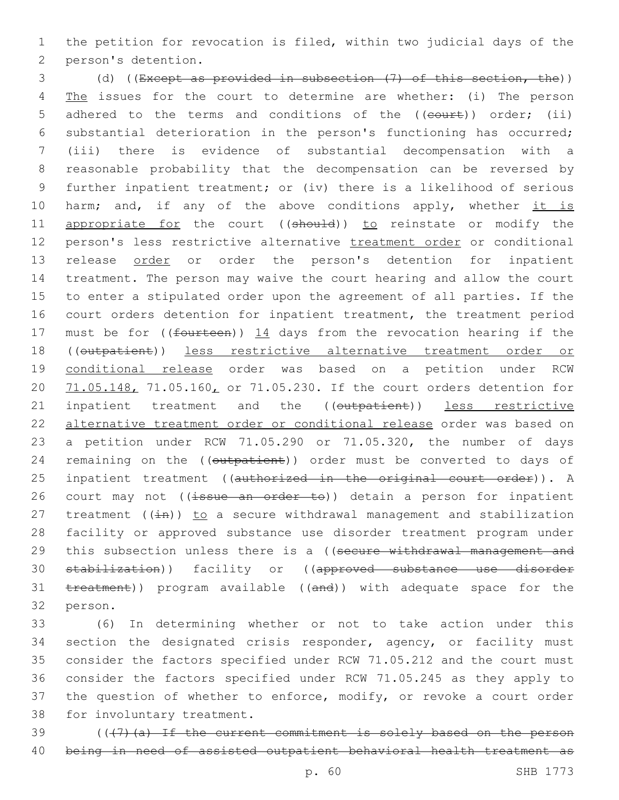1 the petition for revocation is filed, within two judicial days of the 2 person's detention.

3 (d) ((Except as provided in subsection (7) of this section, the)) 4 The issues for the court to determine are whether: (i) The person 5 adhered to the terms and conditions of the ((court)) order; (ii) 6 substantial deterioration in the person's functioning has occurred; 7 (iii) there is evidence of substantial decompensation with a 8 reasonable probability that the decompensation can be reversed by 9 further inpatient treatment; or (iv) there is a likelihood of serious 10 harm; and, if any of the above conditions apply, whether it is 11 appropriate for the court ((should)) to reinstate or modify the 12 person's less restrictive alternative treatment order or conditional 13 release order or order the person's detention for inpatient 14 treatment. The person may waive the court hearing and allow the court 15 to enter a stipulated order upon the agreement of all parties. If the 16 court orders detention for inpatient treatment, the treatment period 17 must be for ((fourteen))  $14$  days from the revocation hearing if the 18 ((outpatient)) less restrictive alternative treatment order or 19 conditional release order was based on a petition under RCW 20 71.05.148, 71.05.160, or 71.05.230. If the court orders detention for 21 inpatient treatment and the ((outpatient)) less restrictive 22 alternative treatment order or conditional release order was based on 23 a petition under RCW 71.05.290 or 71.05.320, the number of days 24 remaining on the ((outpatient)) order must be converted to days of 25 inpatient treatment ((authorized in the original court order)). A 26 court may not ((issue an order to)) detain a person for inpatient 27 treatment  $((\pm n))$  to a secure withdrawal management and stabilization 28 facility or approved substance use disorder treatment program under 29 this subsection unless there is a ((secure withdrawal management and 30 stabilization)) facility or ((approved substance use disorder 31 treatment)) program available ((and)) with adequate space for the 32 person.

 (6) In determining whether or not to take action under this section the designated crisis responder, agency, or facility must consider the factors specified under RCW 71.05.212 and the court must consider the factors specified under RCW 71.05.245 as they apply to the question of whether to enforce, modify, or revoke a court order 38 for involuntary treatment.

39 (((7)(a) If the current commitment is solely based on the person 40 being in need of assisted outpatient behavioral health treatment as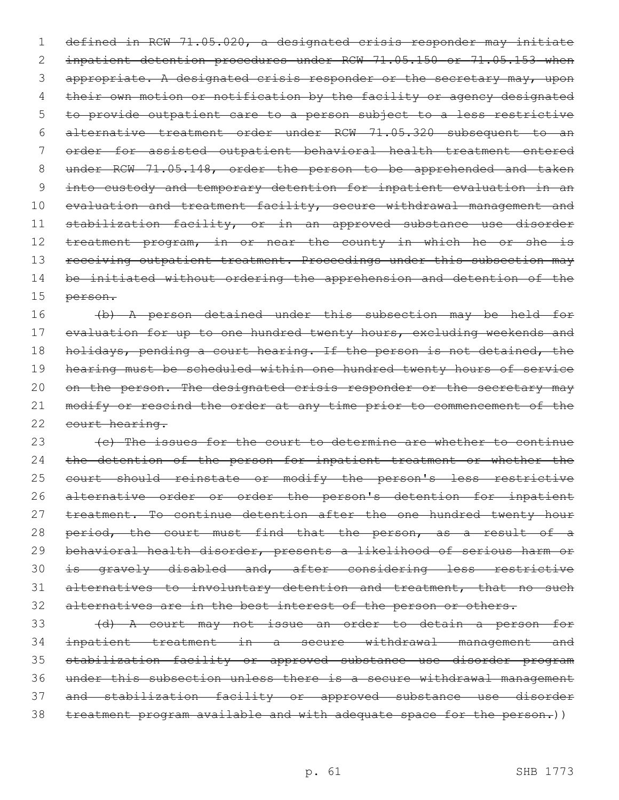1 defined in RCW 71.05.020, a designated crisis responder may initiate 2 inpatient detention procedures under RCW 71.05.150 or 71.05.153 when 3 appropriate. A designated crisis responder or the secretary may, upon 4 their own motion or notification by the facility or agency designated 5 to provide outpatient care to a person subject to a less restrictive 6 alternative treatment order under RCW 71.05.320 subsequent to an 7 order for assisted outpatient behavioral health treatment entered 8 under RCW 71.05.148, order the person to be apprehended and taken 9 into custody and temporary detention for inpatient evaluation in an 10 evaluation and treatment facility, secure withdrawal management and 11 stabilization facility, or in an approved substance use disorder 12 treatment program, in or near the county in which he or she is 13 receiving outpatient treatment. Proceedings under this subsection may 14 be initiated without ordering the apprehension and detention of the 15 person.

16 (b) A person detained under this subsection may be held for 17 evaluation for up to one hundred twenty hours, excluding weekends and 18 holidays, pending a court hearing. If the person is not detained, the 19 hearing must be scheduled within one hundred twenty hours of service 20 on the person. The designated crisis responder or the secretary may 21 modify or rescind the order at any time prior to commencement of the 22 court hearing.

23 (c) The issues for the court to determine are whether to continue 24 the detention of the person for inpatient treatment or whether the 25 court should reinstate or modify the person's less restrictive 26 alternative order or order the person's detention for inpatient 27 treatment. To continue detention after the one hundred twenty hour 28 period, the court must find that the person, as a result of a 29 behavioral health disorder, presents a likelihood of serious harm or 30 is gravely disabled and, after considering less restrictive 31 alternatives to involuntary detention and treatment, that no such 32 alternatives are in the best interest of the person or others.

 (d) A court may not issue an order to detain a person for inpatient treatment in a secure withdrawal management and stabilization facility or approved substance use disorder program under this subsection unless there is a secure withdrawal management and stabilization facility or approved substance use disorder 38 treatment program available and with adequate space for the person.))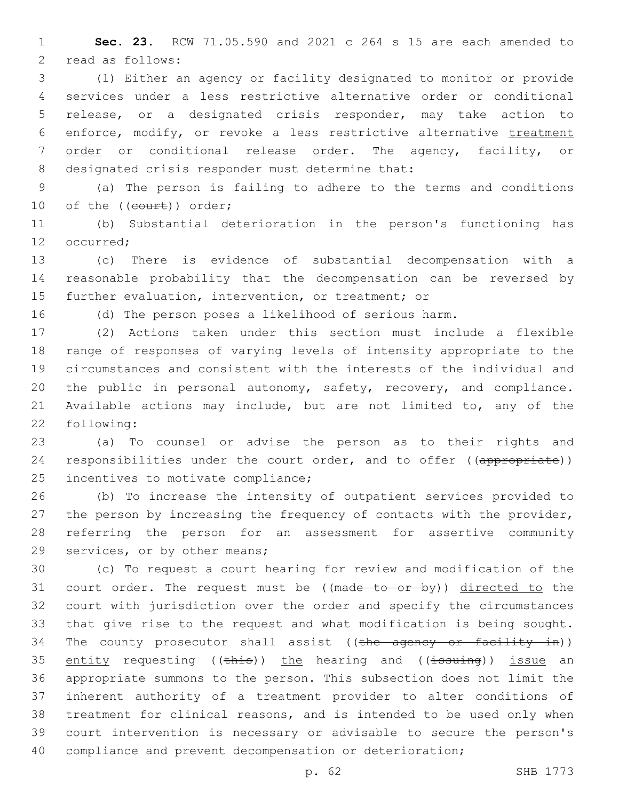**Sec. 23.** RCW 71.05.590 and 2021 c 264 s 15 are each amended to 2 read as follows:

 (1) Either an agency or facility designated to monitor or provide services under a less restrictive alternative order or conditional release, or a designated crisis responder, may take action to 6 enforce, modify, or revoke a less restrictive alternative treatment order or conditional release order. The agency, facility, or 8 designated crisis responder must determine that:

 (a) The person is failing to adhere to the terms and conditions 10 of the ((court)) order;

 (b) Substantial deterioration in the person's functioning has 12 occurred:

 (c) There is evidence of substantial decompensation with a reasonable probability that the decompensation can be reversed by further evaluation, intervention, or treatment; or

(d) The person poses a likelihood of serious harm.

 (2) Actions taken under this section must include a flexible range of responses of varying levels of intensity appropriate to the circumstances and consistent with the interests of the individual and the public in personal autonomy, safety, recovery, and compliance. Available actions may include, but are not limited to, any of the 22 following:

 (a) To counsel or advise the person as to their rights and 24 responsibilities under the court order, and to offer ((appropriate)) 25 incentives to motivate compliance;

 (b) To increase the intensity of outpatient services provided to the person by increasing the frequency of contacts with the provider, referring the person for an assessment for assertive community 29 services, or by other means;

 (c) To request a court hearing for review and modification of the 31 court order. The request must be  $((\text{made to or by}))$  directed to the court with jurisdiction over the order and specify the circumstances that give rise to the request and what modification is being sought. 34 The county prosecutor shall assist ((the agency or facility in)) 35 entity requesting ((this)) the hearing and ((issuing)) issue an appropriate summons to the person. This subsection does not limit the inherent authority of a treatment provider to alter conditions of treatment for clinical reasons, and is intended to be used only when court intervention is necessary or advisable to secure the person's compliance and prevent decompensation or deterioration;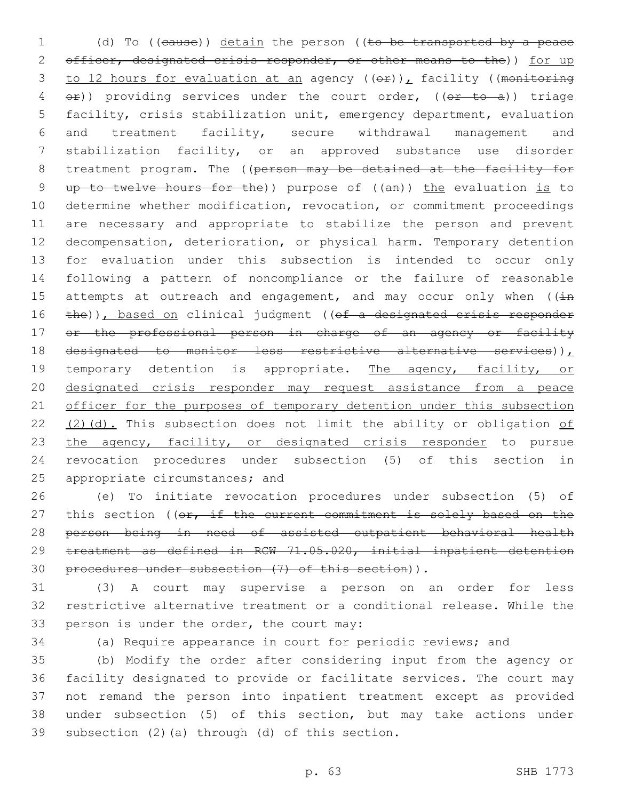1 (d) To ((cause)) detain the person ((to be transported by a peace 2 officer, designated crisis responder, or other means to the)) for up 3 to 12 hours for evaluation at an agency  $((e f)_L)$  facility ((monitoring 4 or)) providing services under the court order, ((or to a)) triage 5 facility, crisis stabilization unit, emergency department, evaluation 6 and treatment facility, secure withdrawal management and 7 stabilization facility, or an approved substance use disorder 8 treatment program. The ((person may be detained at the facility for 9 up to twelve hours for the)) purpose of ((an)) the evaluation is to 10 determine whether modification, revocation, or commitment proceedings 11 are necessary and appropriate to stabilize the person and prevent 12 decompensation, deterioration, or physical harm. Temporary detention 13 for evaluation under this subsection is intended to occur only 14 following a pattern of noncompliance or the failure of reasonable 15 attempts at outreach and engagement, and may occur only when  $((\frac{1}{10})$ 16 the)), based on clinical judgment ((of a designated crisis responder 17 or the professional person in charge of an agency or facility 18 designated to monitor less restrictive alternative services)), 19 temporary detention is appropriate. The agency, facility, or 20 designated crisis responder may request assistance from a peace 21 officer for the purposes of temporary detention under this subsection 22 (2)(d). This subsection does not limit the ability or obligation of 23 the agency, facility, or designated crisis responder to pursue 24 revocation procedures under subsection (5) of this section in 25 appropriate circumstances; and

 (e) To initiate revocation procedures under subsection (5) of 27 this section ((or, if the current commitment is solely based on the person being in need of assisted outpatient behavioral health treatment as defined in RCW 71.05.020, initial inpatient detention procedures under subsection (7) of this section)).

31 (3) A court may supervise a person on an order for less 32 restrictive alternative treatment or a conditional release. While the 33 person is under the order, the court may:

34 (a) Require appearance in court for periodic reviews; and

 (b) Modify the order after considering input from the agency or facility designated to provide or facilitate services. The court may not remand the person into inpatient treatment except as provided under subsection (5) of this section, but may take actions under 39 subsection  $(2)$  (a) through  $(d)$  of this section.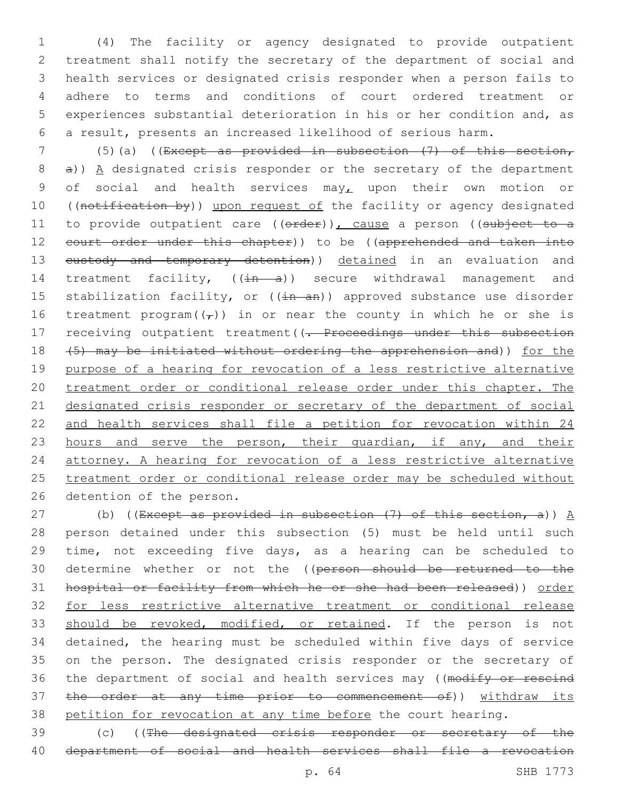(4) The facility or agency designated to provide outpatient treatment shall notify the secretary of the department of social and health services or designated crisis responder when a person fails to adhere to terms and conditions of court ordered treatment or experiences substantial deterioration in his or her condition and, as a result, presents an increased likelihood of serious harm.

7 (5)(a) ((Except as provided in subsection (7) of this section,  $8$  a)) A designated crisis responder or the secretary of the department 9 of social and health services may<sub> $L$ </sub> upon their own motion or 10 ((notification by)) upon request of the facility or agency designated 11 to provide outpatient care ((order)), cause a person ((subject to a 12 court order under this chapter)) to be ((apprehended and taken into 13 eustody and temporary detention)) detained in an evaluation and 14 treatment facility,  $((\frac{1}{n} - a))$  secure withdrawal management and 15 stabilization facility, or ((in an)) approved substance use disorder 16 treatment program( $(\tau)$ ) in or near the county in which he or she is 17 receiving outpatient treatment ((. Proceedings under this subsection 18 (5) may be initiated without ordering the apprehension and)) for the 19 purpose of a hearing for revocation of a less restrictive alternative 20 treatment order or conditional release order under this chapter. The 21 designated crisis responder or secretary of the department of social 22 and health services shall file a petition for revocation within 24 23 hours and serve the person, their guardian, if any, and their 24 attorney. A hearing for revocation of a less restrictive alternative 25 treatment order or conditional release order may be scheduled without 26 detention of the person.

27 (b) ((Except as provided in subsection  $(7)$  of this section, a))  $A$ 28 person detained under this subsection (5) must be held until such 29 time, not exceeding five days, as a hearing can be scheduled to 30 determine whether or not the ((person should be returned to the 31 hospital or facility from which he or she had been released)) order 32 for less restrictive alternative treatment or conditional release 33 should be revoked, modified, or retained. If the person is not 34 detained, the hearing must be scheduled within five days of service 35 on the person. The designated crisis responder or the secretary of 36 the department of social and health services may ((modify or rescind 37 the order at any time prior to commencement of)) withdraw its 38 petition for revocation at any time before the court hearing.

39 (c) ((The designated crisis responder or secretary of the 40 department of social and health services shall file a revocation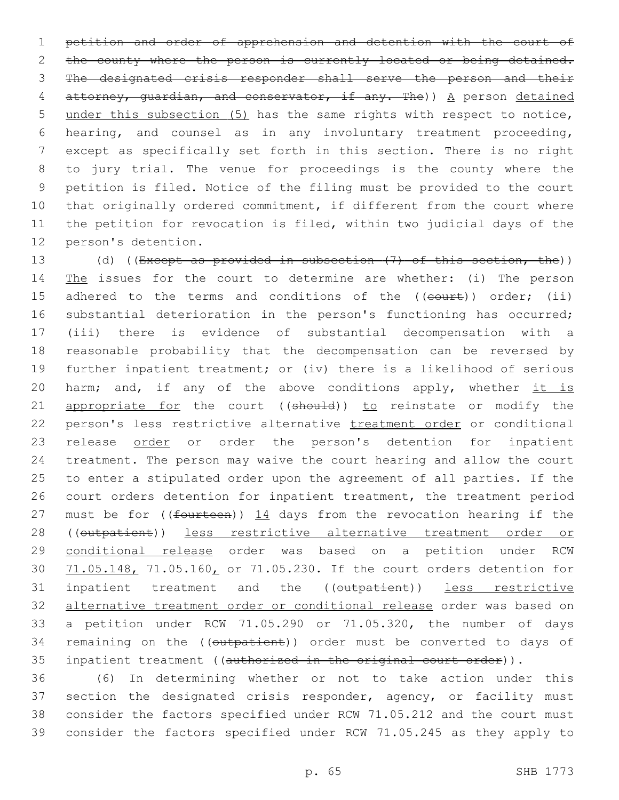petition and order of apprehension and detention with the court of 2 the county where the person is currently located or being detained. The designated crisis responder shall serve the person and their attorney, guardian, and conservator, if any. The)) A person detained under this subsection (5) has the same rights with respect to notice, hearing, and counsel as in any involuntary treatment proceeding, except as specifically set forth in this section. There is no right to jury trial. The venue for proceedings is the county where the petition is filed. Notice of the filing must be provided to the court that originally ordered commitment, if different from the court where the petition for revocation is filed, within two judicial days of the 12 person's detention.

13 (d) ((Except as provided in subsection (7) of this section, the)) 14 The issues for the court to determine are whether: (i) The person 15 adhered to the terms and conditions of the ((court)) order; (ii) substantial deterioration in the person's functioning has occurred; (iii) there is evidence of substantial decompensation with a reasonable probability that the decompensation can be reversed by further inpatient treatment; or (iv) there is a likelihood of serious 20 harm; and, if any of the above conditions apply, whether it is 21 appropriate for the court ((should)) to reinstate or modify the person's less restrictive alternative treatment order or conditional 23 release order or order the person's detention for inpatient treatment. The person may waive the court hearing and allow the court to enter a stipulated order upon the agreement of all parties. If the court orders detention for inpatient treatment, the treatment period 27 must be for ( $(f<sub>outteen</sub>)$ ) 14 days from the revocation hearing if the 28 ((outpatient)) less restrictive alternative treatment order or conditional release order was based on a petition under RCW 30 71.05.148, 71.05.160, or 71.05.230. If the court orders detention for inpatient treatment and the ((outpatient)) less restrictive alternative treatment order or conditional release order was based on a petition under RCW 71.05.290 or 71.05.320, the number of days 34 remaining on the ((outpatient)) order must be converted to days of 35 inpatient treatment ((authorized in the original court order)).

 (6) In determining whether or not to take action under this 37 section the designated crisis responder, agency, or facility must consider the factors specified under RCW 71.05.212 and the court must consider the factors specified under RCW 71.05.245 as they apply to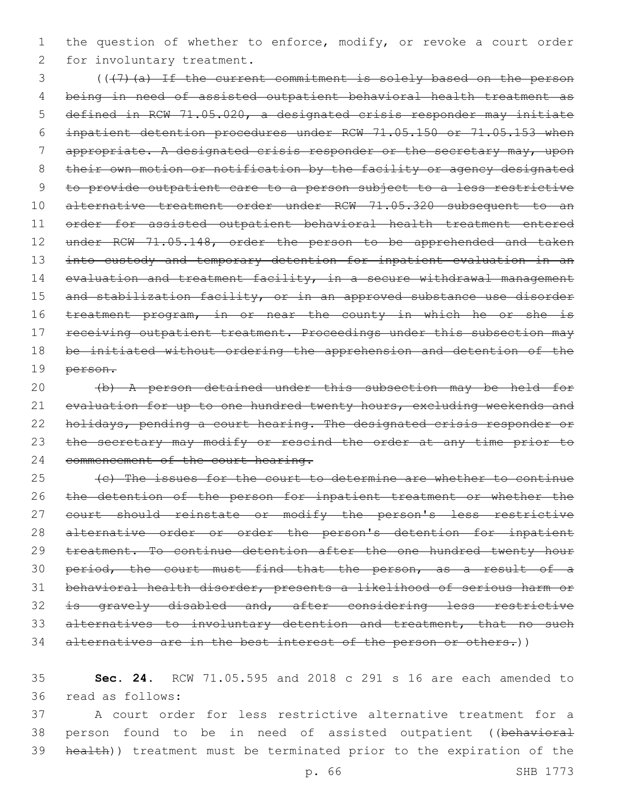1 the question of whether to enforce, modify, or revoke a court order 2 for involuntary treatment.

3 (((7)(a) If the current commitment is solely based on the person 4 being in need of assisted outpatient behavioral health treatment as 5 defined in RCW 71.05.020, a designated crisis responder may initiate 6 inpatient detention procedures under RCW 71.05.150 or 71.05.153 when 7 appropriate. A designated crisis responder or the secretary may, upon 8 their own motion or notification by the facility or agency designated 9 to provide outpatient care to a person subject to a less restrictive 10 alternative treatment order under RCW 71.05.320 subsequent to an 11 order for assisted outpatient behavioral health treatment entered 12 under RCW 71.05.148, order the person to be apprehended and taken 13 into custody and temporary detention for inpatient evaluation in an 14 evaluation and treatment facility, in a secure withdrawal management 15 and stabilization facility, or in an approved substance use disorder 16 treatment program, in or near the county in which he or she is 17 receiving outpatient treatment. Proceedings under this subsection may 18 be initiated without ordering the apprehension and detention of the 19 person.

20 (b) A person detained under this subsection may be held for 21 evaluation for up to one hundred twenty hours, excluding weekends and 22 holidays, pending a court hearing. The designated crisis responder or 23 the secretary may modify or rescind the order at any time prior to 24 commencement of the court hearing.

25 (c) The issues for the court to determine are whether to continue 26 the detention of the person for inpatient treatment or whether the 27 court should reinstate or modify the person's less restrictive 28 alternative order or order the person's detention for inpatient 29 treatment. To continue detention after the one hundred twenty hour 30 period, the court must find that the person, as a result of a 31 behavioral health disorder, presents a likelihood of serious harm or 32 is gravely disabled and, after considering less restrictive 33 alternatives to involuntary detention and treatment, that no such 34 alternatives are in the best interest of the person or others.))

35 **Sec. 24.** RCW 71.05.595 and 2018 c 291 s 16 are each amended to 36 read as follows:

37 A court order for less restrictive alternative treatment for a 38 person found to be in need of assisted outpatient ((behavioral 39 health)) treatment must be terminated prior to the expiration of the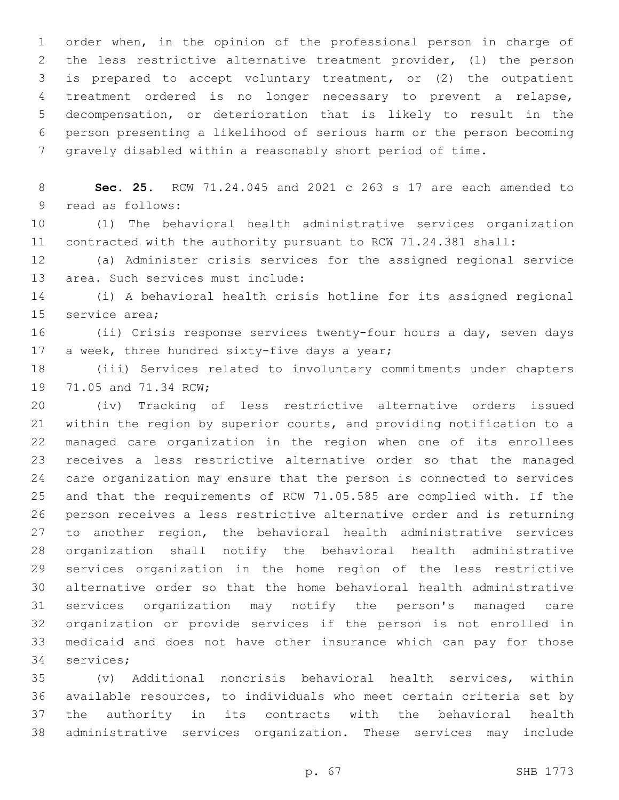order when, in the opinion of the professional person in charge of the less restrictive alternative treatment provider, (1) the person is prepared to accept voluntary treatment, or (2) the outpatient treatment ordered is no longer necessary to prevent a relapse, decompensation, or deterioration that is likely to result in the person presenting a likelihood of serious harm or the person becoming gravely disabled within a reasonably short period of time.

 **Sec. 25.** RCW 71.24.045 and 2021 c 263 s 17 are each amended to 9 read as follows:

 (1) The behavioral health administrative services organization contracted with the authority pursuant to RCW 71.24.381 shall:

 (a) Administer crisis services for the assigned regional service 13 area. Such services must include:

 (i) A behavioral health crisis hotline for its assigned regional 15 service area;

 (ii) Crisis response services twenty-four hours a day, seven days 17 a week, three hundred sixty-five days a year;

 (iii) Services related to involuntary commitments under chapters 19 71.05 and 71.34 RCW;

 (iv) Tracking of less restrictive alternative orders issued within the region by superior courts, and providing notification to a managed care organization in the region when one of its enrollees receives a less restrictive alternative order so that the managed care organization may ensure that the person is connected to services and that the requirements of RCW 71.05.585 are complied with. If the person receives a less restrictive alternative order and is returning to another region, the behavioral health administrative services organization shall notify the behavioral health administrative services organization in the home region of the less restrictive alternative order so that the home behavioral health administrative services organization may notify the person's managed care organization or provide services if the person is not enrolled in medicaid and does not have other insurance which can pay for those 34 services;

 (v) Additional noncrisis behavioral health services, within available resources, to individuals who meet certain criteria set by the authority in its contracts with the behavioral health administrative services organization. These services may include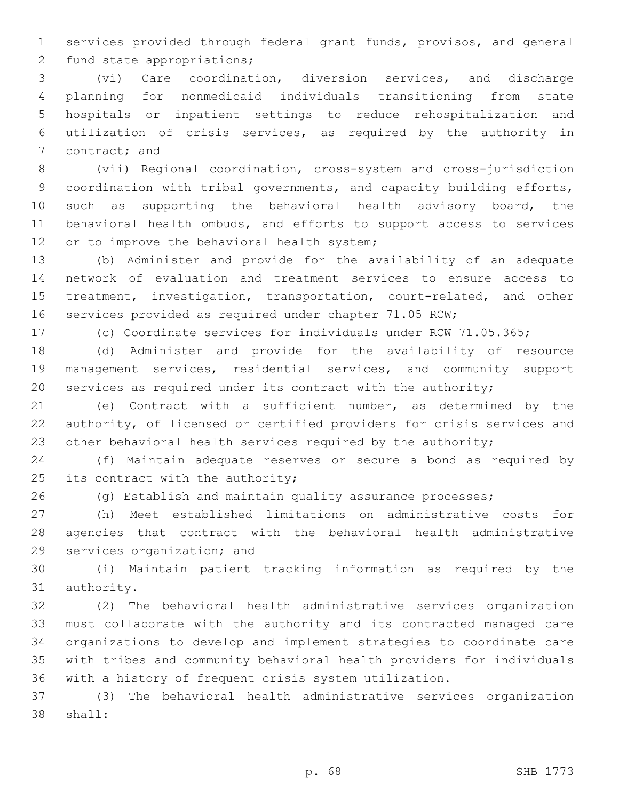services provided through federal grant funds, provisos, and general 2 fund state appropriations;

 (vi) Care coordination, diversion services, and discharge planning for nonmedicaid individuals transitioning from state hospitals or inpatient settings to reduce rehospitalization and utilization of crisis services, as required by the authority in 7 contract; and

 (vii) Regional coordination, cross-system and cross-jurisdiction coordination with tribal governments, and capacity building efforts, 10 such as supporting the behavioral health advisory board, the behavioral health ombuds, and efforts to support access to services 12 or to improve the behavioral health system;

 (b) Administer and provide for the availability of an adequate network of evaluation and treatment services to ensure access to treatment, investigation, transportation, court-related, and other services provided as required under chapter 71.05 RCW;

(c) Coordinate services for individuals under RCW 71.05.365;

 (d) Administer and provide for the availability of resource management services, residential services, and community support services as required under its contract with the authority;

 (e) Contract with a sufficient number, as determined by the authority, of licensed or certified providers for crisis services and 23 other behavioral health services required by the authority;

 (f) Maintain adequate reserves or secure a bond as required by 25 its contract with the authority;

(g) Establish and maintain quality assurance processes;

 (h) Meet established limitations on administrative costs for agencies that contract with the behavioral health administrative 29 services organization; and

 (i) Maintain patient tracking information as required by the 31 authority.

 (2) The behavioral health administrative services organization must collaborate with the authority and its contracted managed care organizations to develop and implement strategies to coordinate care with tribes and community behavioral health providers for individuals with a history of frequent crisis system utilization.

 (3) The behavioral health administrative services organization 38 shall: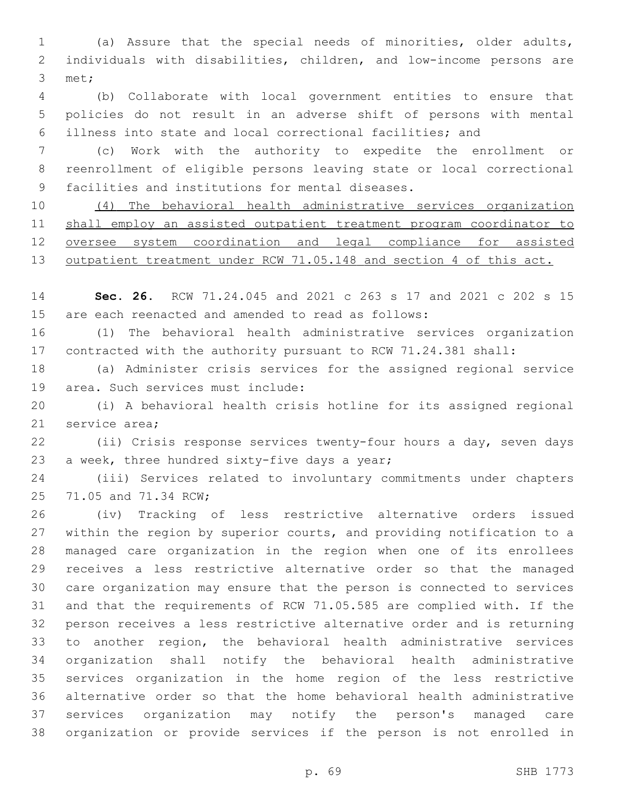(a) Assure that the special needs of minorities, older adults, individuals with disabilities, children, and low-income persons are 3 met;

 (b) Collaborate with local government entities to ensure that policies do not result in an adverse shift of persons with mental illness into state and local correctional facilities; and

 (c) Work with the authority to expedite the enrollment or reenrollment of eligible persons leaving state or local correctional 9 facilities and institutions for mental diseases.

 (4) The behavioral health administrative services organization shall employ an assisted outpatient treatment program coordinator to oversee system coordination and legal compliance for assisted 13 outpatient treatment under RCW 71.05.148 and section 4 of this act.

 **Sec. 26.** RCW 71.24.045 and 2021 c 263 s 17 and 2021 c 202 s 15 are each reenacted and amended to read as follows:

 (1) The behavioral health administrative services organization contracted with the authority pursuant to RCW 71.24.381 shall:

 (a) Administer crisis services for the assigned regional service 19 area. Such services must include:

 (i) A behavioral health crisis hotline for its assigned regional 21 service area:

 (ii) Crisis response services twenty-four hours a day, seven days 23 a week, three hundred sixty-five days a year;

 (iii) Services related to involuntary commitments under chapters 25 71.05 and 71.34 RCW;

 (iv) Tracking of less restrictive alternative orders issued within the region by superior courts, and providing notification to a managed care organization in the region when one of its enrollees receives a less restrictive alternative order so that the managed care organization may ensure that the person is connected to services and that the requirements of RCW 71.05.585 are complied with. If the person receives a less restrictive alternative order and is returning to another region, the behavioral health administrative services organization shall notify the behavioral health administrative services organization in the home region of the less restrictive alternative order so that the home behavioral health administrative services organization may notify the person's managed care organization or provide services if the person is not enrolled in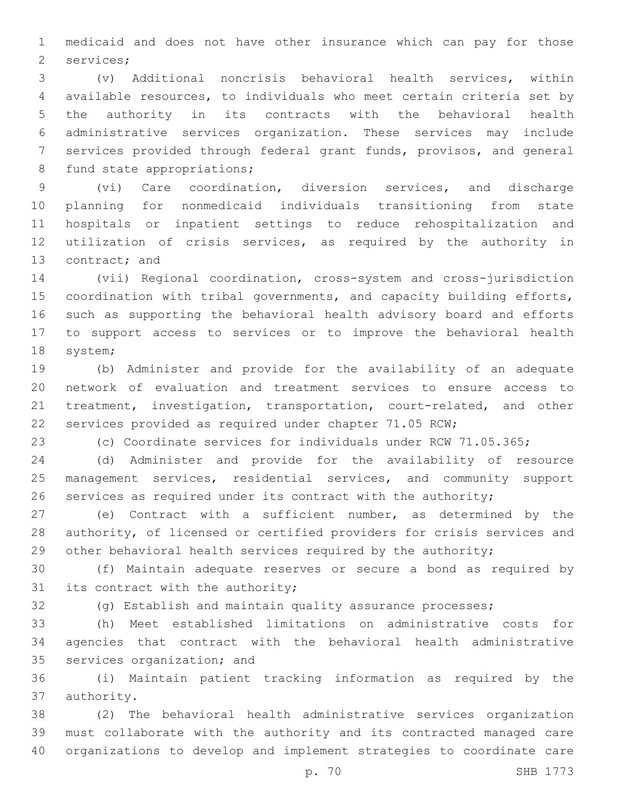medicaid and does not have other insurance which can pay for those 2 services;

 (v) Additional noncrisis behavioral health services, within available resources, to individuals who meet certain criteria set by the authority in its contracts with the behavioral health administrative services organization. These services may include services provided through federal grant funds, provisos, and general 8 fund state appropriations;

 (vi) Care coordination, diversion services, and discharge planning for nonmedicaid individuals transitioning from state hospitals or inpatient settings to reduce rehospitalization and utilization of crisis services, as required by the authority in 13 contract; and

 (vii) Regional coordination, cross-system and cross-jurisdiction coordination with tribal governments, and capacity building efforts, such as supporting the behavioral health advisory board and efforts to support access to services or to improve the behavioral health 18 system;

 (b) Administer and provide for the availability of an adequate network of evaluation and treatment services to ensure access to treatment, investigation, transportation, court-related, and other services provided as required under chapter 71.05 RCW;

(c) Coordinate services for individuals under RCW 71.05.365;

 (d) Administer and provide for the availability of resource management services, residential services, and community support services as required under its contract with the authority;

 (e) Contract with a sufficient number, as determined by the authority, of licensed or certified providers for crisis services and 29 other behavioral health services required by the authority;

 (f) Maintain adequate reserves or secure a bond as required by its contract with the authority;

(g) Establish and maintain quality assurance processes;

 (h) Meet established limitations on administrative costs for agencies that contract with the behavioral health administrative 35 services organization; and

 (i) Maintain patient tracking information as required by the 37 authority.

 (2) The behavioral health administrative services organization must collaborate with the authority and its contracted managed care organizations to develop and implement strategies to coordinate care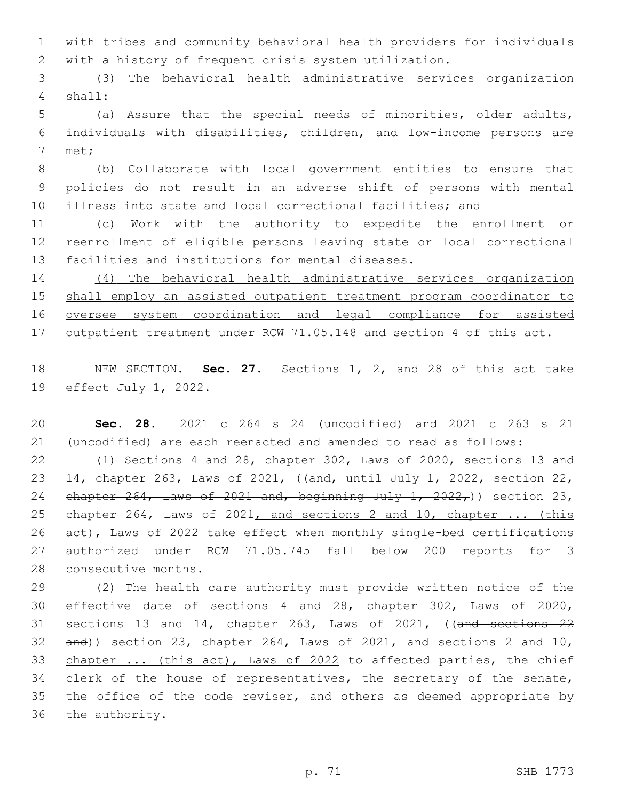with tribes and community behavioral health providers for individuals with a history of frequent crisis system utilization.

 (3) The behavioral health administrative services organization shall:4

 (a) Assure that the special needs of minorities, older adults, individuals with disabilities, children, and low-income persons are 7 met;

 (b) Collaborate with local government entities to ensure that policies do not result in an adverse shift of persons with mental illness into state and local correctional facilities; and

 (c) Work with the authority to expedite the enrollment or reenrollment of eligible persons leaving state or local correctional 13 facilities and institutions for mental diseases.

 (4) The behavioral health administrative services organization shall employ an assisted outpatient treatment program coordinator to oversee system coordination and legal compliance for assisted outpatient treatment under RCW 71.05.148 and section 4 of this act.

 NEW SECTION. **Sec. 27.** Sections 1, 2, and 28 of this act take effect July 1, 2022.

 **Sec. 28.** 2021 c 264 s 24 (uncodified) and 2021 c 263 s 21 (uncodified) are each reenacted and amended to read as follows:

 (1) Sections 4 and 28, chapter 302, Laws of 2020, sections 13 and 23 14, chapter 263, Laws of 2021, ((and, until July 1, 2022, section 22, 24 chapter , Laws of  $2021$  and, beginning July 1,  $2022$ , ) section 23, chapter 264, Laws of 2021, and sections 2 and 10, chapter ... (this 26 act), Laws of 2022 take effect when monthly single-bed certifications authorized under RCW 71.05.745 fall below 200 reports for 3 28 consecutive months.

 (2) The health care authority must provide written notice of the effective date of sections 4 and 28, chapter 302, Laws of 2020, sections 13 and 14, chapter 263, Laws of 2021, ((and sections 22 and)) section 23, chapter 264, Laws of 2021, and sections 2 and 10, 33 chapter ... (this act), Laws of 2022 to affected parties, the chief 34 clerk of the house of representatives, the secretary of the senate, the office of the code reviser, and others as deemed appropriate by 36 the authority.